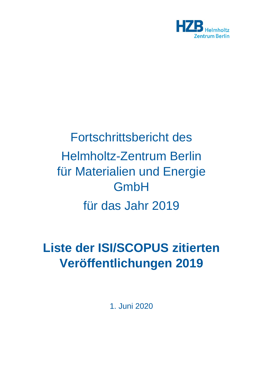

## Fortschrittsbericht des Helmholtz-Zentrum Berlin für Materialien und Energie GmbH für das Jahr 2019

## **Liste der ISI/SCOPUS zitierten Veröffentlichungen 2019**

1. Juni 2020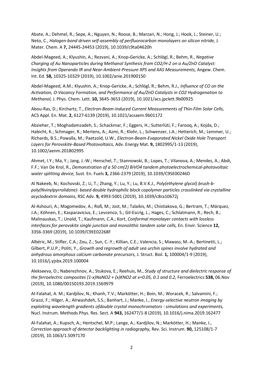Abate, A.; Dehmel, R.; Sepe, A.; Nguyen, N.; Roose, B.; Marzari, N.; Hong, J.; Hook, J.; Steiner, U.; Neto, C., *Halogen-bond driven self-assembly of perfluorocarbon monolayers on silicon nitride,* J. Mater. Chem. A **7,** 24445-24453 (2019), 10.1039/c9ta04620h

Abdel-Mageed, A.; Klyushin, A.; Rezvani, A.; Knop-Gericke, A.; Schlögl, R.; Behm, R., *Negative Charging of Au Nanoparticles during Methanol Synthesis from CO2/H-2 on a Au/ZnO Catalyst: Insights from Operando IR and Near-Ambient-Pressure XPS and XAS Measurements,* Angew. Chem. Int. Ed. **58,** 10325-10329 (2019), 10.1002/anie.201900150

Abdel-Mageed, A.M.; Klyushin, A.; Knop-Gericke, A.; Schlögl, R.; Behm, R.J., *Influence of CO on the Activation, O-Vacancy Formation, and Performance of Au/ZnO Catalysts in CO2 Hydrogenation to Methanol,* J. Phys. Chem. Lett. **10,** 3645-3653 (2019), 10.1021/acs.jpclett.9b00925

Abou-Ras, D.; Kirchartz, T., *Electron-Beam-Induced Current Measurements of Thin-Film Solar Cells,*  ACS Appl. En. Mat. **2,** 6127-6139 (2019), 10.1021/acsaem.9b01172

Abzieher, T.; Moghadamzadeh, S.; Schackmar, F.; Eggers, H.; Sutterlüti, F.; Farooq, A.; Kojda, D.; Habicht, K.; Schmager, R.; Mertens, A.; Azmi, R.; Klohr, L.; Schwenzer, J.A.; Hetterich, M.; Lemmer, U.; Richards, B.S.; Powalla, M.; Paetzold, U.W., *Electron-Beam-Evaporated Nickel Oxide Hole Transport Layers for Perovskite-Based Photovoltaics,* Adv. Energy Mat. **9,** 1802995/1-13 (2019), 10.1002/aenm.201802995

Ahmet, I.Y.; Ma, Y.; Jang, J.-W.; Henschel, T.; Stannowski, B.; Lopes, T.; Vilanova, A.; Mendes, A.; Abdi, F.F.; Van De Krol, R., *Demonstration of a 50 cm(2) BiVO4 tandem photoelectrochemical-photovoltaic water splitting device,* Sust. En. Fuels **3,** 2366-2379 (2019), 10.1039/C9SE00246D

Al Nakeeb, N.; Kochovski, Z.; Li, T.; Zhang, Y.; Lu, Y.; Lu, B.V.K.J., *Poly(ethylene glycol) brush-bpoly(Nvinylpyrrolidone)- based double hydrophilic block copolymer particles crosslinked via crystalline acyclodextrin domains,* RSC Adv. **9,** 4993-5001 (2019), 10.1039/c8ra10672j

Al-Ashouri, A.; Magomedov, A.; Roß, M.; Jost, M.; Talaikis, M.; Chistiakova, G.; Bertram, T.; Márquez, J.A.; Köhnen, E.; Kasparavicius, E.; Levcenco, S.; Gil-Escrig, L.; Hages, C.; Schlatmann, R.; Rech, B.; Malinauskas, T.; Unold, T.; Kaufmann, C.A.; Kort, *Conformal monolayer contacts with lossless interfaces for perovskite single junction and monolithic tandem solar cells,* En. Envir. Science **12,**  3356-3369 (2019), 10.1039/C9EE02268F

Albéric, M.; Stifler, C.A.; Zou, Z.; Sun, C.-Y.; Killian, C.E.; Valencia, S.; Mawass, M.-A.; Bertinetti, L.; Gilbert, P.U.P.; Politi, Y., *Growth and regrowth of adult sea urchin spines involve hydrated and anhydrous amorphous calcium carbonate precursors,* J. Struct. Biol. **1,** 100004/1-9 (2019), 10.1016/j.yjsbx.2019.100004

Alekseeva, O.; Naberezhnov, A.; Stukova, E.; Reehuis, M., *Study of structure and dielectric response of the ferroelectric composites (1-x)NaNO2 + (x)KNO2 at x=0.05, 0.1 and 0.2,* Ferroelectrics **538,** 06.Nov (2019), 10.1080/00150193.2019.1569979

Al-Falahat, A. M.; Kardjilov, N.; Khanh, T.V.; Markötter, H.; Boin, M.; Woracek, R.; Salvamini, F.; Grazzi, F.; Hilger, A.; Alrwashdeh, S.S.; Banhart, J.; Manke, I., *Energy-selective neutron imaging by exploiting wavelength gradients ofdouble crystal monochromators - simulations and experiments,*  Nucl. Instrum. Methods Phys. Res. Sect. A **943,** 162477/1-8 (2019), 10.1016/j.nima.2019.162477

Al-Falahat, A.; Kupsch, A.; Hentschel, M.P.; Lange, A.; Kardjilov, N.; Markötter, H.; Manke, I., *Correction approach of detector backlighting in radiography,* Rev. Sci. Instrum. **90,** 125108/1-7 (2019), 10.1063/1.5097170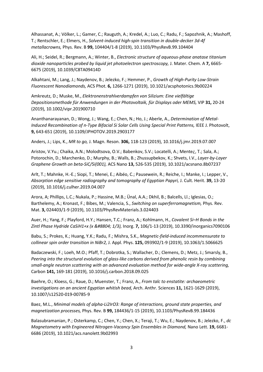Alhassanat, A.; Völker, L.; Gamer, C.; Rauguth, A.; Kredel, A.; Luo, C.; Radu, F.; Sapozhnik, A.; Mashoff, T.; Rentschler, E.; Elmers, H., *Solvent-induced high-spin transition in double-decker 3d-4f metallacrowns,* Phys. Rev. B **99,** 104404/1-8 (2019), 10.1103/PhysRevB.99.104404

Ali, H.; Seidel, R.; Bergmann, A.; Winter, B., *Electronic structure of aqueous-phase anatase titanium dioxide nanoparticles probed by liquid jet photoelectron spectroscopy,* J. Mater. Chem. A **7,** 6665- 6675 (2019), 10.1039/C8TA09414D

Alkahtani, M.; Lang, J.; Naydenov, B.; Jelezko, F.; Hemmer, P., *Growth of High-Purity Low-Strain Fluorescent Nanodiamonds,* ACS Phot. **6,** 1266-1271 (2019), 10.1021/acsphotonics.9b00224

Amkreutz, D.; Muske, M., *Elektronenstrahlverdampfen von Silizium: Eine vielfältige Depositionsmethode für Anwendungen in der Photovoltaik, für Displays oder MEMS,* VIP **31,** 20-24 (2019), 10.1002/vipr.201900710

Ananthanarayanan, D.; Wong, J.; Wang, E.; Chen, N.; Ho, J.; Aberle, A., *Determination of Metal-Induced Recombination of n-Type Bifacial Si Solar Cells Using Special Print Patterns, IEEE J. Photovolt,* **9,** 643-651 (2019), 10.1109/JPHOTOV.2019.2903177

Anders, J.; Lips, K., *MR to go,* J. Magn. Reson. **306,** 118-123 (2019), 10.1016/j.jmr.2019.07.007

Aristov, V.Yu.; Chaika, A.N.; Molodtsova, O.V.; Babenkov, S.V.; Locatelli, A.; Mente¿, T.; Sala, A.; Potorochin, D.; Marchenko, D.; Murphy, B.; Walls, B.; Zhussupbekov, K.; Shvets, I.V., *Layer-by-Layer Graphene Growth on beta-SiC/Si(001),* ACS Nano **13,** 526-535 (2019), 10.1021/acsnano.8b07237

Arlt, T.; Mahnke, H.-E.; Siopi, T.; Menei, E.; Aibéo, C.; Pausewein, R.; Reiche, I.; Manke, I.; Lepper, V., *Absorption edge sensitive radiography and tomography of Egyptian Papyri,* J. Cult. Herit. **39,** 13-20 (2019), 10.1016/j.culher.2019.04.007

Arora, A; Phillips, L.C.; Nukala, P.; Hassine, M.B.; Ünal, A.A.; Dkhil, B.; Balcells, Ll.; Iglesias, O.; Barthelemy, A.; Kronast, F.; Bibes, M.; Valencia, S., *Switching on superferromagnetism,* Phys. Rev. Mat. **3,** 024403/1-9 (2019), 10.1103/PhysRevMaterials.3.024403

Auer, H.; Yang, F.; Playford, H.Y.; Hansen, T.C.; Franz, A.; Kohlmann, H., *Covalent Si–H Bonds in the Zintl Phase Hydride CaSiH1+x (x ≤ 1/3),* Inorg. **7,** 106/1-13 (2019), 10.3390/inorganics7090106

Babu, S.; Prokes, K.; Huang, Y.K.; Radu, F.; Mishra, S.K., *Magnetic-field-induced incommensurate to collinear spin order transition in NiBr2,* J. Appl. Phys. **125,** 093902/1-9 (2019), 10.1063/1.5066625

Badaczewski, F.; Loeh, M.O.; Pfaff, T.; Dobrotka, S.; Wallacher, D.; Clemens, D.; Metz, J.; Smarsly, B., *Peering into the structural evolution of glass-like carbons derived from phenolic resin by combining small-angle neutron scattering with an advanced evaluation method for wide-angle X-ray scattering,*  Carbon **141,** 169-181 (2019), 10.1016/j.carbon.2018.09.025

Baehre, O.; Kloess, G.; Raue, D.; Muenster, T.; Franz, A., *From talc to enstatite: archaeometric investigations on an ancient Egyptian whitish bead,* Arch. Anthr. Sciences **11,** 1621-1629 (2019), 10.1007/s12520-019-00785-9

Baez, M.L., *Minimal models of alpha-Li2IrO3: Range of interactions, ground state properties, and magnetization processes,* Phys. Rev. B **99,** 184436/1-15 (2019), 10.1103/PhysRevB.99.184436

Balasubramanian, P.; Osterkamp, C.; Chen, Y.; Chen, X.; Teraji, T.; Wu, E.; Naydenov, B.; Jelezko, F., *dc Magnetometry with Engineered Nitrogen-Vacancy Spin Ensembles in Diamond, Nano Lett.* **19,** 6681-6686 (2019), 10.1021/acs.nanolett.9b02993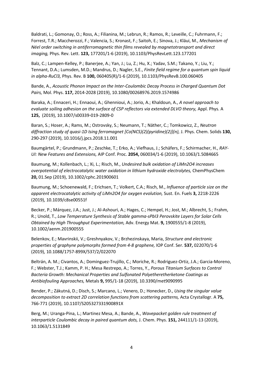Baldrati, L.; Gomonay, O.; Ross, A.; Filianina, M.; Lebrun, R.; Ramos, R.; Leveille, C.; Fuhrmann, F.; Forrest, T.R.; Maccherozzi, F.; Valencia, S.; Kronast, F.; Saitoh, E.; Sinova, J.; Kläui, M., *Mechanism of Néel order switching in antiferromagnetic thin films revealed by magnetotransport and direct imaging,* Phys. Rev. Lett. **123,** 177201/1-6 (2019), 10.1103/PhysRevLett.123.177201

Balz, C.; Lampen-Kelley, P.; Banerjee, A.; Yan, J.; Lu, Z.; Hu, X.; Yadav, S.M.; Takano, Y.; Liu, Y.; Tennant, D.A.; Lumsden, M.D.; Mandrus, D.; Nagler, S.E., *Finite field regime for a quantum spin liquid in alpha-RuCl3,* Phys. Rev. B **100,** 060405(R)/1-6 (2019), 10.1103/PhysRevB.100.060405

Bande, A., *Acoustic Phonon Impact on the Inter-Coulombic Decay Process in Charged Quantum Dot Pairs,* Mol. Phys. **117,** 2014-2028 (2019), 10.1080/00268976.2019.1574986

Baraka, A.; Ennaceri, H.; Ennaoui, A.; Ghennioui, A.; Jorio, A.; Khaldoun, A., *A novel approach to evaluate soiling adhesion on the surface of CSP reflectors via extended DLVO theory, Appl. Phys. A* **125,** (2019), 10.1007/s00339-019-2809-0

Baran, S.; Hoser, A.; Rams, M.; Ostrovsky, S.; Neumann, T.; Näther, C.; Tomkowicz, Z., *Neutron diffraction study of quasi-1D Ising ferromagnet [Co(NCS)(2)(pyridine)(2)](n),* J. Phys. Chem. Solids **130,**  290-297 (2019), 10.1016/j.jpcs.2018.11.001

Baumgärtel, P.; Grundmann, P.; Zeschke, T.; Erko, A.; Viefhaus, J.; Schäfers, F.; Schirmacher, H., *RAY-UI: New Features and Extensions,* AIP Conf. Proc. **2054,** 060034/1-6 (2019), 10.1063/1.5084665

Baumung, M.; Kollenbach, L.; Xi, L.; Risch, M., *Undesired bulk oxidation of LiMn2O4 increases overpotential of electrocatalytic water oxidation in lithium hydroxide electrolytes,* ChemPhysChem **20,** 01.Sep (2019), 10.1002/cphc.201900601

Baumung, M.; Schoenewald, F.; Erichsen, T.; Volkert, C.A.; Risch, M., *Influence of particle size on the apparent electrocatalytic activity of LiMn2O4 for oxygen evolution,* Sust. En. Fuels **3,** 2218-2226 (2019), 10.1039/c8se00551f

Becker, P.; Márquez, J.A.; Just, J.; Al-Ashouri, A.; Hages, C.; Hempel, H.; Jost, M.; Albrecht, S.; Frahm, R.; Unold, T., *Low Temperature Synthesis of Stable gamma-sPbI3 Perovskite Layers for Solar Cells Obtained by High Throughput Experimentation,* Adv. Energy Mat. **9,** 1900555/1-8 (2019), 10.1002/aenm.201900555

Belenkov, E.; Mavrinskii, V.; Greshnyakov, V.; Brzhezinskaya, Maria, *Structure and electronic properties of graphyne polymorphs formed from 4-8 graphene,* IOP Conf. Ser. **537,** 022070/1-6 (2019), 10.1088/1757-899X/537/2/022070

Beltrán, A. M.; Civantos, A.; Dominguez-Trujillo, C.; Moriche, R.; Rodriguez-Ortiz, J.A.; Garcia-Moreno, F.; Webster, T.J.; Kamm, P. H.; Mesa Restrepo, A.; Torres, Y., *Porous Titanium Surfaces to Control Bacteria Growth: Mechanical Properties and Sulfonated Polyetheretherketone Coatings as Antibiofouling Approaches,* Metals **9,** 995/1-18 (2019), 10.3390/met9090995

Bender, P.; Zákutná, D.; Disch, S.; Marcano, L.; Venero, D.; Honecker, D., *Using the singular value decomposition to extract 2D correlation functions from scattering patterns, Acta Crystallogr. A 75,* 766-771 (2019), 10.1107/S205327331900891X

Berg, M.; Uranga-Pina, L.; Martinez Mesa, A.; Bande, A., *Wavepacket golden rule treatment of interparticle Coulombic decay in paired quantum dots,* J. Chem. Phys. **151,** 244111/1-13 (2019), 10.1063/1.5131849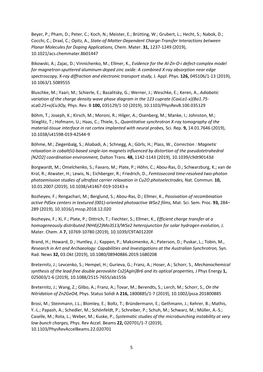Beyer, P.; Pham, D.; Peter, C.; Koch, N.; Meister, E.; Brütting, W.; Grubert, L.; Hecht, S.; Nabok, D.; Cocchi, C.; Draxl, C.; Opitz, A., *State-of-Matter-Dependent Charge-Transfer Interactions between Planar Molecules for Doping Applications,* Chem. Mater. **31,** 1237-1249 (2019), 10.1021/acs.chemmater.8b01447

Bikowski, A.; Zajac, D.; Vinnichenko, M.; Ellmer, K., *Evidence for the Al-Zn-O-i defect-complex model for magnetron-sputtered aluminum-doped zinc oxide: A combined X-ray absorption near edge spectroscopy, X-ray diffraction and electronic transport study,* J. Appl. Phys. **126,** 045106/1-13 (2019), 10.1063/1.5089555

Bluschke, M.; Yaari, M.; Schierle, E.; Bazalitsky, G.; Werner, J.; Weschke, E.; Keren, A., *Adiabatic variation of the charge density wave phase diagram in the 123 cuprate (CaxLa1-x)(Ba1.75 xLa0.25+x)Cu3Oy,* Phys. Rev. B **100,** 035129/1-10 (2019), 10.1103/PhysRevB.100.035129

Böhm, T.; Joseph, K.; Kirsch, M.; Moroni, R.; Hilger, A.; Osenberg, M.; Manke, I.; Johnston, M.; Stieglitz, T.; Hofmann, U.; Haas, C.; Thiele, S., *Quantitative synchrotron X-ray tomography of the material-tissue interface in rat cortex implanted with neural probes,* Sci. Rep. **9,** 14.01.7646 (2019), 10.1038/s41598-019-42544-9

Böhme, M.; Ziegenbalg, S.; Aliabadi, A.; Schnegg, A.; Görls, H.; Plass, W., *Correction : Magnetic relaxation in cobalt(ii)-based single-ion magnets influenced by distortion of the pseudotetrahedral [N2O2] coordination environment,* Dalton Trans. **48,** 1142-1143 (2019), 10.1039/c9dt90143d

Borgwardt, M.; Omelchenko, S.; Favaro, M.; Plate, P.; Höhn, C.; Abou-Ras, D.; Schwarzburg, K.; van de Krol, R.; Atwater, H.; Lewis, N.; Eichberger, R.; Friedrich, D., *Femtosecond time-resolved two-photon photoemission studies of ultrafast carrier relaxation in Cu2O photoelectrodes,* Nat. Commun. **10,**  10.01.2007 (2019), 10.1038/s41467-019-10143-x

Bozheyev, F.; Rengachari, M.; Berglund, S.; Abou-Ras, D.; Ellmer, K., *Passivation of recombination active PdSex centers in textured (001)-oriented photoactive WSe2 films,* Mat. Sci. Sem. Proc. **93,** 284– 289 (2019), 10.1016/j.mssp.2018.12.020

Bozheyev, F.; Xi, F.; Plate, P.; Dittrich, T.; Fiechter, S.; Ellmer, K., *Efficient charge transfer at a homogeneously distributed (NH4)(2)Mo3S13/WSe2 heterojunction for solar hydrogen evolution,* J. Mater. Chem. A **7,** 10769-10780 (2019), 10.1039/C9TA01220F

Brand, H.; Howard, D.; Huntley, J.; Kappen, P.; Maksimenko, A.; Paterson, D.; Puskar, L.; Tobin, M., *Research in Art and Archaeology: Capabilities and Investigations at the Australian Synchrotron,* Syn. Rad. News **32,** 03.Okt (2019), 10.1080/08940886.2019.1680208

Breternitz, J.; Levcenko, S.; Hempel, H.; Gurieva, G.; Franz, A.; Hoser, A.; Schorr, S., *Mechanochemical synthesis of the lead-free double perovskite Cs2[AgIn]Br6 and its optical properties, J Phys Energy 1,* 025003/1-6 (2019), 10.1088/2515-7655/ab155b

Breternitz, J.; Wang, Z.; Glibo, A.; Franz, A.; Tovar, M.; Berendts, S.; Lerch, M.; Schorr, S., *On the Nitridation of Zn2GeO4,* Phys. Status Solidi A **216,** 1800885/1-7 (2019), 10.1002/pssa.201800885

Brosi, M.; Steinmann, J.L.; Blomley, E.; Boltz, T.; Bründermann, E.; Gethmann, J.; Kehrer, B.; Mathis, Y.-L.; Papash, A.; Schedler, M.; Schönfeldt, P.; Schreiber, P.; Schuh, M.; Schwarz, M.; Müller, A.-S.; Caselle, M.; Rota, L.; Weber, M.; Kuske, P., *Systematic studies of the microbunching instability at very low bunch charges,* Phys. Rev Accel. Beams **22,** 020701/1-7 (2019), 10.1103/PhysRevAccelBeams.22.020701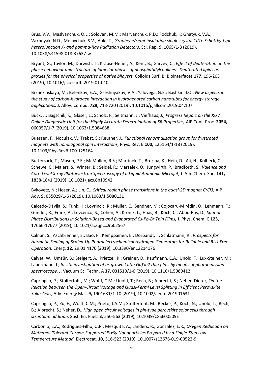Brus, V.V.; Maslyanchuk, O.L.; Solovan, M.M.; Maryanchuk, P.D.; Fodchuk, I.; Gnatyuk, V.A.; Vakhnyak, N.D.; Melnychuk, S.V.; Aoki, T., *Graphene/semi-insulating single crystal CdTe Schottky-type heterojunction X- and gamma-Ray Radiation Detectors,* Sci. Rep. **9,** 1065/1-8 (2019), 10.1038/s41598-018-37637-w

Bryant, G.; Taylor, M.; Darwish, T.; Krause-Heuer, A.; Kent, B.; Garvey, C., *Effect of deuteration on the phase behaviour and structure of lamellar phases of phosphatidylcholines - Deuterated lipids as proxies for the physical properties of native bilayers,* Colloids Surf. B: Biointerfaces **177,** 196-203 (2019), 10.1016/j.colsurfb.2019.01.040

Brzhezinskaya, M.; Belenkov, E.A.; Greshnyakov, V.A.; Yalovega, G.E.; Bashkin, I.O., *New aspects in the study of carbon-hydrogen interaction in hydrogenated carbon nanotubes for energy storage applications,* J. Alloy. Compd. **729,** 713-720 (2019), 10.1016/j.jallcom.2019.04.107

Buck, J.; Bagschik, K.; Glaser, L.; Scholz, F.; Seltmann, J.; Viefhaus, J., *Progress Report on the XUV Online Diagnostic Unit for the Highly Accurate Determination of SR Properties,* AIP Conf. Proc. **2054,**  060057/1-7 (2019), 10.1063/1.5084688

Buessen, F.; Noculak, V.; Trebst, S.; Reuther, J., *Functional renormalization group for frustrated magnets with nondiagonal spin interactions,* Phys. Rev. B **100,** 125164/1-18 (2019), 10.1103/PhysRevB.100.125164

Buttersack, T.; Mason, P.E.; McMullen, R.S.; Martinek, T.; Brezina, K.; Hein, D.; Ali, H.; Kolbeck, C.; Schewe, C.; Malerz, S.; Winter, B.; Seidel, R.; Marsalek, O.; Jungwirth, P.; Bradforth, S., *Valence and Core-Level X-ray Photoelectron Spectroscopy of a Liquid Ammonia Microjet,* J. Am. Chem. Soc. **141,**  1838-1841 (2019), 10.1021/jacs.8b10942

Bykovetz, N.; Hoser, A.; Lin, C., *Critical region phase transitions in the quasi-2D magnet CrCl3,* AIP Adv. **9,** 035029/1-6 (2019), 10.1063/1.5080131

Caicedo-Dávila, S.; Funk, H.; Lovrincic, R.; Müller, C.; Sendner, M.; Cojocaru-Mirédin, O.; Lehmann, F.; Gunder, R.; Franz, A.; Levcenco, S.; Cohen, A.; Kronik, L.; Haas, B.; Koch, C.; Abou-Ras, D., *Spatial Phase Distributions in Solution-Based and Evaporated Cs-Pb-Br Thin Films,* J. Phys. Chem. C **123,**  17666-17677 (2019), 10.1021/acs.jpcc.9b02567

Calnan, S.; Aschbrenner, S.; Bao, F.; Kemppainen, E.; Dorbandt, I.; Schlatmann, R., *Prospects for Hermetic Sealing of Scaled-Up Photoelectrochemical Hydrogen Generators for Reliable and Risk Free Operation,* Energ. **12,** 29.01.4176 (2019), 10.3390/en12214176

Calvet, W.; Ümsür, B.; Steigert, A.; Prietzel, K.; Greiner, D.; Kaufmann, C.A.; Unold, T.; Lux-Steiner, M.; Lauermann, I., *In situ investigation of as grown Cu(In,Ga)Se2 thin films by means of photoemission spectroscopy,* J. Vacuum Sc. Techn. A **37,** 031510/1-6 (2019), 10.1116/1.5089412

Caprioglio, P.; Stolterfoht, M.; Wolff, C.M.; Unold, T.; Rech, B.; Albrecht, S.; Neher, Dieter, *On the Relation between the Open-Circuit Voltage and Quasi-Fermi Level Splitting in Efficient Perovskite Solar Cells,* Adv. Energy Mat. **9,** 1901631/1-10 (2019), 10.1002/aenm.201901631

Caprioglio, P.; Zu, F.; Wolff, C.M.; Prieto, J.A.M.; Stolterfoht, M.; Becker, P.; Koch, N.; Unold, T.; Rech, B.; Albrecht, S.; Neher, D., *High open circuit voltages in pin-type perovskite solar cells through strontium addition,* Sust. En. Fuels **3,** 550-563 (2019), 10.1039/C8SE00509E

Carbonio, E.A.; Rodrigues-Filho, U.P.; Mesquita, A.; Landers, R.; Gonzalez, E.R., *Oxygen Reduction on Methanol-Tolerant Carbon-Supported PtxSy Nanoparticles Prepared by a Single-Step Low-Temperature Method,* Electrocat. **10,** 516-523 (2019), 10.1007/s12678-019-00522-9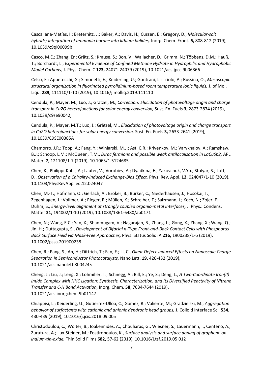Cascallana-Matías, I.; Breternitz, J.; Baker, A.; Davis, H.; Cussen, E.; Gregory, D., *Molecular-salt hybrids; integration of ammonia borane into lithium halides,* Inorg. Chem. Front. **6,** 808-812 (2019), 10.1039/c9qi00099b

Casco, M.E.; Zhang, En; Grätz, S.; Krause, S.; Bon, V.; Wallacher, D.; Grimm, N.; Többens, D.M.; Hauß, T.; Borchardt, L., *Experimental Evidence of Confined Methane Hydrate in Hydrophilic and Hydrophobic Model Carbons,* J. Phys. Chem. C **123,** 24071-24079 (2019), 10.1021/acs.jpcc.9b06366

Celso, F.; Appetecchi, G.; Simonetti, E.; Keiderling, U.; Gontrani, L.; Triolo, A.; Russina, O., *Mesoscopic structural organization in fluorinated pyrrolidinium-based room temperature ionic liquids,* J. of Mol. Liqu. **289,** 111110/1-10 (2019), 10.1016/j.molliq.2019.111110

Cendula, P.; Mayer, M.; Luo, J.; Grätzel, M., *Correction: Elucidation of photovoltage origin and charge transport in Cu2O heterojunctions for solar energy conversion,* Sust. En. Fuels **3,** 2873-2874 (2019), 10.1039/c9se90042j

Cendula, P.; Mayer, M.T.; Luo, J.; Grätzel, M., *Elucidation of photovoltage origin and charge transport in Cu2O heterojunctions for solar energy conversion,* Sust. En. Fuels **3,** 2633-2641 (2019), 10.1039/C9SE00385A

Chamorro, J.R.; Topp, A.; Fang, Y.; Winiarski, M.J.; Ast, C.R.; Krivenkov, M.; Varykhalov, A.; Ramshaw, B.J.; Schoop, L.M.; McQueen, T.M., *Dirac fermions and possible weak antilocalization in LaCuSb2,* APL Mater. **7,** 121108/1-7 (2019), 10.1063/1.5124685

Chen, K.; Philippi-Kobs, A.; Lauter, V.; Vorobiev, A.; Dyadkina, E.; Yakovchuk, V.Yu.; Stolyar, S.; Lott, D., *Observation of a Chirality-Induced Exchange-Bias Effect,* Phys. Rev. Appl. **12,** 024047/1-10 (2019), 10.1103/PhysRevApplied.12.024047

Chen, M.-T.; Hofmann, O.; Gerlach, A.; Bröker, B.; Bürker, C.; Niederhausen, J.; Hosokai, T.; Zegenhagen, J.; Vollmer, A.; Rieger, R.; Müllen, K.; Schreiber, F.; Salzmann, I.; Koch, N.; Zojer, E.; Duhm, S., *Energy-level alignment at strongly coupled organic-metal interfaces,* J. Phys.: Condens. Matter **31,** 194002/1-10 (2019), 10.1088/1361-648X/ab0171

Chen, N.; Wang, E.C.; Yan, X.; Shanmugam, V.; Nagarajan, B.; Zhang, L.; Gong, X.; Zhang, X.; Wang, Q.; Jin, H.; Duttagupta, S., *Development of Bifacial n-Type Front-and-Back Contact Cells with Phosphorus Back Surface Field via Mask-Free Approaches,* Phys. Status Solidi A **216,** 1900238/1-6 (2019), 10.1002/pssa.201900238

Chen, R.; Pang, S.; An, H.; Dittrich, T.; Fan, F.; Li, C., *Giant Defect-Induced Effects on Nanoscale Charge Separation in Semiconductor Photocatalysts,* Nano Lett. **19,** 426-432 (2019), 10.1021/acs.nanolett.8b04245

Cheng, J.; Liu, J.; Leng, X.; Lohmiller, T.; Schnegg, A.; Bill, E.; Ye, S.; Deng, L., *A Two-Coordinate Iron(II) Imido Complex with NHC Ligation: Synthesis, Characterization, and Its Diversified Reactivity of Nitrene Transfer and C-H Bond Activation,* Inorg. Chem. **58,** 7634-7644 (2019), 10.1021/acs.inorgchem.9b01147

Chiappisi, L.; Keiderling, U.; Gutierrez-Ulloa, C.; Gómez, R.; Valiente, M.; Gradzielski, M., *Aggregation behavior of surfactants with cationic and anionic dendronic head groups,* J. Colloid Interface Sci. **534,**  430-439 (2019), 10.1016/j.jcis.2018.09.005

Christodoulou, C.; Wolter, B.; Ioakeimides, A.; Chouliaras, G.; Wiesner, S.; Lauermann, I.; Centeno, A.; Zurutuza, A.; Lux-Steiner, M.; Fostiropoulos, K., *Surface analysis and surface doping of graphene on indium-tin-oxide,* Thin Solid Films **682,** 57-62 (2019), 10.1016/j.tsf.2019.05.012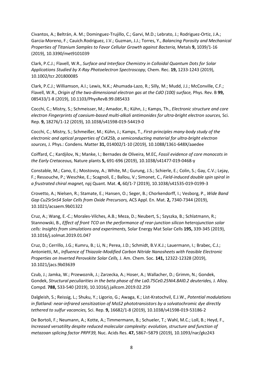Civantos, A.; Beltrán, A. M.; Dominguez-Trujillo, C.; Garvi, M.D.; Lebrato, J.; Rodriguez-Ortiz, J.A.; Garcia-Moreno, F.; Cauich.Rodriguez, J.V.; Guzman, J.J.; Torres, Y., *Balancing Porosity and Mechanical Properties of Titanium Samples to Favor Cellular Growth against Bacteria,* Metals **9,** 1039/1-16 (2019), 10.3390/met9101039

Clark, P.C.J.; Flavell, W.R., *Surface and Interface Chemistry in Colloidal Quantum Dots for Solar Applications Studied by X-Ray Photoelectron Spectroscopy,* Chem. Rec. **19,** 1233-1243 (2019), 10.1002/tcr.201800085

Clark, P.C.J.; Williamson, A.I.; Lewis, N.K.; Ahumada-Lazo, R.; Silly, M.; Mudd, J.J.; McConville, C.F.; Flavell, W.R., *Origin of the two-dimensional electron gas at the CdO (100) surface,* Phys. Rev. B **99,**  085433/1-8 (2019), 10.1103/PhysRevB.99.085433

Cocchi, C.; Mistry, S.; Schmeisser, M.; Amador, R.; Kühn, J.; Kamps, Th., *Electronic structure and core electron Fingerprints of caesium-based multi-alkali antimonides for ultra-bright electron sources,* Sci. Rep. **9,** 18276/1-12 (2019), 10.1038/s41598-019-54419-0

Cocchi, C.; Mistry, S.; Schmeißer, M.; Kühn, J.; Kamps, T., *First-principles many-body study of the electronic and optical properties of CsK2Sb, a semiconducting material for ultra-bright electron sources,* J. Phys.: Condens. Matter **31,** 014002/1-10 (2019), 10.1088/1361-648X/aaedee

Coiffard, C.; Kardjilov, N.; Manke, I.; Bernades de Oliveira, M.EC, *Fossil evidence of core monocots in the Early Cretaceous,* Nature plants **5,** 691-696 (2019), 10.1038/s41477-019-0468-y

Constable, M.; Cano, E.; Mostovoy, A.; White, M.; Gurung, J.S.; Schierle, E.; Colin, S.; Gay, C.V.; Lejay, F.; Ressouche, P.; Weschke, E.; Scagnoli, E.; Ballou, V.; Simonet, C., *Field-induced double spin spiral in a frustrated chiral magnet,* npj Quant. Mat. **4,** 60/1-7 (2019), 10.1038/s41535-019-0199-3

Crovetto, A.; Nielsen, R.; Stamate, E.; Hansen, O.; Seger, B.; Chorkendorff, I.; Vesborg, P., *Wide Band Gap Cu2SrSnS4 Solar Cells from Oxide Precursors,* ACS Appl. En. Mat. **2,** 7340-7344 (2019), 10.1021/acsaem.9b01322

Cruz, A.; Wang, E.-C.; Morales-Vilches, A.B.; Meza, D.; Neubert, S.; Szyszka, B.; Schlatmann, R.; Stannowski, B., *Effect of front TCO on the performance of rear-junction silicon heterojunction solar cells: Insights from simulations and experiments,* Solar Energy Mat Solar Cells **195,** 339-345 (2019), 10.1016/j.solmat.2019.01.047

Cruz, D.; Cerrillo, J.G.; Kumru, B.; Li, N.; Perea, J.D.; Schmidt, B.V.K.J.; Lauermann, I.; Brabec, C.J.; Antonietti, M., *Influence of Thiazole-Modified Carbon Nitride Nanosheets with Feasible Electronic Properties on Inverted Perovskite Solar Cells,* J. Am. Chem. Soc. **141,** 12322-12328 (2019), 10.1021/jacs.9b03639

Czub, J.; Jamka, W.; Przewoznik, J.; Zarzecka, A.; Hoser, A.; Wallacher, D.; Grimm, N.; Gondek, Gondek, *Structural peculiarities in the beta phase of the La0.75Ce0.25Ni4.8Al0.2 deuterides, J. Alloy.* Compd. **788,** 533-540 (2019), 10.1016/j.jallcom.2019.02.259

Dalgleish, S.; Reissig, L.; Shuku, Y.; Ligorio, G.; Awaga, K.; List-Kratochvil, E.J.W., *Potential modulations in flatland: near-infrared sensitization of MoS2 phototransistors by a solvatochromic dye directly tethered to sulfur vacancies,* Sci. Rep. **9,** 16682/1-8 (2019), 10.1038/s41598-019-53186-2

De Bortoli, F.; Neumann, A.; Kotte, A.; Timmermann, B.; Schueler, T.; Wahl, M.C.; Loll, B.; Heyd, F., *Increased versatility despite reduced molecular complexity: evolution, structure and function of metazoan splicing factor PRPF39,* Nuc. Acids Res. **47,** 5867–5879 (2019), 10.1093/nar/gkz243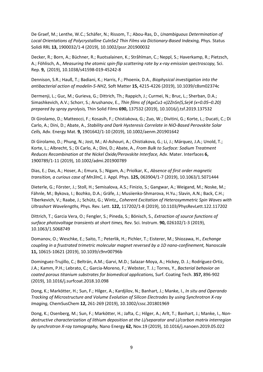De Graef, M.; Lenthe, W.C.; Schäfer, N.; Rissom, T.; Abou-Ras, D., *Unambiguous Determination of Local Orientations of Polycrystalline CuInSe2 Thin Films via Dictionary-Based Indexing,* Phys. Status Solidi RRL **13,** 1900032/1-4 (2019), 10.1002/pssr.201900032

Decker, R.; Born, A.; Büchner, R.; Ruotsalainen, K.; Stråhlman, C.; Neppl, S.; Haverkamp, R.; Pietzsch, A.; Föhlisch, A., *Measuring the atomic spin-flip scattering rate by x-ray emission spectroscopy,* Sci. Rep. **9,** (2019), 10.1038/s41598-019-45242-8

Dennison, S.R.; Hauß, T.; Badiani, K.; Harris, F.; Phoenix, D.A., *Biophysical investigation into the antibacterial action of modelin-5-NH2,* Soft Matter **15,** 4215-4226 (2019), 10.1039/c8sm02374c

Dermenji, L.; Guc, M.; Gurieva, G.; Dittrich, Th.; Rappich, J.; Curmei, N.; Bruc, L.; Sherban, D.A.; Simashkevich, A.V.; Schorr, S.; Arushanov, E., *Thin films of (AgxCu1-x)2ZnSn(S,Se)4 (x=0.05–0.20) prepared by spray pyrolysis,* Thin Solid Films **690,** 137532 (2019), 10.1016/j.tsf.2019.137532

Di Girolamo, D.; Matteocci, F.; Kosasih, F.; Chistiakova, G.; Zuo, W.; Divitini, G.; Korte, L.; Ducati, C.; Di Carlo, A.; Dini, D.; Abate, A., *Stability and Dark Hysteresis Correlate in NiO-Based Perovskite Solar Cells,* Adv. Energy Mat. **9,** 1901642/1-10 (2019), 10.1002/aenm.201901642

Di Girolamo, D.; Phung, N.; Jost, M.; Al-Ashouri, A.; Chistiakova, G.; Li, J.; Márquez, J.A.; Unold, T.; Korte, L.; Albrecht, S.; Di Carlo, A.; Dini, D.; Abate, A., *From Bulk to Surface: Sodium Treatment Reduces Recombination at the Nickel Oxide/Perovskite Interface,* Adv. Mater. Interfaces **6,**  1900789/1-11 (2019), 10.1002/admi.201900789

Dias, E.; Das, A.; Hoser, A.; Emura, S.; Nigam, A.; Priolkar, K., *Absence of first order magnetic transition, a curious case of Mn3InC,* J. Appl. Phys. **125,** 063904/1-7 (2019), 10.1063/1.5071444

Dieterle, G.; Förster, J.; Stoll, H.; Semisalova, A.S.; Finizio, S.; Gangwar, A.; Weigand, M.; Noske, M.; Fähnle, M.; Bykova, I.; Bozhko, D.A.; Gräfe, J.; Musiienko-Shmarova, H.Yu.; Slavin, A.N.; Back, C.H.; Tiberkevich, V.; Raabe, J.; Schütz, G.; Wintz,, *Coherent Excitation of Heterosymmetric Spin Waves with Ultrashort Wavelengths,* Phys. Rev. Lett. **122,** 117202/1-8 (2019), 10.1103/PhysRevLett.122.117202

Dittrich, T.; Garcia Vera, O.; Fengler, S.; Pineda, S.; Bönisch, S., *Extraction of source functions of surface photovoltage transients at short times,* Rev. Sci. Instrum. **90,** 026102/1-3 (2019), 10.1063/1.5068749

Domanov, O.; Weschke, E.; Saito, T.; Peterlik, H.; Pichler, T.; Eisterer, M.; Shiozawa, H., *Exchange coupling in a frustrated trimetric molecular magnet reversed by a 1D nano-confinement,* Nanoscale **11,** 10615-10621 (2019), 10.1039/c9nr00796b

Dominguez-Trujillo, C.; Beltrán, A.M.; Garvi, M.D.; Salazar-Moya, A.; Hickey, D. J.; Rodríguez-Ortiz, J.A.; Kamm, P.H.; Lebrato, C.; Garcia-Moreno, F.; Webster, T. J.; Torres, Y., *Bacterial behavior on coated porous titanium substrates for biomedical applications,* Surf. Coating Tech. **357,** 896-902 (2019), 10.1016/j.surfcoat.2018.10.098

Dong, K.; Markötter, H.; Sun, F.; Hilger, A.; Kardjilov, N.; Banhart, J.; Manke, I., *In situ and Operando Tracking of Microstructure and Volume Evolution of Silicon Electrodes by using Synchrotron X-ray Imaging,* ChemSusChem **12,** 261-269 (2019), 10.1002/cssc.201801969

Dong, K.; Osenberg, M.; Sun, F.; Markötter, H.; Jafta, C.; Hilger, A.; Arlt, T.; Banhart, J.; Manke, I., *Nondestructive characterization of lithium deposition at the Li/separator and Li/carbon matrix interregion by synchrotron X-ray tomography,* Nano Energy **62,** Nov.19 (2019), 10.1016/j.nanoen.2019.05.022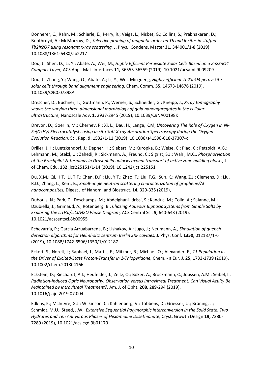Donnerer, C.; Rahn, M.; Schierle, E.; Perry, R.; Veiga, L.; Nisbet, G.; Collins, S.; Prabhakaran, D.; Boothroyd, A.; McMorrow, D., *Selective probing of magnetic order on Tb and Ir sites in stuffed Tb2Ir2O7 using resonant x-ray scattering,* J. Phys.: Condens. Matter **31,** 344001/1-8 (2019), 10.1088/1361-648X/ab2217

Dou, J.; Shen, D.; Li, Y.; Abate, A.; Wei, M., *Highly Efficient Perovskite Solar Cells Based on a Zn2SnO4 Compact Layer,* ACS Appl. Mat. Interfaces **11,** 36553-36559 (2019), 10.1021/acsami.9b09209

Dou, J.; Zhang, Y.; Wang, Q.; Abate, A.; Li, Y.; Wei, Mingdeng, *Highly efficient Zn2SnO4 perovskite solar cells through band alignment engineering,* Chem. Comm. **55,** 14673-14676 (2019), 10.1039/C9CC07398A

Drescher, D.; Büchner, T.; Guttmann, P.; Werner, S.; Schneider, G.; Kneipp, J., *X-ray tomography shows the varying three-dimensional morphology of gold nanoaggregates in the cellular ultrastructure,* Nanoscale Adv. **1,** 2937-2945 (2019), 10.1039/C9NA00198K

Drevon, D.; Goerlin, M.; Chernev, P.; Xi, L.; Dau, H.; Lange, K.M, *Uncovering The Role of Oxygen in Ni-Fe(OxHy) Electrocatalysts using In situ Soft X-ray Absorption Spectroscopy during the Oxygen Evolution Reaction,* Sci. Rep. **9,** 1532/1-11 (2019), 10.1038/s41598-018-37307-x

Driller, J.H.; Luetzkendorf, J.; Depner, H.; Siebert, M.; Kuropka, B.; Weise, C.; Piao, C.; Petzoldt, A.G.; Lehmann, M.; Stelzl, U.; Zahedi, R.; Sickmann, A.; Freund, C.; Sigrist, S.J.; Wahl, M.C., *Phosphorylation of the Bruchpilot N-terminus in Drosophila unlocks axonal transport of active zone building blocks,* J. of Chem. Edu. **132,** jcs225151/1-14 (2019), 10.1242/jcs.225151

Du, X.M.; Qi, H.T.; Li, T.F.; Chen, D.F.; Liu, Y.T.; Zhao, T.; Liu, F.G.; Sun, K.; Wang, Z.J.; Clemens, D.; Liu, R.D.; Zhang, L.; Kent, B., *Small-angle neutron scattering characterization of graphene/Al nanocomposites,* Digest J of Nanom. and Biostruct. **14,** 329-335 (2019),

Dubouis, N.; Park, C.; Deschamps, M.; Abdelghani-Idrissi, S.; Kanduc, M.; Colin, A.; Salanne, M.; Dzubiella, J.; Grimaud, A.; Rotenberg, B., *Chasing Aqueous Biphasic Systems from Simple Salts by Exploring the LiTFSI/LiCl/H2O Phase Diagram,* ACS Central Sci. **5,** 640-643 (2019), 10.1021/acscentsci.8b00955

Echevarria, P.; Garcia Arruabarrena, B.; Ushakov, A.; Jugo, J.; Neumann, A., *Simulation of quench detection algorithms for Helmholtz Zentrum Berlin SRF cavities,* J. Phys. Conf. **1350,** 012187/1-6 (2019), 10.1088/1742-6596/1350/1/012187

Eckert, S.; Norell, J.; Raphael, J.; Mattis, F.; Mitzner, R.; Michael, O.; Alexander, F., *T1 Population as the Driver of Excited-State Proton-Transfer in 2-Thiopyridone,* Chem. - a Eur. J. **25,** 1733-1739 (2019), 10.1002/chem.201804166

Eckstein, D.; Riechardt, A.I.; Heufelder, J.; Zeitz, O.; Böker, A.; Brockmann, C.; Joussen, A.M.; Seibel, I., *Radiation-Induced Optic Neuropathy: Observation versus Intravitreal Treatment: Can Visual Acuity Be Maintained by Intravitreal Treatment?,* Am. J. of Opht. **208,** 289-294 (2019), 10.1016/j.ajo.2019.07.004

Edkins, K.; McIntyre, G.J.; Wilkinson, C.; Kahlenberg, V.; Többens, D.; Griesser, U.; Brüning, J.; Schmidt, M.U.; Steed, J.W., *Extensive Sequential Polymorphic Interconversion in the Solid State: Two Hydrates and Ten Anhydrous Phases of Hexamidine Diisethionate,* Cryst. Growth Design **19,** 7280- 7289 (2019), 10.1021/acs.cgd.9b01170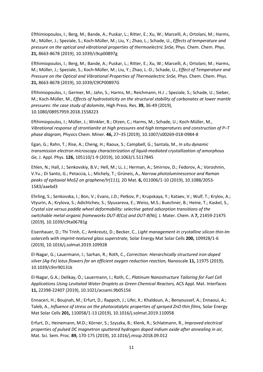Efthimiopoulos, I.; Berg, M.; Bande, A.; Puskar, L.; Ritter, E.; Xu, W.; Marcelli, A.; Ortolani, M.; Harms, M.; Müller, J.; Speziale, S.; Koch-Müller, M.; Liu, Y.; Zhao, L.; Schade, U., *Effects of temperature and pressure on the optical and vibrational properties of thermoelectric SnSe,* Phys. Chem. Chem. Phys. **21,** 8663-8678 (2019), 10.1039/c9cp00897g

Efthimiopoulos, I.; Berg, M.; Bande, A.; Puskar, L.; Ritter, E.; Xu, W.; Marcelli, A.; Ortolani, M.; Harms, M.; Müller, J.; Speziale, S.; Koch-Müller, M.; Liu, Y.; Zhao, L.-D.; Schade, U., *Effect of Temperature and Pressure on the Optical and Vibrational Properties of Thermoelectric SnSe,* Phys. Chem. Chem. Phys. **21,** 8663-8678 (2019), 10.1039/C9CP00897G

Efthimiopoulos, I.; Germer, M.; Jahn, S.; Harms, M.; Reichmann, H.J .; Speziale, S.; Schade, U.; Sieber, M.; Koch-Müller, M., *Effects of hydrostaticity on the structural stability of carbonates at lower mantle pressures: the case study of dolomite,* High Press. Res. **39,** 36-49 (2019), 10.1080/08957959.2018.1558223

Efthimiopoulos, I.; Müller, J.; Winkler, B.; Otzen, C.; Harms, M.; Schade, U.; Koch-Müller, M., *Vibrational response of strontianite at high pressures and high temperatures and construction of P–T phase diagram,* Physics Chem. Miner. **46,** 27–35 (2019), 10.1007/s00269-018-0984-8

Egan, G.; Rahn, T.; Rise, A.; Cheng, H.; Raoux, S.; Campbell, G.; Santala, M., *In situ dynamic transmission electron microscopy characterization of liquid-mediated crystallization of amorphous Ge,* J. Appl. Phys. **126,** 105110/1-9 (2019), 10.1063/1.5117845

Ehlen, N.; Hall, J.; Senkovskiy, B.V.; Hell, M.; Li, J.; Herman, A.; Smirnov, D.; Fedorov, A.; Voroshnin, V.Yu.; Di Santo, G.; Petaccia, L.; Michely, T.; Grüneis, A., *Narrow photoluminescence and Raman peaks of epitaxial MoS2 on graphene/Ir(111),* 2D Mat. **6,** 011006/1-10 (2019), 10.1088/2053- 1583/aaebd3

Ehrling, S.; Senkovska, I.; Bon, V.; Evans, J.D.; Petkov, P.; Krupskaya, Y.; Kataev, V.; Wulf, T.; Krylov, A.; Vtyurin, A.; Krylova, S.; Adichtchev, S.; Slyusareva, E.; Weiss, M.S.; Buechner, B.; Heine, T.; Kaskel, S., *Crystal size versus paddle wheel deformability: selective gated adsorption transitions of the switchable metal-organic frameworks DUT-8(Co) and DUT-8(Ni),* J. Mater. Chem. A **7,** 21459-21475 (2019), 10.1039/c9ta06781g

Eisenhauer, D.; Thi Trinh, C.; Amkreutz, D.; Becker, C., *Light management in crystalline silicon thin-lm solarcells with imprint-textured glass superstrate,* Solar Energy Mat Solar Cells **200,** 109928/1-6 (2019), 10.1016/j.solmat.2019.109928

El-Nagar, G.; Lauermann, I.; Sarhan, R.; Roth, C., *Correction: Hierarchically structured iron-doped silver (Ag-Fe) lotus flowers for an efficient oxygen reduction reaction,* Nanoscale **11,** 11975 (2019), 10.1039/c9nr90131k

El-Nagar, G.A.; Delikay, Ö.; Lauermann, I.; Roth, C., *Platinum Nanostructure Tailoring for Fuel Cell Applications Using Levitated Water Droplets as Green Chemical Reactors,* ACS Appl. Mat. Interfaces **11,** 22398-22407 (2019), 10.1021/acsami.9b05156

Ennaceri, H.; Boujnah, M.; Erfurt, D.; Rappich, J.; Lifei, X.; Khaldoun, A.; Benyoussef, A.; Ennaoui, A.; Taleb, A., *Influence of stress on the photocatalytic properties of sprayed ZnO thin films, Solar Energy* Mat Solar Cells **201,** 110058/1-13 (2019), 10.1016/j.solmat.2019.110058

Erfurt, D.; Heinemann, M.D.; Körner, S.; Szyszka, B.; Klenk, R.; Schlatmann, R., *Improved electrical properties of pulsed DC magnetron sputtered hydrogen doped indium oxide after annealing in air,*  Mat. Sci. Sem. Proc. **89,** 170-175 (2019), 10.1016/j.mssp.2018.09.012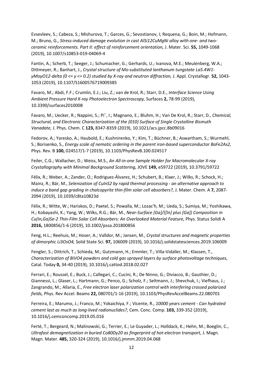Evsevleev, S.; Cabeza, S.; Mishurova, T.; Garces, G.; Sevostianov, I; Requena, G.; Boin, M.; Hofmann, M.; Bruno, G., *Stress-induced damage evolution in cast AlSi12CuMgNi alloy with one- and twoceramic reinforcements. Part II: effect of reinforcement orientation,* J. Mater. Sci. **55,** 1049-1068 (2019), 10.1007/s10853-019-04069-4

Fantin, A.; Scherb, T.; Seeger, J.; Schumacher, G.; Gerhards, U.; Ivanova, M.E.; Meulenberg, W.A.; Dittmeyer, R.; Banhart, J., *Crystal structure of Mo-substituted lanthanum tungstate La5.4W1 yMoyO12-delta (0 <= y <= 0.2) studied by X-ray and neutron diffraction,* J. Appl. Crystallogr. **52,** 1043- 1053 (2019), 10.1107/S1600576719009385

Favaro, M.; Abdi, F.F.; Crumlin, E.J.; Liu, Z.; van de Krol, R.; Starr, D.E., *Interface Science Using Ambient Pressure Hard X-ray Photoelectron Spectroscopy,* Surfaces **2,** 78-99 (2019), 10.3390/surfaces2010008

Favaro, M.; Uecker, R.; Nappini, S.; Pí¨, I.; Magnano, E.; Bluhm, H.; Van De Krol, R.; Starr, D., *Chemical, Structural, and Electronic Characterization of the (010) Surface of Single Crystalline Bismuth Vanadate,* J. Phys. Chem. C **123,** 8347-8359 (2019), 10.1021/acs.jpcc.8b09016

Fedorov, A.; Yaresko, A.; Haubold, E.; Kushnirenko, Y.; Kim, T.; Büchner, B.; Aswartham, S.; Wurmehl, S.; Borisenko, S., *Energy scale of nematic ordering in the parent iron-based superconductor BaFe2As2,*  Phys. Rev. B **100,** 024517/1-7 (2019), 10.1103/PhysRevB.100.024517

Feiler, C.G.; Wallacher, D.; Weiss, M.S., *An All-in-one Sample Holder for Macromolecular X-ray Crystallography with Minimal Background Scattering,* JOVE **149,** e59722 (2019), 10.3791/59722

Félix, R.; Weber, A.; Zander, O.; Rodriguez-Álvarez, H.; Schubert, B.; Klaer, J.; Wilks, R.; Schock, H.; Mainz, R.; Bär, M., *Selenization of CuInS2 by rapid thermal processing - an alternative approach to induce a band gap grading in chalcopyrite thin-film solar cell absorbers?, J. Mater. Chem. A 7, 2087-*2094 (2019), 10.1039/c8ta10823d

Félix, R.; Witte, W.; Hariskos, D.; Paetel, S.; Powalla, M.; Lozac'h, M.; Ueda, S.; Sumiya, M.; Yoshikawa, H.; Kobayashi, K.; Yang, W.; Wilks, R.G.; Bär, M., *Near-Surface [Ga]/([In] plus [Ga]) Composition in*  Cu(In, Ga)Se-2 Thin-Film Solar Cell Absorbers: An Overlooked Material Feature, Phys. Status Solidi A **2016,** 1800856/1-6 (2019), 10.1002/pssa.201800856

Feng, H.L.; Reehuis, M.; Hoser, A.; Valldor, M.; Jansen, M., *Crystal structures and magnetic properties of dimorphic Li3OsO4,* Solid State Sci. **97,** 106009 (2019), 10.1016/j.solidstatesciences.2019.106009

Fengler, S.; Dittrich, T.; Schieda, M.; Gutzmann, H.; Emmler, T.; Villa-Vidaller, M.; Klassen, T., *Characterization of BiVO4 powders and cold gas sprayed layers by surface photovoltage techniques,*  Catal. Today **0,** 34-40 (2019), 10.1016/j.cattod.2018.02.027

Ferrari, E.; Roussel, E.; Buck, J.; Callegari, C.; Cucini, R.; De Ninno, G.; Diviacco, B.; Gauthier, D.; Giannessi, L.; Glaser, L.; Hartmann, G.; Penco, G.; Scholz, F.; Seltmann, J.; Shevchuk, I.; Viefhaus, J.; Zangrando, M.; Allaria, E., *Free electron laser polarization control with interfering crossed polarized fields,* Phys. Rev Accel. Beams **22,** 080701/1-16 (2019), 10.1103/PhysRevAccelBeams.22.080701

Ferreira, E.; Marumo, J.; Franco, M.; Yokaichiya, F.; Vicente, R., *10000 years cement - Can hydrated cement last as much as long-lived radionuclides?,* Cem. Conc. Comp. **103,** 339-352 (2019), 10.1016/j.cemconcomp.2019.05.016

Ferté, T.; Bergeard, N.; Malinowski, G.; Terrier, E.; Le Guyader, L.; Holldack, K.; Hehn, M.; Boeglin, C., *Ultrafast demagnetization in buried Co80Dy20 as fingerprint of hot-electron transport,* J. Magn. Magn. Mater. **485,** 320-324 (2019), 10.1016/j.jmmm.2019.04.068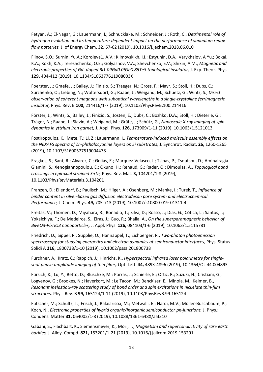Fetyan, A.; El-Nagar, G.; Lauermann, I.; Schnucklake, M.; Schneider, J.; Roth, C., *Detrimental role of hydrogen evolution and its temperature-dependent impact on the performance of vanadium redox flow batteries,* J. of Energy Chem. **32,** 57-62 (2019), 10.1016/j.jechem.2018.06.010

Filnov, S.O.; Surnin, Yu.A.; Koroleva1, A.V.; Klimovskikh, I.I.; Estyunin, D.A.; Varykhalov, A Yu.; Bokai, K.A.; Kokh, K.A.; Tereshchenko, O.E.; Golyashov, V.A.; Shevchenko, E.V.; Shikin, A.M., *Magnetic and electronic properties of Gd- doped Bi1.09Gd0.06Sb0.85Te3 topological insulator,* J. Exp. Theor. Phys. **129,** 404-412 (2019), 10.1134/S106377611908003X

Foerster, J.; Graefe, J.; Bailey, J.; Finizio, S.; Traeger, N.; Gross, F.; Mayr, S.; Stoll, H.; Dubs, C.; Surzhenko, O.; Liebing, N.; Woltersdorf, G.; Raabe, J.; Weigand, M.; Schuetz, G.; Wintz, S., *Direct observation of coherent magnons with suboptical wavelengths in a single-crystalline ferrimagnetic insulator,* Phys. Rev. B **100,** 214416/1-7 (2019), 10.1103/PhysRevB.100.214416

Förster, J.; Wintz, S.; Bailey, J.; Finizio, S.; Josten, E.; Dubs, C.; Bozhko, D.A.; Stoll, H.; Dieterle, G.; Träger, N.; Raabe, J.; Slavin, A.; Weigand, M.; Gräfe, J.; Schütz, G., *Nanoscale X-ray imaging of spin dynamics in yttrium iron garnet,* J. Appl. Phys. **126,** 173909/1-11 (2019), 10.1063/1.5121013

Fostiropoulos, K.; Mete, T.; Li, Z.; Lauermann, I., *Temperature-induced molecule assembly effects on the NEXAFS spectra of Zn-phthalocyanine layers on Si substrates,* J. Synchrot. Radiat. **26,** 1260-1265 (2019), 10.1107/S1600577519004478

Fragkos, S.; Sant, R.; Alvarez, C.; Golias, E.; Marquez-Velasco, J.; Tsipas, P.; Tsoutsou, D.; Aminalragia-Giamini, S.; Xenogiannopoulou, E.; Okuno, H.; Renaud, G.; Rader, O.; Dimoulas, A., *Topological band crossings in epitaxial strained SnTe,* Phys. Rev. Mat. **3,** 104201/1-8 (2019), 10.1103/PhysRevMaterials.3.104201

Franzen, D.; Ellendorf, B.; Paulisch, M.; Hilger, A.; Osenberg, M.; Manke, I.; Turek, T., *Influence of binder content in silver-based gas diffusion electrodeson pore system and electrochemical Performance,* J. Chem. Phys. **49,** 705-713 (2019), 10.1007/s10800-019-01311-4

Freitas, V.; Thomen, D.; Miyahara, R.; Bonadio, T.; Silva, D.; Rosso, J.; Dias, G.; Cótica, L.; Santos, I.; Yokaichiya, F.; De Medeiros, S.; Eiras, J.; Guo, R.; Bhalla, A., *On the superparamagnetic behavior of BiFeO3-PbTiO3 nanoparticles,* J. Appl. Phys. **126,** 084103/1-6 (2019), 10.1063/1.5115781

Friedrich, D.; Sippel, P.; Supplie, O.; Hannappel, T.; Eichberger, R., *Two-photon photoemission spectroscopy for studying energetics and electron dynamics at semiconductor interfaces,* Phys. Status Solidi A **216,** 1800738/1-10 (2019), 10.1002/pssa.201800738

Furchner, A.; Kratz, C.; Rappich, J.; Hinrichs, K., *Hyperspectral infrared laser polarimetry for singleshot phase-amplitude imaging of thin films,* Opt. Lett. **44,** 4893-4896 (2019), 10.1364/OL.44.004893

Fürsich, K.; Lu, Y.; Betto, D.; Bluschke, M.; Porras, J.; Schierle, E.; Ortiz, R.; Suzuki, H.; Cristiani, G.; Logvenov, G.; Brookes, N.; Haverkort, M.; Le Tacon, M.; Benckiser, E.; Minola, M.; Keimer, B., *Resonant inelastic x-ray scattering study of bond order and spin excitations in nickelate thin-film structures,* Phys. Rev. B **99,** 165124/1-11 (2019), 10.1103/PhysRevB.99.165124

Futscher, M.; Schultz, T.; Frisch, J.; Ralaiarisoa, M.; Metwalli, E.; Nardi, M.V.; Müller-Buschbaum, P.; Koch, N., *Electronic properties of hybrid organic/inorganic semiconductor pn-junctions*, J. Phys.: Condens. Matter **31,** 064002/1-8 (2019), 10.1088/1361-648X/aaf310

Gabani, S.; Flachbart, K.; Siemensmeyer, K.; Mori, T., *Magnetism and superconductivity of rare earth borides,* J. Alloy. Compd. **821,** 153201/1-21 (2019), 10.1016/j.jallcom.2019.153201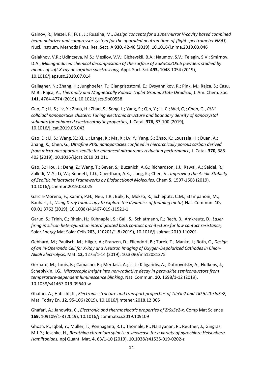Gainov, R.; Mezei, F.; Füzi, J.; Russina, M., *Design concepts for a supermirror V-cavity based combined beam polarizer and compressor system for the upgraded neutron time-of-flight spectrometer NEAT,*  Nucl. Instrum. Methods Phys. Res. Sect. A **930,** 42-48 (2019), 10.1016/j.nima.2019.03.046

Galakhov, V.R.; Udintseva, M.S.; Mesilov, V.V.; Gizhevskii, B.A.; Naumov, S.V.; Telegin, S.V.; Smirnov, D.A., *Milling-induced chemical decomposition of the surface of EuBaCo2O5.5 powders studied by means of soft X-ray absorption spectroscopy,* Appl. Surf. Sci. **493,** 1048-1054 (2019), 10.1016/j.apsusc.2019.07.014

Gallagher, N.; Zhang, H.; Junghoefer, T.; Giangrisostomi, E.; Ovsyannikov, R.; Pink, M.; Rajca, S.; Casu, M.B.; Rajca, A., *Thermally and Magnetically Robust Triplet Ground State Diradical,* J. Am. Chem. Soc. **141,** 4764-4774 (2019), 10.1021/jacs.9b00558

Gao, D.; Li, S.; Lv, Y.; Zhuo, H.; Zhao, S.; Song, L.; Yang, S.; Qin, Y.; Li, C.; Wei, Q.; Chen, G., *PtNi colloidal nanoparticle clusters: Tuning electronic structure and boundary density of nanocrystal subunits for enhanced electrocatalytic properties,* J. Catal. **376,** 87-100 (2019), 10.1016/j.jcat.2019.06.043

Gao, D.; Li, S.; Wang, X.; Xi, L.; Lange, K.; Ma, X.; Lv, Y.; Yang, S.; Zhao, K.; Loussala, H.; Duan, A.; Zhang, X.; Chen, G., *Ultrafine PtRu nanoparticles confined in hierarchically porous carbon derived from micro-mesoporous zeolite for enhanced nitroarenes reduction performance,* J. Catal. **370,** 385- 403 (2019), 10.1016/j.jcat.2019.01.011

Gao, S.; Hou, J.; Deng, Z.; Wang, T.; Beyer, S.; Buzanich, A.G.; Richardson, J.J.; Rawal, A.; Seidel, R.; Zulkifli, M.Y.; Li, W.; Bennett, T.D.; Cheetham, A.K.; Liang, K.; Chen, V., *Improving the Acidic Stability of Zeolitic Imidazolate Frameworks by Biofunctional Molecules,* Chem **5,** 1597-1608 (2019), 10.1016/j.chempr.2019.03.025

Garcia-Moreno, F.; Kamm, P.H.; Neu, T.R.; Bülk, F.; Mokso, R.; Schlepütz, C.M.; Stampanoni, M.; Banhart, J., *Using X-ray tomoscopy to explore the dynamics of foaming metal,* Nat. Commun. **10,**  09.01.3762 (2019), 10.1038/s41467-019-11521-1

Garud, S.; Trinh, C.; Rhein, H.; Kühnapfel, S.; Gall, S.; Schlatmann, R.; Rech, B.; Amkreutz, D., *Laser firing in silicon heterojunction interdigitated back contact architecture for low contact resistance,*  Solar Energy Mat Solar Cells **203,** 110201/1-8 (2019), 10.1016/j.solmat.2019.110201

Gebhard, M.; Paulisch, M.; Hilger, A.; Franzen, D.; Ellendorf, B.; Turek, T.; Manke, I.; Roth, C., *Design of an In-Operando Cell for X-Ray and Neutron Imaging of Oxygen-Depolarized Cathodes in Chlor-Alkali Electrolysis,* Mat. **12,** 1275/1-14 (2019), 10.3390/ma12081275

Gerhard, M.; Louis, B.; Camacho, R.; Merdasa, A.; Li, J.; Kiligaridis, A.; Dobrovolsky, A.; Hofkens, J.; Scheblykin, I.G., *Microscopic insight into non-radiative decay in perovskite semiconductors from temperature-dependent luminescence blinking,* Nat. Commun. **10,** 1698/1-12 (2019), 10.1038/s41467-019-09640-w

Ghafari, A.; Habicht, K., *Electronic structure and transport properties of TlInSe2 and Tl0.5Li0.5InSe2,*  Mat. Today En. **12,** 95-106 (2019), 10.1016/j.mtener.2018.12.005

Ghafari, A.; Janowitz, C., *Electronic and thermoelectric properties of ZrSxSe2-x,* Comp Mat Science **169,** 109109/1-8 (2019), 10.1016/j.commatsci.2019.109109

Ghosh, P.; Iqbal, Y.; Müller, T.; Ponnaganti, R.T.; Thomale, R.; Narayanan, R.; Reuther, J.; Gingras, M.J.P.; Jeschke, H., *Breathing chromium spinels: a showcase for a variety of pyrochlore Heisenberg Hamiltonians,* npj Quant. Mat. **4,** 63/1-10 (2019), 10.1038/s41535-019-0202-z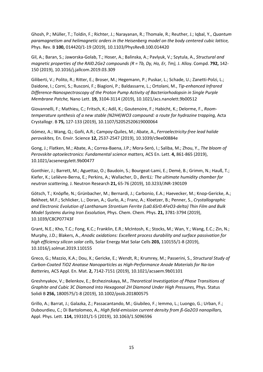Ghosh, P.; Müller, T.; Toldin, F.; Richter, J.; Narayanan, R.; Thomale, R.; Reuther, J.; Iqbal, Y., *Quantum paramagnetism and helimagnetic orders in the Heisenberg model on the body centered cubic lattice,*  Phys. Rev. B **100,** 014420/1-19 (2019), 10.1103/PhysRevB.100.014420

Gil, A.; Baran, S.; Jaworska-Golab, T.; Hoser, A.; Balinska, A.; Pavlyuk, V.; Szytula, A., *Structural and magnetic properties of the RAI0.2Ge2 compounds (R = Tb, Dy, Ho, Er, Tm), J. Alloy. Compd. 792, 142-*150 (2019), 10.1016/j.jallcom.2019.03.309

Giliberti, V.; Polito, R.; Ritter, E.; Broser, M.; Hegemann, P.; Puskar, L.; Schade, U.; Zanetti-Polzi, L.; Daidone, I.; Corni, S.; Rusconi, F.; Biagioni, P.; Baldassarre, L.; Ortolani, M., *Tip-enhanced Infrared Difference-Nanospectroscopy of the Proton Pump Activity of Bacteriorhodopsin in Single Purple Membrane Patche,* Nano Lett. **19,** 3104-3114 (2019), 10.1021/acs.nanolett.9b00512

Giovannelli, F.; Mathieu, C.; Fritsch, K.; Adil, K.; Goutenoire, F.; Habicht, K.; Delorme, F., *Roomtemperature synthesis of a new stable (N2H4)WO3 compound: a route for hydrazine trapping,* Acta Crystallogr. B **75,** 127-133 (2019), 10.1107/S2052520619000064

Gómez, A.; Wang, Q.; Goñi, A.R.; Campoy-Quiles, M.; Abate, A., *Ferroelectricity-free lead halide perovskites,* En. Envir. Science **12,** 2537-2547 (2019), 10.1039/c9ee00884e

Gong, J.; Flatken, M.; Abate, A.; Correa-Baena, J.P.; Mora-Seró, I.; Saliba, M.; Zhou, Y., *The bloom of Perovskite optoelectronics: Fundamental science matters,* ACS En. Lett. **4,** 861-865 (2019), 10.1021/acsenergylett.9b00477

Gonthier, J.; Barrett, M.; Aguettaz, O.; Baudoin, S.; Bourgeat-Lami, E.; Demé, B.; Grimm, N.; Hauß, T.; Kiefer, K.; Lelièvre-Berna, E.; Perkins, A.; Wallacher, D., *BerILL: The ultimate humidity chamber for neutron scattering,* J. Neutron Research **21,** 65-76 (2019), 10.3233/JNR-190109

Götsch, T.; Knöpfle, N.; Grünbacher, M.; Bernardi, J.; Carbonio, E.A.; Haevecker, M.; Knop-Gericke, A.; Bekheet, M.F.; Schlicker, L.; Doran, A.; Gurlo, A.; Franz, A.; Kloetzer, B.; Penner, S., *Crystallographic and Electronic Evolution of Lanthanum Strontium Ferrite (La0.6Sr0.4FeO3-delta) Thin Film and Bulk Model Systems during Iron Exsolution,* Phys. Chem. Chem. Phys. **21,** 3781-3794 (2019), 10.1039/C8CP07743F

Grant, N.E.; Kho, T.C.; Fong, K.C.; Franklin, E.R.; McIntosh, K.; Stocks, M.; Wan, Y.; Wang, E.C.; Zin, N.; Murphy, J.D.; Blakers, A., *Anodic oxidations: Excellent process durability and surface passivation for high efficiency silicon solar cells,* Solar Energy Mat Solar Cells **203,** 110155/1-8 (2019), 10.1016/j.solmat.2019.110155

Greco, G.; Mazzio, K.A.; Dou, X.; Gericke, E.; Wendt, R.; Krumrey, M.; Passerini, S., *Structural Study of Carbon-Coated TiO2 Anatase Nanoparticles as High-Performance Anode Materials for Na-Ion Batteries,* ACS Appl. En. Mat. **2,** 7142-7151 (2019), 10.1021/acsaem.9b01101

Greshnyakov, V.; Belenkov, E.; Brzhezinskaya, M., *Theoretical Investigation of Phase Transitions of*  Graphite and Cubic 3C Diamond Into Hexagonal 2H Diamond Under High Pressures, Phys. Status Solidi B **256,** 1800575/1-8 (2019), 10.1002/pssb.201800575

Grillo, A.; Barrat, J.; Galazka, Z.; Passacantando, M.; Giubileo, F.; Iemmo, L.; Luongo, G.; Urban, F.; Dubourdieu, C.; Di Bartolomeo, A., *High field-emission current density from ß-Ga2O3 nanopillars,*  Appl. Phys. Lett. **114,** 193101/1-5 (2019), 10.1063/1.5096596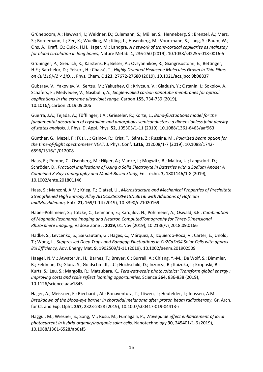Grüneboom, A.; Hawwari, I.; Weidner, D.; Culemann, S.; Müller, S.; Henneberg, S.; Brenzel, A.; Merz, S.; Bornemann, L.; Zec, K.; Wuelling, M.; Kling, L.; Hasenberg, M.; Voortmann, S.; Lang, S.; Baum, W.; Ohs, A.; Kraff, O.; Quick, H.H.; Jäger, M.; Landgra, *A network of trans-cortical capillaries as mainstay for blood circulation in long bones,* Nature Metab. **1,** 236-250 (2019), 10.1038/s42255-018-0016-5

Grüninger, P.; Greulich, K.; Karstens, R.; Belser, A.; Ovsyannikov, R.; Giangrisostomi, E.; Bettinger, H.F.; Batchelor, D.; Peisert, H.; Chassé, T., *Highly Oriented Hexacene Molecules Grown in Thin Films on Cu(110)-(2 × 1)O,* J. Phys. Chem. C **123,** 27672-27680 (2019), 10.1021/acs.jpcc.9b08837

Gubarev, V.; Yakovlev, V.; Sertsu, M.; Yakushev, O.; Krivtsun, V.; Gladush, Y.; Ostanin, I.; Sokolov, A.; Schäfers, F.; Medvedev, V.; Nasibulin, A., *Single-walled carbon nanotube membranes for optical applications in the extreme ultraviolet range,* Carbon **155,** 734-739 (2019), 10.1016/j.carbon.2019.09.006

Guerra, J.A.; Tejada, A.; Töfflinger, J.A.; Grieseler, R.; Korte, L., *Band-fluctuations model for the fundamental absorption of crystalline and amorphous semiconductors: a dimensionless joint density of states analysis,* J. Phys. D. Appl. Phys. **52,** 105303/1-11 (2019), 10.1088/1361-6463/aaf963

Günther, G.; Mezei, F.; Füzi, J.; Gainov, R.; Krist, T.; Sánta, Z.; Russina, M., *Polarized beam option for the time-of-flight spectrometer NEAT,* J. Phys. Conf. **1316,** 012008/1-7 (2019), 10.1088/1742- 6596/1316/1/012008

Haas, R.; Pompe, C.; Osenberg, M.; Hilger, A.; Manke, I.; Mogwitz, B.; Maitra, U.; Langsdorf, D.; Schröder, D., *Practical Implications of Using a Solid Electrolyte in Batteries with a Sodium Anode: A Combined X-Ray Tomography and Model-Based Study,* En. Techn. **7,** 1801146/1-8 (2019), 10.1002/ente.201801146

Haas, S.; Manzoni, A.M.; Krieg, F.; Glatzel, U., *Microstructure and Mechanical Properties of Precipitate Strengthened High Entropy Alloy Al10Co25Cr8Fe15Ni36Ti6 with Additions of Hafnium andMolybdenum,* Entr. **21,** 169/1-14 (2019), 10.3390/e21020169

Haber-Pohlmeier, S.; Tötzke, C.; Lehmann, E.; Kardjilov, N.; Pohlmeier, A.; Oswald, S.E., *Combination of Magnetic Resonance Imaging and Neutron ComputedTomography for Three-Dimensional Rhizosphere Imaging,* Vadose Zone J. **2019,** 01.Nov (2019), 10.2136/vzj2018.09.0166

Hadke, S.; Levcenko, S.; Sai Gautam, G.; Hages, C.; Márquez, J.; Izquierdo-Roca, V.; Carter, E.; Unold, T.; Wong, L., *Suppressed Deep Traps and Bandgap Fluctuations in Cu2CdSnS4 Solar Cells with approx 8% Efficiency,* Adv. Energy Mat. **9,** 1902509/1-11 (2019), 10.1002/aenm.201902509

Haegel, N.M.; Atwater Jr., H.; Barnes, T.; Breyer, C.; Burrell, A.; Chiang, Y.-M.; De Wolf, S.; Dimmler, B.; Feldman, D.; Glunz, S.; Goldschmidt, J.C.; Hochschild, D.; Inzunza, R.; Kaizuka, I.; Kroposki, B.; Kurtz, S.; Leu, S.; Margolis, R.; Matsubara, K., *Terawatt-scale photovoltaics: Transform global energy : Improving costs and scale reflect looming opportunities,* Science **364,** 836-838 (2019), 10.1126/science.aaw1845

Hager, A.; Meissner, F.; Riechardt, AI.; Bonaventura, T.; Löwen, J.; Heufelder, J.; Joussen, A.M., *Breakdown of the blood-eye barrier in choroidal melanoma after proton beam radiotherapy,* Gr. Arch. for Cl. and Exp. Opht. **257,** 2323-2328 (2019), 10.1007/s00417-019-04413-z

Haggui, M.; Wiesner, S.; Song, M.; Rusu, M.; Fumagalli, P., *Waveguide effect enhancement of local photocurrent in hybrid organic/inorganic solar cells,* Nanotechnology **30,** 245401/1-6 (2019), 10.1088/1361-6528/ab0af5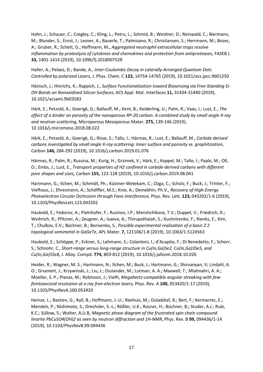Hahn, J.; Schauer, C.; Czegley, C.; Kling, L.; Petru, L.; Schmid, B.; Weidner, D.; Reinwald, C.; Biermann, M.; Blunder, S.; Ernst, J.; Lesner, A.; Bauerle, T.; Palmisano, R.; Christiansen, S.; Herrmann, M.; Bozec, A.; Gruber, R.; Schett, G.; Hoffmann, M., *Aggregated neutrophil extracellular traps resolve inflammation by proteolysis of cytokines and chemokines and protection from antiproteases,* FASEB J. **33,** 1401-1414 (2019), 10.1096/fj.201800752R

Haller, A.; Pelaez, D.; Bande, A., *Inter-Coulombic Decay in Laterally-Arranged Quantum Dots Controlled by polarized Lasers,* J. Phys. Chem. C **123,** 14754-14765 (2019), 10.1021/acs.jpcc.9b01250

Hänisch, J.; Hinrichs, K.; Rappich, J., *Surface Functionalization toward Biosensing via Free-Standing Si-OH Bonds on Nonoxidized Silicon Surfaces,* ACS Appl. Mat. Interfaces **11,** 31434-31440 (2019), 10.1021/acsami.9b03583

Härk, E.; Petzold, A.; Goerigk, G.; Ballauff, M.; Kent, B.; Keiderling, U.; Palm, R.; Vaas, I.; Lust, E., *The effect of a binder on porosity of the nanoporous RP-20 carbon. A combined study by small angle X-ray and neutron scattering,* Microporous Mesoporous Mater. **275,** 139-146 (2019), 10.1016/j.micromeso.2018.08.022

Härk, E.; Petzold, A.; Goerigk, G.; Risse, S.; Tallo, I.; Härmas, R.; Lust, E.; Ballauff, M., *Carbide derived carbons investigated by small angle X-ray scattering: Inner surface and porosity vs. graphitization,*  Carbon **146,** 284-292 (2019), 10.1016/j.carbon.2019.01.076

Härmas, R.; Palm, R.; Russina, M.; Kurig, H.; Grzimek, V.; Härk, E.; Koppel, M.; Tallo, I.; Paalo, M.; Oll, O.; Embs, J.; Lust, E., *Transport properties of H2 confined in carbide-derived carbons with different pore shapes and sizes,* Carbon **155,** 122-128 (2019), 10.1016/j.carbon.2019.08.041

Hartmann, G.; Ilchen, M.; Schmidt, Ph.; Küstner-Wetekam, C.; Ozga, C.; Scholz, F.; Buck, J.; Trinter, F.; Viefhaus, J.; Ehresmann, A.; Schöffler, M.S.; Knie, A.; Demekhin, Ph.V., *Recovery of High-Energy Photoelectron Circular Dichroism through Fano Interference,* Phys. Rev. Lett. **123,** 043202/1-6 (2019), 10.1103/PhysRevLett.123.043202

Haubold, E.; Fedorov, A.; Pielnhofer, F.; Rusinov, I.P.; Menshchikova, T.V.; Duppel, V.; Friedrich, D.; Weihrich, R.; Pfitzner, A.; Zeugner, A.; Isaeva, A.; Thirupathaiah, S.; Kushnirenko, Y.; Rienks, E.; Kim, T.; Chulkov, E.V.; Büchner, B.; Borisenko, S., *Possible experimental realization of a basic Z 2 topological semimetal in GaGeTe,* APL Mater. **7,** 121106/1-8 (2019), 10.1063/1.5124563

Haubold, E.; Schöppe, P.; Eckner, S.; Lehmann, S.; Colantoni, I.; d'Acapito, F.; Di Benedetto, F.; Schorr, S.; Schnohr, C., *Short-range versus long-range structure in Cu(In,Ga)Se2, Cu(In,Ga)3Se5, and Cu(In,Ga)5Se8,* J. Alloy. Compd. **774,** 803-812 (2019), 10.1016/j.jallcom.2018.10.026

Heider, R.; Wagner, M. S.; Hartmann, N.; Ilchen, M.; Buck, J.; Hartmann, G.; Shirvanyan, V; Lindahl, A. O.; Gruenert, J.; Krzywinski, J.; Liu, J.; Ossiander, M.; Lutman, A. A.; Maxwell, T.; Miahnahri, A. A.; Moeller, S. P.; Planas, M.; Robinson, J.; Viefh, *Megahertz-compatible angular streaking with fewfemtosecond resolution at x-ray free-electron lasers,* Phys. Rev. A **100,** 053420/1-17 (2019), 10.1103/PhysRevA.100.053420

Heinze, L.; Bastien, G.; Ryll, B.; Hoffmann, J.-U.; Reehuis, M.; Ouladdiaf, B.; Bert, F.; Kermarrec, E.; Mendels, P.; Nishimoto, S.; Drechsler, S.-L.; Rößler, U.K.; Rosner, H.; Büchner, B.; Studer, A.J.; Rule, K.C.; Süllow, S.; Wolter, A.U.B, *Magnetic phase diagram of the frustrated spin chain compound linarite PbCuSO4(OH)2 as seen by neutron diffraction and 1H-NMR,* Phys. Rev. B **99,** 094436/1-14 (2019), 10.1103/PhysRevB.99.094436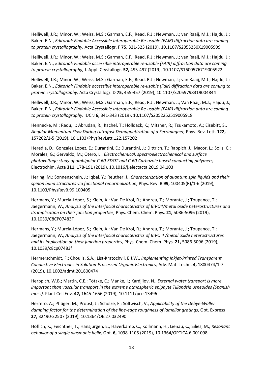Helliwell, J.R.; Minor, W.; Weiss, M.S.; Garman, E.F.; Read, R.J.; Newman, J.; van Raaij, M.J.; Hajdu, J.; Baker, E.N., *Editorial: Findable Accessible Interoperable Re-usable (FAIR) diffraction data are coming to protein crystallography,* Acta Crystallogr. F **75,** 321-323 (2019), 10.1107/S2053230X19005909

Helliwell, J.R.; Minor, W.; Weiss, M.S.; Garman, E.F.; Read, R.J.; Newman, J.; van Raaij, M.J.; Hajdu, J.; Baker, E.N., *Editorial: Findable accessible interoperable re-usable (FAIR) diffraction data are coming to protein crystallography,* J. Appl. Crystallogr. **52,** 495-497 (2019), 10.1107/S1600576719005922

Helliwell, J.R.; Minor, W.; Weiss, M.S.; Garman, E.F.; Read, R.J.; Newman, J.; van Raaij, M.J.; Hajdu, J.; Baker, E.N., *Editorial: Findable accessible interoperable re-usable (Fair) diffraction data are coming to protein crystallography,* Acta Crystallogr. D **75,** 455-457 (2019), 10.1107/S2059798319004844

Helliwell, J.R.; Minor, W.; Weiss, M.S.; Garman, E.F.; Read, R.J.; Newman, J.; Van Raaij, M.J.; Hajdu, J.; Baker, E.N., *Editorial: Findable Accessible Interoperable Re-usable (FAIR) diffraction data are coming to protein crystallography,* IUCrJ **6,** 341-343 (2019), 10.1107/S2052252519005918

Hennecke, M.; Radu, I.; Abrudan, R.; Kachel, T.; Holldack, K.; Mitzner, R.; Tsukamoto, A.; Eisebitt, S., *Angular Momentum Flow During Ultrafast Demagnetization of a Ferrimagnet,* Phys. Rev. Lett. **122,**  157202/1-5 (2019), 10.1103/PhysRevLett.122.157202

Heredia, D.; Gonzalez Lopez, E.; Durantini, E.; Durantini, J.; Dittrich, T.; Rappich, J.; Macor, L.; Solis, C.; Morales, G.; Gervaldo, M.; Otero, L., *Electrochemical, spectroelectrochemical and surface photovoltage study of ambipolar C-60-EDOT and C-60-Carbazole based conducting polymers,*  Electrochim. Acta **311,** 178-191 (2019), 10.1016/j.electacta.2019.04.103

Hering, M.; Sonnenschein, J.; Iqbal, Y.; Reuther, J., *Characterization of quantum spin liquids and their spinon band structures via functional renormalization,* Phys. Rev. B **99,** 100405(R)/1-6 (2019), 10.1103/PhysRevB.99.100405

Hermans, Y.; Murcia-López, S.; Klein, A.; Van De Krol, R.; Andreu, T.; Morante, J.; Toupance, T.; Jaegermann, W., *Analysis of the interfacial characteristics of BiVO4/metal oxide heterostructures and its implication on their junction properties,* Phys. Chem. Chem. Phys. **21,** 5086-5096 (2019), 10.1039/C8CP07483F

Hermans, Y.; Murcia-López, S.; Klein, A.; Van De Krol, R.; Andreu, T.; Morante, J.; Toupance, T.; Jaegermann, W., *Analysis of the interfacial characteristics of BiVO 4 /metal oxide heterostructures and its implication on their junction properties,* Phys. Chem. Chem. Phys. **21,** 5086-5096 (2019), 10.1039/c8cp07483f

Hermerschmidt, F.; Choulis, S.A.; List-Kratochvil, E.J.W., *Implementing Inkjet-Printed Transparent Conductive Electrodes in Solution-Processed Organic Electronics,* Adv. Mat. Techn. **4,** 1800474/1-7 (2019), 10.1002/admt.201800474

Herppich, W.B.; Martin, C.E.; Tötzke, C.; Manke, I.; Kardjilov, N., *External water transport is more important than vascular transport in the extreme atmospheric epiphyte Tillandsia usneoides (Spanish moss),* Plant Cell Env. **42,** 1645-1656 (2019), 10.1111/pce.13496

Herrero, A.; Pflüger, M.; Probst, J.; Scholze, F.; Soltwisch, V., *Applicability of the Debye-Waller damping factor for the determination of the line-edge roughness of lamellar gratings,* Opt. Express **27,** 32490-32507 (2019), 10.1364/OE.27.032490

Höflich, K.; Feichtner, T.; Hansjürgen, E.; Haverkamp, C.; Kollmann, H.; Lienau, C.; Silies, M., *Resonant behavior of a single plasmonic helix,* Opt. **6,** 1098-1105 (2019), 10.1364/OPTICA.6.001098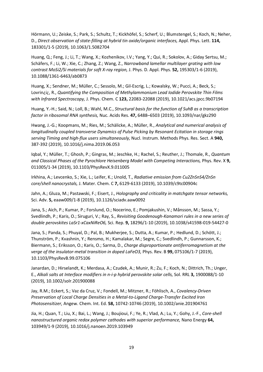Hörmann, U.; Zeiske, S.; Park, S.; Schultz, T.; Kickhöfel, S.; Scherf, U.; Blumstengel, S.; Koch, N.; Neher, D., *Direct observation of state-filling at hybrid tin oxide/organic interfaces,* Appl. Phys. Lett. **114,**  183301/1-5 (2019), 10.1063/1.5082704

Huang, Q.; Feng, J.; Li, T.; Wang, X.; Kozhenikov, I.V.; Yang, Y.; Qui, R.; Sokolov, A.; Giday Sertsu, M.; Schäfers, F.; Li, W.; Xie, C.; Zhang, Z.; Wang, Z., *Narrowband lamellar multilayer grating with low contrast MoSi2/Si materials for soft X-ray region,* J. Phys. D. Appl. Phys. **52,** 195303/1-6 (2019), 10.1088/1361-6463/ab0873

Huang, X.; Sendner, M.; Müller, C.; Sessolo, M.; Gil-Escrig, L.; Kowalsky, W.; Pucci, A.; Beck, S.; Lovrin¿i¿, R., *Quantifying the Composition of Methylammonium Lead Iodide Perovskite Thin Films with Infrared Spectroscopy,* J. Phys. Chem. C **123,** 22083-22088 (2019), 10.1021/acs.jpcc.9b07194

Huang, Y.-H.; Said, N.; Loll, B.; Wahl, M.C., *Structural basis for the function of SuhB as a transcription factor in ribosomal RNA synthesis,* Nuc. Acids Res. **47,** 6488–6503 (2019), 10.1093/nar/gkz290

Hwang, J.-G.; Koopmans, M.; Ries, M.; Schälicke, A.; Müller, R., *Analytical and numerical analysis of longitudinally coupled transverse Dynamics of Pulse Picking by Resonant Ecitation in storage rings serving Timing and high-flux users simultaneously,* Nucl. Instrum. Methods Phys. Res. Sect. A **940,**  387-392 (2019), 10.1016/j.nima.2019.06.053

Iqbal, Y.; Müller, T.; Ghosh, P.; Gingras, M.; Jeschke, H.; Rachel, S.; Reuther, J.; Thomale, R., *Quantum and Classical Phases of the Pyrochlore Heisenberg Model with Competing Interactions,* Phys. Rev. X **9,**  011005/1-34 (2019), 10.1103/PhysRevX.9.011005

Irkhina, A.; Levcenko, S.; Xie, L.; Leifer, K.; Unold, T., *Radiative emission from Cu2ZnSnS4/ZnSn core/shell nanocrystals,* J. Mater. Chem. C **7,** 6129-6133 (2019), 10.1039/c9tc00904c

Jahn, A.; Gluza, M.; Pastawski, F.; Eisert, J., *Holography and criticality in matchgate tensor networks,*  Sci. Adv. **5,** eaaw009/1-8 (2019), 10.1126/sciadv.aaw0092

Jana, S.; Aich, P.; Kumar, P.; Forslund, O.; Nocerino, E.; Pomjakushin, V.; Månsson, M.; Sassa, Y.; Svedlindh, P.; Karis, O.; Siruguri, V.; Ray, S., *Revisiting Goodenough-Kanamori rules in a new series of double perovskites LaSr1-xCaxNiReO6,* Sci. Rep. **9,** 18296/1-10 (2019), 10.1038/s41598-019-54427-0

Jana, S.; Panda, S.; Phuyal, D.; Pal, B.; Mukherjee, S.; Dutta, A.; Kumar, P.; Hedlund, D.; Schött, J.; Thunström, P.; Kvashnin, Y.; Rensmo, H.; Kamalakar, M.; Segre, C.; Svedlindh, P.; Gunnarsson, K.; Biermann, S.; Eriksson, O.; Karis, O.; Sarma, D., *Charge disproportionate antiferromagnetism at the verge of the insulator-metal transition in doped LaFeO3,* Phys. Rev. B **99,** 075106/1-7 (2019), 10.1103/PhysRevB.99.075106

Janardan, D.; Hirselandt, K.; Merdasa, A.; Czudek, A.; Munir, R.; Zu, F.; Koch, N.; Dittrich, Th.; Unger, E., *Alkali salts at Interface modifiers in n-i-p hybrid perovskite solar cells,* Sol. RRL **3,** 1900088/1-10 (2019), 10.1002/solr.201900088

Jay, R.M.; Eckert, S.; Vaz da Cruz, V.; Fondell, M.; Mitzner, R.; Föhlisch, A., *Covalency-Driven Preservation of Local Charge Densities in a Metal-to-Ligand Charge-Transfer Excited Iron Photosensitizer,* Angew. Chem. Int. Ed. **58,** 10742-10746 (2019), 10.1002/anie.201904761

Jia, H.; Quan, T.; Liu, X.; Bai, L.; Wang, J.; Boujioui, F.; Ye, R.; Vlad, A.; Lu, Y.; Gohy, J.-F., *Core-shell nanostructured organic redox polymer cathodes with superior performance,* Nano Energy **64,**  103949/1-9 (2019), 10.1016/j.nanoen.2019.103949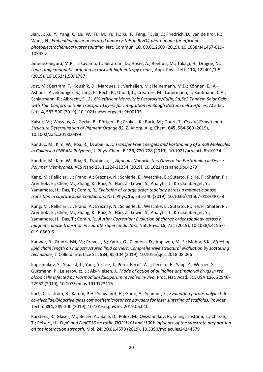Jian, J.; Xu, Y.; Yang, X.; Liu, W.; Fu, M.; Yu, H.; Xu, F.; Feng, F.; Jia, L.; Friedrich, D.; van de Krol, R.; Wang, H., *Embedding laser generated nanocrystals in BiVO4 photoanode for efficient photoelectrochemical water splitting,* Nat. Commun. **10,** 09.01.2609 (2019), 10.1038/s41467-019- 10543-z

Jimenez-Segura, M.P.; Takayama, T.; Berardan, D.; Hoser, A.; Reehuis, M.; Takagi, H.; Dragoe, N., *Long-range magnetic ordering in rocksalt high-entropy oxides,* Appl. Phys. Lett. **114,** 122401/1-5 (2019), 10.1063/1.5091787

Jost, M.; Bertram, T.; Koushik, D.; Marquez, J.; Verheijen, M.; Heinemann, M.D.; Köhnen, E.; Al-Ashouri, A.; Braunger, S.; Lang, F.; Rech, B.; Unold, T.; Creatore, M.; Lauermann, I.; Kaufmann, C.A.; Schlatmann, R.; Albrecht, S., *21.6%-efficient Monolithic Perovskite/Cu(In,Ga)Se2 Tandem Solar Cells with Thin Conformal Hole Transport Layers for Integration on Rough Bottom Cell Surfaces,* ACS En. Lett. **4,** 583-590 (2019), 10.1021/acsenergylett.9b00135

Kaiser, M.; Wosylus, A.; Gerke, B.; Pöttgen, R.; Prokes, K.; Ruck, M.; Doert, T., *Crystal Growth and Structure Determination of Pigment Orange 82,* Z. Anorg. Allg. Chem. **645,** 564-569 (2019), 10.1002/zaac.201800499

Kanduc, M.; Kim, W.; Roa, R.; Dzubiella, J., *Transfer Free Energies and Partitioning of Small Molecules in Collapsed PNIPAM Polymers,* J. Phys. Chem. B **123,** 720-728 (2019), 10.1021/acs.jpcb.8b10134

Kanduc, M.; Kim, W.; Roa, R.; Dzubiella, J., *Aqueous Nanoclusters Govern Ion Partitioning in Dense Polymer Membranes,* ACS Nano **13,** 11224-11234 (2019), 10.1021/acsnano.9b04279

Kang, M.; Pelliciari, J.; Frano, A.; Breznay, N.; Schierle, E.; Weschke, E.; Sutarto, R.; He, F.; Shafer, P.; Arenholz, E.; Chen, M.; Zhang, K.; Ruiz, A.; Hao, Z.; Lewin, S.; Analytis, J.; Krockenberger, Y.; Yamamoto, H.; Das, T.; Comin, R., *Evolution of charge order topology across a magnetic phase transition in cuprate superconductors,* Nat. Phys. **15,** 335-340 (2019), 10.1038/s41567-018-0401-8

Kang, M.; Pelliciari, J.; Frano, A.; Breznay, N.; Schierle, E.; Weschke, E.; Sutarto, R.; He, F.; Shafer, P.; Arenholz, E.; Chen, M.; Zhang, K.; Ruiz, A.; Hao, Z.; Lewin, S.; Analytis, J.; Krockenberger, Y.; Yamamoto, H.; Das, T.; Comin, R., *Author Correction: Evolution of charge order topology across a magnetic phase transition in cuprate superconductors,* Nat. Phys. **15,** 721 (2019), 10.1038/s41567- 019-0569-6

Kanwar, R.; Gradzielski, M.; Prevost, S.; Kaura, G.; Clemens, D.; Appavou, M.-S.; Mehta, S.K., *Effect of lipid chain length on nanostructured lipid carriers: Comprehensive structural evaluation by scattering techniques,* J. Colloid Interface Sci. **534,** 95-104 (2019), 10.1016/j.jcis.2018.08.066

Kapishnikov, S.; Staalsø, T.; Yang, Y.; Lee, J.; Pérez-Berná, A.J.; Pereiro, E.; Yang, Y.; Werner, S.; Guttmann, P.; Leiserowitz, L.; Als-Nielsen, J., *Mode of action of quinoline antimalarial drugs in red blood cells infected by Plasmodium falciparum revealed in-vivo,* Proc. Nat. Acad. Sci. USA **116,** 22946- 22952 (2019), 10.1073/pnas.1910123116

Karl, D.; Jastram, B.; Kamm, P.H.; Schwandt, H.; Gurlo, A.; Schmidt, F., *Evaluating porous polylactideco-glycolide/bioactive glass compositemicrosphere powders for laser sintering of scaffolds,* Powder Techn. **354,** 289-300 (2019), 10.1016/j.powtec.2019.06.010

Karstens, R.; Glaser, M.; Belser, A.; Balle, D.; Polek, M.; Ovsyannikov, R.; Giangrisostomi, E.; Chassé, T.; Peisert, H., *FepC and FepCF16 on rutile TiO2(110) and (100): Influence of the substrate preparation on the interaction strength,* Mol. **24,** 20.01.4579 (2019), 10.3390/molecules24244579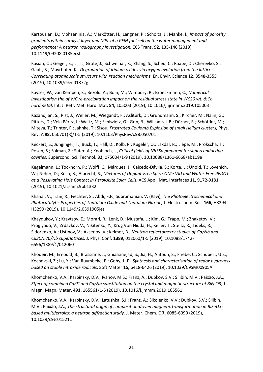Kartouzian, D.; Mohseninia, A.; Markötter, H.; Langner, P.; Scholta, J.; Manke, I., *Impact of porosity gradients within catalyst layer and MPL of a PEM fuel cell on the water management and performance: A neutron radiography investigation,* ECS Trans. **92,** 135-146 (2019), 10.1149/09208.0135ecst

Kasian, O.; Geiger, S.; Li, T.; Grote, J.; Schweinar, K.; Zhang, S.; Scheu, C.; Raabe, D.; Cherevko, S.; Gault, B.; Mayrhofer, K., *Degradation of iridium oxides via oxygen evolution from the lattice: Correlating atomic scale structure with reaction mechanisms,* En. Envir. Science **12,** 3548-3555 (2019), 10.1039/c9ee01872g

Kayser, W.; van Kempen, S.; Bezold, A.; Boin, M.; Wimpory, R.; Broeckmann, C., *Numerical investigation the of WC re-precipitation impact on the residual stress state in WC20 wt.-%Co hardmetal,* Int. J. Refr. Met. Hard. Mat. **84,** 105003 (2019), 10.1016/j.ijrmhm.2019.105003

Kazandjian, S.; Rist, J.; Weller, M.; Wiegandt, F.; Aslitürk, D.; Grundmann, S.; Kircher, M.; Nalin, G.; Pitters, D.; Vela Pérez, I.; Waitz, M.; Schiwietz, G.; Grin, B.; Williams, J.B.; Dörner, R.; Schöffler, M.; Miteva, T.; Trinter, F.; Jahnke, T.; Sisou, *Frustrated Coulomb Explosion of small Helium clusters,* Phys. Rev. A **98,** 050701(R)/1-5 (2019), 10.1103/PhysRevA.98.050701

Keckert, S.; Junginger, T.; Buck, T.; Hall, D.; Kolb, P.; Kugeler, O.; Laxdal, R.; Liepe, M.; Prokscha, T.; Posen, S.; Salman, Z.; Suter, A.; Knobloch, J., *Critical fields of Nb3Sn prepared for superconducting cavities,* Supercond. Sci. Technol. **32,** 075004/1-9 (2019), 10.10088/1361-6668/ab119e

Kegelmann, L.; Tockhorn, P.; Wolff, C.; Márquez, J.; Caicedo-Dávila, S.; Korte, L.; Unold, T.; Lövenich, W.; Neher, D.; Rech, B.; Albrecht, S., *Mixtures of Dopant-Free Spiro-OMeTAD and Water-Free PEDOT as a Passivating Hole Contact in Perovskite Solar Cells,* ACS Appl. Mat. Interfaces **11,** 9172-9181 (2019), 10.1021/acsami.9b01332

Khanal, V.; Irani, R.; Fiechter, S.; Abdi, F.F.; Subramanian, V. (Ravi), *The Photoelectrochemical and Photocatalytic Properties of Tantalum Oxide and Tantalum Nitride,* J. Electrochem. Soc. **166,** H3294- H3299 (2019), 10.1149/2.0391905jes

Khaydukov, Y.; Kravtsov, E.; Morari, R.; Lenk, D.; Mustafa, L.; Kim, G.; Trapp, M.; Zhaketov, V.; Proglyado, V.; Zrdavkov, V.; Nikitenko, Y.; Krug Von Nidda, H.; Keller, T.; Steitz, R.; Tideks, R.; Sidorenko, A.; Ustinov, V.; Aksenov, V.; Keimer, B., *Neutron reflectometry studies of Gd/Nb and Cu30Ni70/Nb superlattices,* J. Phys. Conf. **1389,** 012060/1-5 (2019), 10.1088/1742- 6596/1389/1/012060

Khodeir, M.; Ernould, B.; Brassinne, J.; Ghiassinejad, S.; Jia, H.; Antoun, S.; Friebe, C.; Schubert, U.S.; Kochovski, Z.; Lu, Y.; Van Ruymbeke, E.; Gohy, J.-F., *Synthesis and characterisation of redox hydrogels based on stable nitroxide radicals,* Soft Matter **15,** 6418-6426 (2019), 10.1039/C9SM00905A

Khomchenko, V.A.; Karpinsky, D.V.; Ivanov, M.S.; Franz, A.; Dubkov, S.V.; Silibin, M.V.; Paixão, J.A., *Effect of combined Ca/Ti and Ca/Nb substitution on the crystal and magnetic structure of BiFeO3,* J. Magn. Magn. Mater. **491,** 165561/1-5 (2019), 10.1016/j.jmmm.2019.165561

Khomchenko, V.A.; Karpinsky, D.V.; Latushka, S.I.; Franz, A.; Sikolenko, V.V.; Dubkov, S.V.; Silibin, M.V.; Paixão, J.A., *The structural origin of composition-driven magnetic transformation in BiFeO3 based multiferroics: a neutron diffraction study,* J. Mater. Chem. C **7,** 6085-6090 (2019), 10.1039/c9tc01521c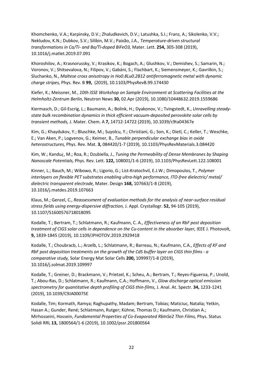Khomchenko, V.A.; Karpinsky, D.V.; Zhaludkevich, D.V.; Latushka, S.I.; Franz, A.; Sikolenko, V.V.; Nekludov, K.N.; Dubkov, S.V.; Silibin, M.V.; Paixão, J.A., *Temperature-driven structural transformations in Ca/Ti- and Ba/Ti-doped BiFeO3,* Mater. Lett. **254,** 305-308 (2019), 10.1016/j.matlet.2019.07.091

Khoroshilov, A.; Krasnorussky, V.; Krasikov, K.; Bogach, A.; Glushkov, V.; Demishev, S.; Samarin, N.; Voronov, V.; Shitsevalova, N.; Filipov, V.; Gabáni, S.; Flachbart, K.; Siemensmeyer, K.; Gavrilkin, S.; Sluchanko, N., *Maltese cross anisotropy in Ho0.8Lu0.2B12 antiferromagnetic metal with dynamic charge stripes,* Phys. Rev. B **99,** (2019), 10.1103/PhysRevB.99.174430

Kiefer, K.; Meissner, M., *10th ISSE Workshop on Sample Environment at Scattering Facilities at the Helmholtz-Zentrum Berlin,* Neutron News **30,** 02.Apr (2019), 10.1080/10448632.2019.1559686

Kiermasch, D.; Gil-Escrig, L.; Baumann, A.; Bolink, H.; Dyakonov, V.; Tvingstedt, K., *Unravelling steadystate bulk recombination dynamics in thick efficient vacuum-deposited perovskite solar cells by transient methods,* J. Mater. Chem. A **7,** 14712-14722 (2019), 10.1039/c9ta04367e

Kim, G.; Khaydukov, Y.; Bluschke, M.; Suyolcu, Y.; Christiani, G.; Son, K.; Dietl, C.; Keller, T.; Weschke, E.; Van Aken, P.; Logvenov, G.; Keimer, B., *Tunable perpendicular exchange bias in oxide heterostructures,* Phys. Rev. Mat. **3,** 084420/1-7 (2019), 10.1103/PhysRevMaterials.3.084420

Kim, W.; Kandu¿, M.; Roa, R.; Dzubiella, J., *Tuning the Permeability of Dense Membranes by Shaping Nanoscale Potentials,* Phys. Rev. Lett. **122,** 108001/1-6 (2019), 10.1103/PhysRevLett.122.108001

Kinner, L.; Bauch, M.; Wibowo, R.; Ligorio, G.; List-Kratochvil, E.J.W.; Dimopoulos, T., *Polymer interlayers on flexible PET substrates enabling ultra-high performance, ITO-free dielectric/ metal/ dielectric transparent electrode,* Mater. Design **168,** 107663/1-8 (2019), 10.1016/j.matdes.2019.107663

Klaus, M.; Genzel, C., *Reassessment of evaluation methods for the analysis of near-surface residual stress fields using energy-dispersive diffraction,* J. Appl. Crystallogr. **52,** 94-105 (2019), 10.1107/S1600576718018095

Kodalle, T.; Bertram, T.; Schlatmann, R.; Kaufmann, C. A., *Effectiveness of an RbF post deposition treatment of CIGS solar cells in dependence on the Cu-content in the absorber layer,* IEEE J. Photovolt, **9,** 1839-1845 (2019), 10.1109/JPHOTOV.2019.2929418

Kodalle, T.; Choubracb, L.; Arzelb, L.; Schlatmann, R.; Barreau, N.; Kaufmann, C.A., *Effects of KF and RbF post deposition treatments on the growth of the CdS buffer layer on CIGS thin films - a comparative study,* Solar Energy Mat Solar Cells **200,** 109997/1-8 (2019), 10.1016/j.solmat.2019.109997

Kodalle, T.; Greiner, D.; Brackmann, V.; Prietzel, K.; Scheu, A.; Bertram, T.; Reyes-Figueroa, P.; Unold, T.; Abou-Ras, D.; Schlatmann, R.; Kaufmann, C.A.; Hoffmann, V., *Glow discharge optical emission spectrometry for quantitative depth profiling of CIGS thin-films,* J. Anal. At. Spectr. **34,** 1233-1241 (2019), 10.1039/C9JA00075E

Kodalle, Tim; Kormath, Ramya; Raghupathy, Madam; Bertram, Tobias; Maticiuc, Natalia; Yetkin, Hasan A.; Gunder, René; Schlatmann, Rutger; Kühne, Thomas D.; Kaufmann, Christian A.; Mirhosseini, Hossein, *Fundamental Properties of Co-Evaporated RbInSe2 Thin Films,* Phys. Status Solidi RRL **13,** 1800564/1-6 (2019), 10.1002/pssr.201800564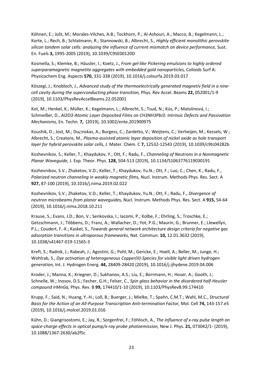Köhnen, E.; Jošt, M.; Morales-Vilches, A.B.; Tockhorn, P.; Al-Ashouri, A.; Macco, B.; Kegelmann, L.; Korte, L.; Rech, B.; Schlatmann, R.; Stannowski, B.; Albrecht, S., *Highly efficient monolithic perovskite silicon tandem solar cells: analyzing the influence of current mismatch on device performance,* Sust. En. Fuels **3,** 1995-2005 (2019), 10.1039/C9SE00120D

Kosmella, S.; Klemke, B.; Häusler, I.; Koetz, J., *From gel-like Pickering emulsions to highly ordered superparamagnetic magnetite aggregates with embedded gold nanoparticles,* Colloids Surf A: Physicochem Eng. Aspects **570,** 331-338 (2019), 10.1016/j.colsurfa.2019.03.017

Köszegi, J.; Knobloch, J., *Advanced study of the thermoelectrically generated magnetiv field in a ninecell cavity during the superconducting phase transition,* Phys. Rev Accel. Beams **22,** 052001/1-9 (2019), 10.1103/PhysRevAccelBeams.22.052001

Kot, M.; Henkel, K.; Müller, K.; Kegelmann, L.; Albrecht, S.; Tsud, N.; Kús, P.; Matolinová, I.; Schmeißer, D., *Al2O3-Atomic Layer Deposited Films on CH3NH3PbI3: Intrinsic Defects and Passivation Mechanisms,* En. Techn. **7,** (2019), 10.1002/ente.201900975

Koushik, D.; Jost, M.; Du¿inskas, A.; Burgess, C.; Zardetto, V.; Weijtens, C.; Verheijen, M.; Kessels, W.; Albrecht, S.; Creatore, M., *Plasma-assisted atomic layer deposition of nickel oxide as hole transport layer for hybrid perovskite solar cells,* J. Mater. Chem. C **7,** 12532-12543 (2019), 10.1039/c9tc04282b

Kozhevnikov, S.; Keller, T.; Khaydukov, Y.; Ott, F.; Radu, F., *Channeling of Neutrons in a Nonmagnetic Planar Waveguide,* J. Exp. Theor. Phys. **128,** 504-513 (2019), 10.1134/S1063776119030191

Kozhevnikov, S.V.; Zhaketov, V.D.; Keller, T.; Khaydukov, Yu.N.; Ott, F.; Luo, C.; Chen, K.; Radu, F., *Polarized neutron channeling in weakly magnetic films,* Nucl. Instrum. Methods Phys. Res. Sect. A **927,** 87-100 (2019), 10.1016/j.nima.2019.02.022

Kozhevnikov, S.V.; Zhaketov, V.D.; Keller, T.; Khaydukov, Yu.N.; Ott, F.; Radu, F., *Divergence of neutron microbeams from planar waveguides,* Nucl. Instrum. Methods Phys. Res. Sect. A **915,** 54-64 (2019), 10.1016/j.nima.2018.10.211

Krause, S.; Evans, J.D.; Bon, V.; Senkovska, I.; Iacomi, P.; Kolbe, F.; Ehrling, S.; Troschke, E.; Getzschmann, J.; Többens, D.; Franz, A.; Wallacher, D.; Yot, P.G.; Maurin, G.; Brunner, E.; Llewellyn, P.L.; Coudert, F.-X.; Kaskel, S., *Towards general network architecture design criteria for negative gas adsorption transitions in ultraporous frameworks,* Nat. Commun. **10,** 12.01.3632 (2019), 10.1038/s41467-019-11565-3

Kreft, S.; Radnik, J.; Rabeah, J.; Agostini, G.; Pohl, M.; Gericke, E.; Hoell, A.; Beller, M.; Junge, H.; Wohlrab, S., *Dye activation of heterogeneous Copper(II)-Species for visible light driven hydrogen generation,* Int. J. Hydrogen Energ. **44,** 28409-28420 (2019), 10.1016/j.ijhydene.2019.04.006

Kroder, J.; Manna, K.; Kriegner, D.; Sukhanov, A.S.; Liu, E.; Borrmann, H.; Hoser, A.; Gooth, J.; Schnelle, W.; Inosov, D.S.; Fecher, G.H.; Felser, C., *Spin glass behavior in the disordered half-Heusler compound IrMnGa,* Phys. Rev. B **99,** 174410/1-10 (2019), 10.1103/PhysRevB.99.174410

Krupp, F.; Said, N.; Huang, Y.-H.; Loll, B.; Buerger, J.; Mielke, T.; Spahn, C.M.T.; Wahl, M.C., *Structural Basis for the Action of an All-Purpose Transcription Anti-termination Factor,* Mol. Cell **74,** 143-157.e5 (2019), 10.1016/j.molcel.2019.01.016

Kühn, D.; Giangrisostomi, E.; Jay, R.; Sorgenfrei, F.; Föhlisch, A., *The influence of x-ray pulse length on space-charge effects in optical pump/x-ray probe photoemission,* New J. Phys. **21,** 073042/1- (2019), 10.1088/1367-2630/ab2f5c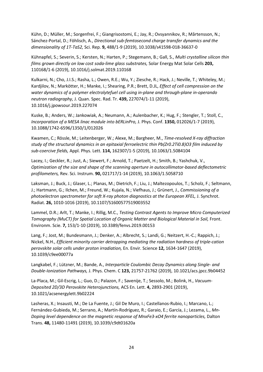Kühn, D.; Müller, M.; Sorgenfrei, F.; Giangrisostomi, E.; Jay, R.; Ovsyannikov, R.; Mårtensson, N.; Sánchez-Portal, D.; Föhlisch, A., *Directional sub-femtosecond charge transfer dynamics and the dimensionality of 1T-TaS2,* Sci. Rep. **9,** 488/1-9 (2019), 10.1038/s41598-018-36637-0

Kühnapfel, S.; Severin, S.; Kersten, N.; Harten, P.; Stegemann, B.; Gall, S., *Multi crystalline silicon thin films grown directly on low cost soda-lime glass substrates,* Solar Energy Mat Solar Cells **203,**  110168/1-6 (2019), 10.1016/j.solmat.2019.110168

Kulkarni, N.; Cho, J.I.S.; Rasha, L.; Owen, R.E.; Wu, Y.; Ziesche, R.; Hack, J.; Neville, T.; Whiteley, M.; Kardjilov, N.; Markötter, H.; Manke, I.; Shearing, P.R.; Brett, D.JL, *Effect of cell compression on the water dynamics of a polymer electrolytefuel cell using in-plane and through-plane in-operando neutron radiography,* J. Quan. Spec. Rad. Tr. **439,** 227074/1-11 (2019), 10.1016/j.jpowsour.2019.227074

Kuske, B.; Anders, W.; Jankowiak, A.; Neumann, A.; Aulenbacher, K.; Hug, F.; Stengler, T.; Stoll, C., *Incorporation of a MESA linac module into bERLinPro,* J. Phys. Conf. **1350,** 012026/1-7 (2019), 10.1088/1742-6596/1350/1/012026

Kwamen, C.; Rössle, M.; Leitenberger, W.; Alexe, M.; Bargheer, M., *Time-resolved X-ray diffraction study of the structural dynamics in an epitaxial ferroelectric thin Pb(Zr0.2Ti0.8)O3 film induced by sub-coercive fields,* Appl. Phys. Lett. **114,** 162307/1-5 (2019), 10.1063/1.5084104

Lacey, I.; Geckler, R.; Just, A.; Siewert, F.; Arnold, T.; Paetzelt, H.; Smith, B.; Yashchuk, V., *Optimization of the size and shape of the scanning aperture in autocollimator-based deflectometric profilometers,* Rev. Sci. Instrum. **90,** 021717/1-14 (2019), 10.1063/1.5058710

Laksman, J.; Buck, J.; Glaser, L.; Planas, M.; Dietrich, F.; Liu, J.; Maltezopoulos, T.; Scholz, F.; Seltmann, J.; Hartmann, G.; Ilchen, M.; Freund, W.; Kujala, N.; Viefhaus, J.; Grünert, J., *Commissioning of a photoelectron spectrometer for soft X-ray photon diagnostics at the European XFEL,* J. Synchrot. Radiat. **26,** 1010-1016 (2019), 10.1107/S1600577519003552

Lammel, D.R.; Arlt, T.; Manke, I.; Rillig, M.C., *Testing Contrast Agents to Improve Micro Computerized Tomography (MuCT) for Spatial Location of Organic Matter and Biological Material in Soil, Front.* Environm. Scie. **7,** 153/1-10 (2019), 10.3389/fenvs.2019.00153

Lang, F.; Jost, M.; Bundesmann, J.; Denker, A.; Albrecht, S.; Landi, G.; Neitzert, H.-C.; Rappich, J.; Nickel, N.H., *Efficient minority carrier detrapping mediating the radiation hardness of triple-cation perovskite solar cells under proton irradiation,* En. Envir. Science **12,** 1634-1647 (2019), 10.1039/c9ee00077a

Langkabel, F.; Lützner, M.; Bande, A., *Interparticle Coulombic Decay Dynamics along Single- and Double-Ionization Pathways,* J. Phys. Chem. C **123,** 21757-21762 (2019), 10.1021/acs.jpcc.9b04452

La-Placa, M.; Gil-Escrig, L.; Guo, D.; Palazon, F.; Savenije, T.; Sessolo, M.; Bolink, H., *Vacuum-Deposited 2D/3D Perovskite Heterojunctions,* ACS En. Lett. **4,** 2893-2901 (2019), 10.1021/acsenergylett.9b02224

Lasheras, X.; Insausti, M.; De La Fuente, J.; Gil De Muro, I.; Castellanos-Rubio, I.; Marcano, L.; Fernández-Gubieda, M.; Serrano, A.; Martín-Rodríguez, R.; Garaio, E.; García, J.; Lezama, L., *Mn-Doping level dependence on the magnetic response of MnxFe3-xO4 ferrite nanoparticles, Dalton* Trans. **48,** 11480-11491 (2019), 10.1039/c9dt01620a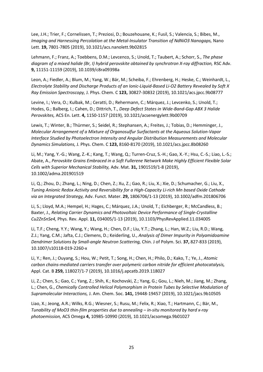Lee, J.H.; Trier, F.; Cornelissen, T.; Preziosi, D.; Bouzehouane, K.; Fusil, S.; Valencia, S.; Bibes, M., *Imaging and Harnessing Percolation at the Metal-Insulator Transition of NdNiO3 Nanogaps,* Nano Lett. **19,** 7801-7805 (2019), 10.1021/acs.nanolett.9b02815

Lehmann, F.; Franz, A.; Toebbens, D.M.; Levcenco, S.; Unold, T.; Taubert, A.; Schorr, S., *The phase diagram of a mixed halide (Br, I) hybrid perovskite obtained by synchrotron X-ray diffraction,* RSC Adv. **9,** 11151-11159 (2019), 10.1039/c8ra09398a

Leon, A.; Fiedler, A.; Blum, M.; Yang, W.; Bär, M.; Scheiba, F.; Ehrenberg, H.; Heske, C.; Weinhardt, L., *Electrolyte Stability and Discharge Products of an Ionic-Liquid-Based Li-O2 Battery Revealed by Soft X Ray Emission Spectroscopy,* J. Phys. Chem. C **123,** 30827-30832 (2019), 10.1021/acs.jpcc.9b08777

Levine, I.; Vera, O.; Kulbak, M.; Ceratti, D.; Rehermann, C.; Márquez, J.; Levcenko, S.; Unold, T.; Hodes, G.; Balberg, I.; Cahen, D.; Dittrich, T., *Deep Defect States in Wide-Band-Gap ABX 3 Halide Perovskites,* ACS En. Lett. **4,** 1150-1157 (2019), 10.1021/acsenergylett.9b00709

Lewis, T.; Winter, B.; Thürmer, S.; Seidel, R.; Stephansen, A.; Freites, J.; Tobias, D.; Hemminger, J., *Molecular Arrangement of a Mixture of Organosulfur Surfactants at the Aqueous Solution-Vapor Interface Studied by Photoelectron Intensity and Angular Distribution Measurements and Molecular Dynamics Simulations,* J. Phys. Chem. C **123,** 8160-8170 (2019), 10.1021/acs.jpcc.8b08260

Li, M.; Yang, Y.-G.; Wang, Z.-K.; Kang, T.; Wang, Q.; Turren-Cruz, S.-H.; Gao, X.-Y.; Hsu, C.-S.; Liao, L.-S.; Abate, A., *Perovskite Grains Embraced in a Soft Fullerene Network Make Highly Efficient Flexible Solar Cells with Superior Mechanical Stability,* Adv. Mat. **31,** 1901519/1-8 (2019), 10.1002/adma.201901519

Li, Q.; Zhou, D.; Zhang, L.; Ning, D.; Chen, Z.; Xu, Z.; Gao, R.; Liu, X.; Xie, D.; Schumacher, G.; Liu, X., *Tuning Anionic Redox Activity and Reversibility for a High-Capacity Li-rich Mn based Oxide Cathode via an Integrated Strategy,* Adv. Funct. Mater. **29,** 1806706/1-13 (2019), 10.1002/adfm.201806706

Li, S.; Lloyd, M.A.; Hempel, H.; Hages, C.; Márquez, J.A.; Unold, T.; Eichberger, R.; McCandless, B.; Baxter, J., *Relating Carrier Dynamics and Photovoltaic Device Performance of Single-Crystalline Cu2ZnSnSe4,* Phys. Rev. Appl. **11,** 034005/1-13 (2019), 10.1103/PhysRevApplied.11.034005

Li, T.F.; Cheng, Y.Y.; Wang, Y.; Wang, H.; Chen, D.F.; Liu, Y.T.; Zhang, L.; Han, W.Z.; Liu, R.D.; Wang, Z.J.; Yang, C.M.; Jafta, C.J.; Clemens, D.; Keiderling, U., *Analysis of Dimer Impurity in Polyamidoamine Dendrimer Solutions by Small-angle Neutron Scattering,* Chin. J of Polym. Sci. **37,** 827-833 (2019), 10.1007/s10118-019-2260-x

Li, Y.; Ren, J.; Ouyang, S.; Hou, W.; Petit, T.; Song, H.; Chen, H.; Philo, D.; Kako, T.; Ye, J., *Atomic carbon chains-mediated carriers transfer over polymeric carbon nitride for efficient photocatalysis,*  Appl. Cat. B **259,** 118027/1-7 (2019), 10.1016/j.apcatb.2019.118027

Li, Z.; Chen, S.; Gao, C.; Yang, Z.; Shih, K.; Kochovski, Z.; Yang, G.; Gou, L.; Nieh, M.; Jiang, M.; Zhang, L.; Chen, G., *Chemically Controlled Helical Polymorphism in Protein Tubes by Selective Modulation of Supramolecular Interactions,* J. Am. Chem. Soc. **141,** 19448-19457 (2019), 10.1021/jacs.9b10505

Liao, X.; Jeong, A.R.; Wilks, R.G.; Wiesner, S.; Rusu, M.; Felix, R.; Xiao, T.; Hartmann, C.; Bär, M., *Tunability of MoO3 thin-film properties due to annealing – in-situ monitored by hard x-ray photoemission,* ACS Omega **4,** 10985-10990 (2019), 10.1021/acsomega.9b01027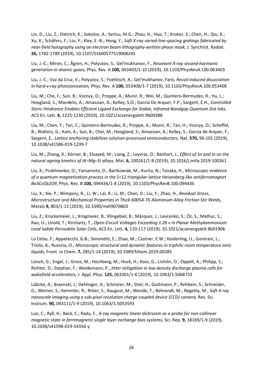Lin, D.; Liu, Z.; Dietrich, K.; Sokolov, A.; Sertsu, M.G.; Zhou, H.; Huo, T.; Kroker, S.; Chen, H.; Qiu, K.; Xu, X.; Schäfers, F.; Liu, Y.; Kley, E.-B.; Hong, Y., *Soft X-ray varied-line-spacing gratings fabricated by near-field holography using an electron beam lithography-written phase mask,* J. Synchrot. Radiat. **26,** 1782-1789 (2019), 10.1107/S1600577519008245

Liu, J.-C.; Miron, C.; Ågren, H.; Polyutov, S.; Gel'mukhanov, F., *Resonant X-ray second-harmonic generation in atomic gases,* Phys. Rev. A **100,** 063403/1-10 (2019), 10.1103/PhysRevA.100.063403

Liu, J.-C.; Vaz da Cruz, V.; Polyutov, S.; Foehlisch, A.; Gel'mukhanov, Faris, *Recoil-induced dissociation in hard-x-ray photoionization,* Phys. Rev. A **100,** 053408/1-7 (2019), 10.1103/PhysRevA.100.053408

Liu, M.; Che, F.; Sun, B.; Voznyy, O.; Proppe, A.; Munir, R.; Wei, M.; Quintero-Bermudez, R.; Hu, L.; Hoogland, S.; Mandelis, A.; Amassian, A.; Kelley, S.O.; Garciá De Arquer, F.P.; Sargent, E.H., *Controlled Steric Hindrance Enables Efficient Ligand Exchange for Stable, Infrared-Bandgap Quantum Dot Inks,*  ACS En. Lett. **4,** 1225-1230 (2019), 10.1021/acsenergylett.9b00388

Liu, M.; Chen, Y.; Tan, C.; Quintero-Bermudez, R.; Proppe, A.; Munir, R.; Tan, H.; Voznyy, O.; Scheffel, B.; Walters, G.; Kam, A.; Sun, B.; Choi, M.; Hoogland, S.; Amassian, A.; Kelley, S.; García de Arquer, F.; Sargent, E., *Lattice anchoring stabilizes solution-processed semiconductors,* Nat. **570,** 96-101 (2019), 10.1038/s41586-019-1239-7

Liu, M.; Zhang, X.; Körner, B.; Elsayed, M.; Liang, Z.; Leyvraz, D.; Banhart, J., *Effect of Sn and In on the natural ageing kinetics of Al–Mg–Si alloys,* Mat. **6,** 100261/1-8 (2019), 10.1016/j.mtla.2019.100261

Liu, X.; Prokhnenko, O.; Yamamoto, D.; Bartkowiak, M.; Kurita, N.; Tanaka, H., *Microscopic evidence of a quantum magnetization process in the S=12 triangular-lattice Heisenberg-like antiferromagnet Ba3CoSb2O9,* Phys. Rev. B **100,** 094436/1-8 (2019), 10.1103/PhysRevB.100.094436

Liu, X.; Xie, P.; Wimpory, R.; Li, W.; Lai, R.; Li, M.; Chen, D.; Liu, Y.; Zhao, H., *Residual Stress, Microstructure and Mechanical Properties in Thick 6005A-T6 Aluminium Alloy Friction Stir Welds,*  Metals **9,** 803/1-13 (2019), 10.3390/met9070803

Liu, Z.; Krückemeier, L.; Krogmeier, B.; Klingebiel, B.; Márquez, J.; Levcenko, S.; Öz, S.; Mathur, S.; Rau, U.; Unold, T.; Kirchartz, T., *Open-Circuit Voltages Exceeding 1.26 v in Planar Methylammonium Lead Iodide Perovskite Solar Cells,* ACS En. Lett. **4,** 110-117 (2019), 10.1021/acsenergylett.8b01906

Lo Celso, F.; Appetecchi, G.B.; Simonetti, E.; Zhao, M.; Castner, E.W.; Keiderling, U.; Gontrani, L.; Triolo, A.; Russina, O., *Microscopic structural and dynamic features in triphilic room temperature ionic liquids,* Front. in Chem. **7,** 285/1-14 (2019), 10.3389/fchem.2019.00285

Loisch, G.; Engel, J.; Gross, M.; Hochberg, M.; Huck, H.; Koss, G.; Lishilin, O.; Oppelt, A.; Philipp, S.; Richter, D.; Stephan, F.; Weidemann, P., *Jitter mitigation in low density discharge plasma cells for wakefield accelerators,* J. Appl. Phys. **125,** 063301/1-6 (2019), 10.1063/1.5068753

Lübcke, A.; Braenzel, J.; Dehlinger, A.; Schnürer, M.; Stiel, H.; Guttmann, P.; Rehbein, S.; Schneider, G.; Werner, S.; Kemmler, R.; Ritter, S.; Raugust, M.; Wende, T.; Behrendt, M.; Regehly, M., *Soft X-ray nanoscale imaging using a sub-pixel resolution charge coupled device (CCD) camera, Rev. Sci.* Instrum. **90,** 043111/1-9 (2019), 10.1063/1.5053593

Luo, C.; Ryll, H.; Back, C.; Radu, F., *X-ray magnetic linear dichroism as a probe for non-collinear magnetic state in ferrimagnetic single layer exchange bias systems,* Sci. Rep. **9,** 18169/1-9 (2019), 10.1038/s41598-019-54356-y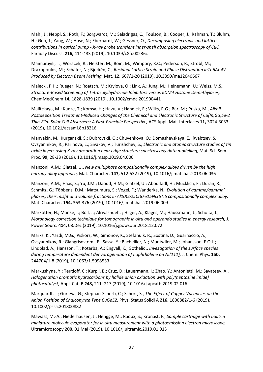Mahl, J.; Neppl, S.; Roth, F.; Borgwardt, M.; Saladrigas, C.; Toulson, B.; Cooper, J.; Rahman, T.; Bluhm, H.; Guo, J.; Yang, W.; Huse, N.; Eberhardt, W.; Gessner, O., *Decomposing electronic and lattice contributions in optical pump - X-ray probe transient inner-shell absorption spectroscopy of CuO,*  Faraday Discuss. **216,** 414-433 (2019), 10.1039/c8fd00236c

Maimaitiyili, T.; Woracek, R.; Neikter, M.; Boin, M.; Wimpory, R.C.; Pederson, R.; Strobl, M.; Drakopoulos, M.; Schäfer, N.; Bjerkén, C., *Residual Lattice Strain and Phase Distribution inTi-6Al-4V Produced by Electron Beam Melting,* Mat. **12,** 667/1-20 (2019), 10.3390/ma12040667

Malecki, P.H.; Rueger, N.; Roatsch, M.; Krylova, O.; Link, A.; Jung, M.; Heinemann, U.; Weiss, M.S., *Structure-Based Screening of Tetrazolylhydrazide Inhibitors versus KDM4 Histone Demethylases,*  ChemMedChem **14,** 1828-1839 (2019), 10.1002/cmdc.201900441

Malitckaya, M.; Kunze, T.; Komsa, H.; Havu, V.; Handick, E.; Wilks, R.G.; Bär, M.; Puska, M., *Alkali Postdeposition Treatment-Induced Changes of the Chemical and Electronic Structure of Cu(In,Ga)Se-2 Thin-Film Solar Cell Absorbers: A First-Principle Perspective,* ACS Appl. Mat. Interfaces **11,** 3024-3033 (2019), 10.1021/acsami.8b18216

Manyakin, M.; Kurganskii, S.; Dubrovskii, O.; Chuvenkova, O.; Domashevskaya, E.; Ryabtsev, S.; Ovsyannikov, R.; Parinova, E.; Sivakov, V.; Turishchev, S., *Electronic and atomic structure studies of tin oxide layers using X-ray absorption near edge structure spectroscopy data modelling,* Mat. Sci. Sem. Proc. **99,** 28-33 (2019), 10.1016/j.mssp.2019.04.006

Manzoni, A.M.; Glatzel, U., *New multiphase compositionally complex alloys driven by the high entropy alloy approach,* Mat. Character. **147,** 512-532 (2019), 10.1016/j.matchar.2018.06.036

Manzoni, A.M.; Haas, S.; Yu, J.M.; Daoud, H.M.; Glatzel, U.; Aboulfadl, H.; Mücklich, F.; Duran, R.; Schmitz, G.; Többens, D.M.; Matsumura, S.; Vogel, F.; Wanderka, N., *Evolution of gamma/gamma' phases, their misfit and volume fractions in Al10Co25Cr8Fe15Ni36Ti6 compositionally complex alloy,*  Mat. Character. **154,** 363-376 (2019), 10.1016/j.matchar.2019.06.009

Markötter, H.; Manke, I.; Böll, J.; Alrwashdeh, ; Hilger, A.; Klages, M.; Haussmann, J.; Scholta, J., *Morphology correction technique for tomographic in-situ and operando studies in energy research,* J. Power Sourc. **414,** 08.Dez (2019), 10.1016/j.jpowsour.2018.12.072

Marks, K.; Yazdi, M.G.; Piskorz, W.; Simonov, K.; Stefanuik, R.; Sostina, D.; Guarnaccio, A.; Ovsyannikov, R.; Giangrisostomi, E.; Sassa, Y.; Bachellier, N.; Muntwiler, M.; Johansson, F.O.L.; Lindblad, A.; Hansson, T.; Kotarba, A.; Engvall, K.; Gothelid,, *Investigation of the surface species*  during temperature dependent dehydrogenation of naphthalene on Ni(111), J. Chem. Phys. 150, 244704/1-8 (2019), 10.1063/1.5098533

Markushyna, Y.; Teutloff, C.; Kurpil, B.; Cruz, D.; Lauermann, I.; Zhao, Y.; Antonietti, M.; Savateev, A., *Halogenation aromatic hydrocarbons by halide anion oxidation with poly(heptazine imide) photocatalyst,* Appl. Cat. B **248,** 211–217 (2019), 10.1016/j.apcatb.2019.02.016

Marquardt, J.; Gurieva, G.; Stephan-Scherb, C.; Schorr, S., *The Effect of Copper Vacancies on the Anion Position of Chalcopyrite Type CuGaS2,* Phys. Status Solidi A **216,** 1800882/1-6 (2019), 10.1002/pssa.201800882

Mawass, M.-A.; Niederhausen, J.; Hengge, M.; Raoux, S.; Kronast, F., *Sample cartridge with built-in miniature molecule evaporator for in-situ measurement with a photoemission electron microscope,*  Ultramicroscopy **200,** 01.Mai (2019), 10.1016/j.ultramic.2019.01.013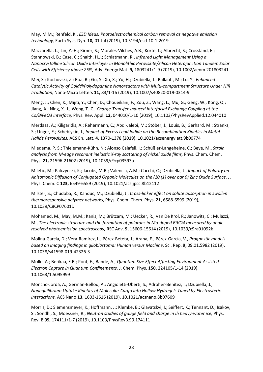May, M.M.; Rehfeld, K., *ESD Ideas: Photoelectrochemical carbon removal as negative emission technology,* Earth Syst. Dyn. **10,** 01.Jul (2019), 10.5194/esd-10-1-2019

Mazzarella, L.; Lin, Y.-H.; Kirner, S.; Morales-Vilches, A.B.; Korte, L.; Albrecht, S.; Crossland, E.; Stannowski, B.; Case, C.; Snaith, H.J.; Schlatmann, R., *Infrared Light Management Using a Nanocrystalline Silicon Oxide Interlayer in Monolithic Perovskite/Silicon Heterojunction Tandem Solar Cells with Efficiency above 25%,* Adv. Energy Mat. **9,** 1803241/1-9 (2019), 10.1002/aenm.201803241

Mei, S.; Kochovski, Z.; Roa, R.; Gu, S.; Xu, X.; Yu, H.; Dzubiella, J.; Ballauff, M.; Lu, Y., *Enhanced Catalytic Activity of Gold@Polydopamine Nanoreactors with Multi-compartment Structure Under NIR Irradiation,* Nano-Micro Letters **11,** 83/1-16 (2019), 10.1007/s40820-019-0314-9

Meng, J.; Chen, K.; Mijiti, Y.; Chen, D.; Choueikani, F.; Zou, Z.; Wang, L.; Mu, G.; Geng, W.; Kong, Q.; Jiang, A.; Ning, X.-J.; Weng, T.-C., *Charge-Transfer-Induced Interfacial Exchange Coupling at the Co/BiFeO3 Interface,* Phys. Rev. Appl. **12,** 044010/1-10 (2019), 10.1103/PhysRevApplied.12.044010

Merdasa, A.; Kiligaridis, A.; Rehermann, C.; Abdi-Jalebi, M.; Stöber, J.; Louis, B.; Gerhard, M.; Stranks, S.; Unger, E.; Scheblykin, I., *Impact of Excess Lead Iodide on the Recombination Kinetics in Metal Halide Perovskites,* ACS En. Lett. **4,** 1370-1378 (2019), 10.1021/acsenergylett.9b00774

Miedema, P. S.; Thielemann-Kühn, N.; Alonso Calafell, I.; Schüßler-Langeheine, C.; Beye, M., *Strain analysis from M-edge resonant inelastic X-ray scattering of nickel oxide films,* Phys. Chem. Chem. Phys. **21,** 21596-21602 (2019), 10.1039/c9cp03593a

Miletic, M.; Palczynski, K.; Jacobs, M.R.; Valencia, A.M.; Cocchi, C.; Dzubiella, J., *Impact of Polarity on Anisotropic Diffusion of Conjugated Organic Molecules on the (10 (1) over bar 0) Zinc Oxide Surface,* J. Phys. Chem. C **123,** 6549-6559 (2019), 10.1021/acs.jpcc.8b12112

Milster, S.; Chudoba, R.; Kanduc, M.; Dzubiella, J., *Cross-linker effect on solute adsorption in swollen thermoresponsive polymer networks,* Phys. Chem. Chem. Phys. **21,** 6588-6599 (2019), 10.1039/C8CP07601D

Mohamed, M.; May, M.M.; Kanis, M.; Brützam, M.; Uecker, R.; Van De Krol, R.; Janowitz, C.; Mulazzi, M., *The electronic structure and the formation of polarons in Mo-doped BiVO4 measured by angleresolved photoemission spectroscopy,* RSC Adv. **9,** 15606-15614 (2019), 10.1039/c9ra01092k

Molina-García, D.; Vera-Ramírez, L.; Pérez-Beteta, J.; Arana, E.; Pérez-García, V., *Prognostic models based on imaging findings in glioblastoma: Human versus Machine,* Sci. Rep. **9,** 09.01.5982 (2019), 10.1038/s41598-019-42326-3

Molle, A.; Berikaa, E.R.; Pont, F.; Bande, A., *Quantum Size Effect Affecting Environment Assisted Electron Capture in Quantum Confinements,* J. Chem. Phys. **150,** 224105/1-14 (2019), 10.1063/1.5095999

Moncho-Jordá, A.; Germán-Bellod, A.; Angioletti-Uberti, S.; Adroher-Benítez, I.; Dzubiella, J., *Nonequilibrium Uptake Kinetics of Molecular Cargo into Hollow Hydrogels Tuned by Electrosteric Interactions,* ACS Nano **13,** 1603-1616 (2019), 10.1021/acsnano.8b07609

Morris, D.; Siemensmeyer, K.; Hoffmann, J.; Klemke, B.; Glavatskyi, I.; Seiffert, K.; Tennant, D.; Isakov, S.; Sondhi, S.; Moessner, R., *Neutron studies of gauge field and charge in Ih heavy-water ice, Phys.* Rev. B **99,** 174111/1-7 (2019), 10.1103/PhysRevB.99.174111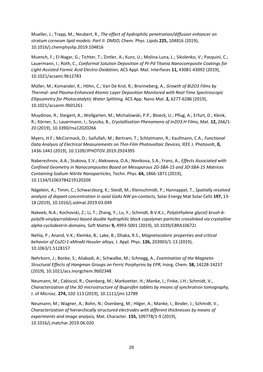Mueller, J.; Trapp, M.; Neubert, R., *The effect of hydrophilic penetration/diffusion enhancer on stratum corneum lipid models: Part II: DMSO,* Chem. Phys. Lipids **225,** 104816 (2019), 10.1016/j.chemphyslip.2019.104816

Muench, F.; El-Nagar, G.; Tichter, T.; Zintler, A.; Kunz, U.; Molina-Luna, L.; Sikolenko, V.; Pasquini, C.; Lauermann, I.; Roth, C., *Conformal Solution Deposition of Pt-Pd Titania Nanocomposite Coatings for Light-Assisted Formic Acid Electro-Oxidation,* ACS Appl. Mat. Interfaces **11,** 43081-43092 (2019), 10.1021/acsami.9b12783

Müller, M.; Komander, K.; Höhn, C.; Van De Krol, R.; Bronneberg, A., *Growth of Bi2O3 Films by Thermal- and Plasma-Enhanced Atomic Layer Deposition Monitored with Real-Time Spectroscopic Ellipsometry for Photocatalytic Water Splitting,* ACS App. Nano Mat. **2,** 6277-6286 (2019), 10.1021/acsanm.9b01261

Muydinov, R.; Steigert, A.; Wollgarten, M.; Michalowski, P.P.; Bloeck, U.; Pflug, A.; Erfurt, D.; Klenk, R.; Körner, S.; Lauermann, I.; Szyszka, B., *Crystallisation Phenomena of In2O3:H Films,* Mat. **12,** 266/1- 20 (2019), 10.3390/ma12020266

Myers, H.F.; McCormack, D.; Saifullah, M.; Bertram, T.; Schlatmann, R.; Kaufmann, C.A., *Functional Data Analysis of Electrical Measurements on Thin-Film Photovoltaic Devices,* IEEE J. Photovolt, **0,**  1436-1441 (2019), 10.1109/JPHOTOV.2019.2924395

Naberezhnov, A.A.; Stukova, E.V.; Alekseeva, O.A.; Novikova, S.A.; Franz, A., *Effects Associated with Confined Geometry in Nanocomposites Based on Mesoporous 2D-SBA-15 and 3D-SBA-15 Matrices Containing Sodium Nitrite Nanoparticles,* Techn. Phys. **64,** 1866-1871 (2019), 10.1134/S106378421912020X

Nägelein, A.; Timm, C.; Schwarzburg, K.; Steidl, M.; Kleinschmidt, P.; Hannappel, T., *Spatially resolved analysis of dopant concentration in axial GaAs NW pn-contacts,* Solar Energy Mat Solar Cells **197,** 13- 18 (2019), 10.1016/j.solmat.2019.03.049

Nakeeb, N.A.; Kochovski, Z.; Li, T.; Zhang, Y.; Lu, Y.; Schmidt, B.V.K.J., *Poly(ethylene glycol) brush-bpoly(N-vinylpyrrolidone)-based double hydrophilic block copolymer particles crosslinked via crystalline alpha-cyclodextrin domains,* Soft Matter **9,** 4993-5001 (2019), 10.1039/C8RA10672J

Nehla, P.; Anand, V.K.; Klemke, B.; Lake, B.; Dhaka, R.S., *Magnetocaloric properties and critical behavior of Co2Cr1-xMnxAl Heusler alloys,* J. Appl. Phys. **126,** 203903/1-13 (2019), 10.1063/1.5128157

Nehrkorn, J.; Bonke, S.; Aliabadi, A.; Schwalbe, M.; Schnegg, A., *Examination of the Magneto-Structural Effects of Hangman Groups on Ferric Porphyrins by EPR,* Inorg. Chem. **58,** 14228-14237 (2019), 10.1021/acs.inorgchem.9b02348

Neumann, M.; Cabiscol, R.; Osenberg, M.; Markoetter, H.; Manke, I.; Finke, J.H.; Schmidt, V., *Characterization of the 3D microstructure of Ibuprofen tablets by means of synchrotron tomography,*  J. of Microsc. **274,** 102-113 (2019), 10.1111/jmi.12789

Neumann, M.; Wagner, A.; Bohn, N.; Osenberg, M.; Hilger, A.; Manke, I.; Binder, J.; Schmidt, V., *Characterization of hierarchically structured electrodes with different thicknesses by means of experiments and image analysis,* Mat. Character. **155,** 109778/1-9 (2019), 10.1016/j.matchar.2019.06.020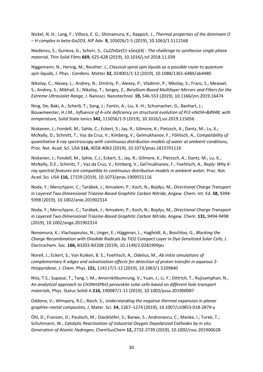Nickel, N. H.; Lang, F.; Villora, E. G.; Shimamura, K.; Rappich, J., *Thermal properties of the dominant O – H complex in beta-Ga2O3,* AIP Adv. **9,** 105026/1-5 (2019), 10.1063/1.5112168

Niedenzu, S.; Gurieva, G.; Schorr, S., *Cu2ZnGe(S1-xSex)(4) - The challenge to synthesize single phase material,* Thin Solid Films **669,** 625-628 (2019), 10.1016/j.tsf.2018.11.039

Niggemann, N.; Hering, M.; Reuther, J., *Classical spiral spin liquids as a possible route to quantum spin liquids,* J. Phys.: Condens. Matter **32,** 024001/1-12 (2019), 10.1088/1361-648X/ab4480

Nikolay, C.; Alexey, L.; Andrey, N.; Dmitriy, P.; Alexey, P.; Vladimir, P.; Nikolay, S.; Franz, S.; Mewael, S.; Andrey, S.; Mikhail, S.; Nikolay, T.; Sergey, Z., *Beryllium-Based Multilayer Mirrors and Filters for the Extreme Ultraviolet Range,* J. Nanosci. Nanotechnol. **19,** 546-553 (2019), 10.1166/jnn.2019.16474

Ning, De; Baki, A.; Scherb, T.; Song, J.; Fantin, A.; Liu, X.-H.; Schumacher, G.; Banhart, J.; Bouwmeester, H.J.M., *Influence of A-site deficiency on structural evolution of Pr2-xNiO4+δ with temperature,* Solid State Ionics **342,** 115056/1-9 (2019), 10.1016/j.ssi.2019.115056

Niskanen, J.; Fondell, M.; Sahle, C.; Eckert, S.; Jay, R.; Gilmore, K.; Pietzsch, A.; Dantz, M.; Lu, X.; McNally, D.; Schmitt, T.; Vaz da Cruz, V.; Kimberg, V.; Gelmukhanov, F.; Föhlisch, A., *Compatibility of quantitative X-ray spectroscopy with continuous distribution models of water at ambient conditions,*  Proc. Nat. Acad. Sci. USA **116,** 4058-4063 (2019), 10.1073/pnas.1815701116

Niskanen, J.; Fondell, M.; Sahle, C.J.; Eckert, S.; Jay, R.; Gilmore, K.; Pietzsch, A.; Dantz, M.; Lu, X.; McNally, D.E.; Schmitt, T.; Vaz da Cruz, V.; Kimberg, V.; Gel'mukhanov, F.; Foehlisch, A., *Reply: Why X*ray spectral features are compatible to continuous distribution models in ambient water, Proc. Nat. Acad. Sci. USA **116,** 17159 (2019), 10.1073/pnas.1909551116

Noda, Y.; Merschjann, C.; Tarábek, J.; Amsalem, P.; Koch, N.; Bojdys, M., *Directional Charge Transport in Layered Two-Dimensional Triazine-Based Graphitic Carbon Nitride,* Angew. Chem. Int. Ed. **58,** 9394- 9398 (2019), 10.1002/anie.201902314

Noda, Y.; Merschjann, C.; Tarábek, J.; Amsalem, P.; Koch, N.; Bojdys, M., *Directional Charge Transport in Layered Two-Dimensional Triazine-Based Graphitic Carbon Nitride,* Angew. Chem. **131,** 9494-9498 (2019), 10.1002/ange.201902314

Nonomura, K.; Vlachopoulos, N.; Unger, E.; Häggman, L.; Hagfeldt, A.; Boschloo, G., *Blocking the Charge Recombination with Diiodide Radicals by TiO2 Compact Layer in Dye-Sensitized Solar Cells,* J. Electrochem. Soc. **166,** B3203-B3208 (2019), 10.1149/2.0281909jes

Norell, J.; Eckert, S.; Van Kuiken, B. E.; Foehlisch, A.; Odelius, M., *Ab initio simulations of complementary K-edges and solvatization effects for detection of proton transfer in aqueous 2 thiopyridone,* J. Chem. Phys. **151,** 114117/1-12 (2019), 10.1063/1.5109840

Ntia, T.S.; Supasai, T.; Tang, I.-M.; Amornkitbumrung, V.; Yuan, J.; Li, Y.; Dittrich, T.; Rujisamphan, N., *An analytical approach to CH3NH3PbI3 perovskite solar cells based on different hole transport materials,* Phys. Status Solidi A **216,** 190087/1-11 (2019), 10.1002/pssa.201900087

Oddone, V.; Wimpory, R.C.; Reich, S., *Understanding the negative thermal expansion in planar graphite–metal composites,* J. Mater. Sci. **54,** 1267–1274 (2019), 10.1007/s10853-018-2879-y

Öhl, D.; Franzen, D.; Paulisch, M.; Dieckhöfer, S.; Barwe, S.; Andronescu, C.; Manke, I.; Turek, T.; Schuhmann, W., *Catalytic Reactivation of Industrial Oxygen Depolarized Cathodes by in situ Generation of Atomic Hydrogen,* ChemSusChem **12,** 2732-2739 (2019), 10.1002/cssc.201900628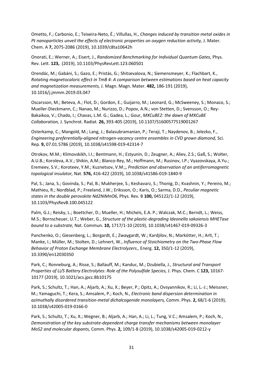Ometto, F.; Carbonio, E.; Teixeira-Neto, É.; Villullas, H., *Changes induced by transition metal oxides in*  Pt nanoparticles unveil the effects of electronic properties on oxygen reduction activity, J. Mater. Chem. A **7,** 2075-2086 (2019), 10.1039/c8ta10642h

Onorati, E.; Werner, A.; Eisert, J., *Randomized Benchmarking for Individual Quantum Gates,* Phys. Rev. Lett. **123,** (2019), 10.1103/PhysRevLett.123.060501

Orendác, M.; Gabáni, S.; Gazo, E.; Pristás, G.; Shitsevalova, N.; Siemensmeyer, K.; Flachbart, K., *Rotating magnetocaloric effect in TmB 4: A comparison between estimations based on heat capacity and magnetization measurements,* J. Magn. Magn. Mater. **482,** 186-191 (2019), 10.1016/j.jmmm.2019.03.047

Oscarsson, M.; Beteva, A.; Flot, D.; Gordon, E.; Guijarro, M.; Leonard, G.; McSweeney, S.; Monaco, S.; Mueller-Dieckmann, C.; Nanao, M.; Nurizzo, D.; Popov, A.N.; von Stetten, D.; Svensson, O.; Rey-Bakaikoa, V.; Chado, I.; Chavas, L.M. G.; Gadea, L.; Gour, *MXCuBE2: the dawn of MXCuBE Collaboration,* J. Synchrot. Radiat. **26,** 393-405 (2019), 10.1107/S1600577519001267

Osterkamp, C.; Mangold, M.; Lang, J.; Balasubramanian, P.; Teraji, T.; Naydenov, B.; Jelezko, F., *Engineering preferentially-aligned nitrogen-vacancy centre ensembles in CVD grown diamond,* Sci. Rep. **9,** 07.01.5786 (2019), 10.1038/s41598-019-42314-7

Otrokov, M.M.; Klimovskikh, I.I.; Bentmann, H.; Estyunin, D.; Zeugner, A.; Aliev, Z.S.; Gaß, S.; Wolter, A.U.B.; Koroleva, A.V.; Shikin, A.M.; Blanco-Rey, M.; Hoffmann, M.; Rusinov, I.P.; Vyazovskaya, A.Yu.; Eremeev, S.V.; Koroteev, Y.M.; Kuznetsov, V.M.;, *Prediction and observation of an antiferromagnetic topological insulator,* Nat. **576,** 416-422 (2019), 10.1038/s41586-019-1840-9

Pal, S.; Jana, S.; Govinda, S.; Pal, B.; Mukherjee, S.; Keshavarz, S.; Thonig, D.; Kvashnin, Y.; Pereiro, M.; Mathieu, R.; Nordblad, P.; Freeland, J.W.; Eriksson, O.; Karis, O.; Sarma, D.D., *Peculiar magnetic states in the double perovskite Nd2NiMnO6,* Phys. Rev. B **100,** 045122/1-12 (2019), 10.1103/PhysRevB.100.045122

Palm, G.J.; Reisky, L.; Boettcher, D.; Mueller, H.; Michels, E.A. P.; Walczak, M.C.; Berndt, L.; Weiss, M.S.; Bornscheuer, U.T.; Weber, G., *Structure of the plastic-degrading Ideonella sakaiensis MHETase bound to a substrate,* Nat. Commun. **10,** 1717/1-10 (2019), 10.1038/s41467-019-09326-3

Panchenko, O.; Giesenberg, L.; Borgardt, E.; Zwaygardt, W.; Kardjilov, N.; Markötter, H.; Arlt, T.; Manke, I.; Müller, M.; Stolten, D.; Lehnert, W., *Influence of Stoichiometry on the Two-Phase Flow Behavior of Proton Exchange Membrane Electrolyzers.,* Energ. **12,** 350/1-12 (2019), 10.3390/en12030350

Park, C.; Ronneburg, A.; Risse, S.; Ballauff, M.; Kanduc, M.; Dzubiella, J., *Structural and Transport Properties of Li/S Battery Electrolytes: Role of the Polysulfide Species,* J. Phys. Chem. C **123,** 10167- 10177 (2019), 10.1021/acs.jpcc.8b10175

Park, S.; Schultz, T.; Han, A.; Aljarb, A.; Xu, X.; Beyer, P.; Opitz, A.; Ovsyannikov, R.; Li, L.-J.; Meissner, M.; Yamaguchi, T.; Kera, S.; Amsalem, P.; Koch, N., *Electronic band dispersion determination in azimuthally disordered transition-metal dichalcogenide monolayers,* Comm. Phys. **2,** 68/1-6 (2019), 10.1038/s42005-019-0166-0

Park, S.; Schultz, T.; Xu, X.; Wegner, B.; Aljarb, A.; Han, A.; Li, L.; Tung, V.C.; Amsalem, P.; Koch, N., *Demonstration of the key substrate-dependent charge transfer mechanisms between monolayer MoS2 and molecular dopants,* Comm. Phys. **2,** 109/1-8 (2019), 10.1038/s42005-019-0212-y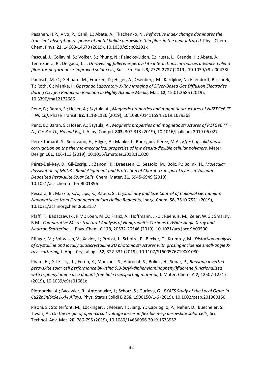Pasanen, H.P.; Vivo, P.; Canil, L.; Abate, A.; Tkachenko, N., *Refractive index change dominates the transient absorption response of metal halide perovskite thin films in the near infrared,* Phys. Chem. Chem. Phys. **21,** 14663-14670 (2019), 10.1039/c9cp02291k

Pascual, J.; Collavini, S.; Völker, S.; Phung, N.; Palacios-Lidon, E.; Irusta, L.; Grande, H.; Abate, A.; Tena-Zaera, R.; Delgado, J.L., *Unravelling fullerene-perovskite interactions introduces advanced blend films for performance-improved solar cells,* Sust. En. Fuels **3,** 2779-2787 (2019), 10.1039/c9se00438f

Paulisch, M. C.; Gebhard, M.; Franzen, D.; Hilger, A.; Osenberg, M.; Kardjilov, N.; Ellendorff, B.; Turek, T.; Roth, C.; Manke, I., *Operando Laboratory X-Ray Imaging of Silver-Based Gas Diffusion Electrodes during Oxygen Reduction Reaction in Highly Alkaline Media,* Mat. **12,** 15.01.2686 (2019), 10.3390/ma12172686

Penc, B.; Baran, S.; Hoser, A.; Szytula, A., *Magnetic properties and magnetic structures of Nd2TGe6 (T = Ni, Cu),* Phase Transit. **92,** 1118-1126 (2019), 10.1080/01411594.2019.1679368

Penc, B.; Baran, S.; Hoser, A.; Szytula, A., *Magnetic properties and magnetic structures of R2TGe6 (T = Ni, Cu; R = Tb, Ho and Er),* J. Alloy. Compd. **803,** 307-313 (2019), 10.1016/j.jallcom.2019.06.027

Pérez Tamarit, S.; Solórzano, E.; Hilger, A.; Manke, I.; Rodríguez-Pérez, M.A., *Effect of solid phase corrugation on the thermo-mechanical properties of low density flexible cellular polymers,* Mater. Design **161,** 106-113 (2019), 10.1016/j.matdes.2018.11.020

Pérez-Del-Rey, D.; Gil-Escrig, L.; Zanoni, K.; Dreessen, C.; Sessolo, M.; Boix, P.; Bolink, H., *Molecular Passivation of MoO3 : Band Alignment and Protection of Charge Transport Layers in Vacuum-Deposited Perovskite Solar Cells,* Chem. Mater. **31,** 6945-6949 (2019), 10.1021/acs.chemmater.9b01396

Pescara, B.; Mazzio, K.A.; Lips, K.; Raoux, S., *Crystallinity and Size Control of Colloidal Germanium Nanoparticles from Organogermanium Halide Reagents,* Inorg. Chem. **58,** 7510-7521 (2019), 10.1021/acs.inorgchem.8b03157

Pfaff, T.; Badaczewski, F.M.; Loeh, M.O.; Franz, A.; Hoffmann, J.-U.; Reehuis, M.; Zeier, W.G.; Smarsly, B.M., *Comparative Microstructural Analysis of Nongraphitic Carbons byWide-Angle X-ray and Neutron Scattering,* J. Phys. Chem. C **123,** 20532-20546 (2019), 10.1021/acs.jpcc.9b03590

Pflüger, M.; Soltwisch, V.; Xavier, J.; Probst, J.; Scholze, F.; Becker, C.; Krumrey, M., *Distortion analysis of crystalline and locally quasicrystalline 2D photonic structures with grazing-incidence small-angle Xray scattering,* J. Appl. Crystallogr. **52,** 322-331 (2019), 10.1107/S1600576719001080

Pham, H.; Gil-Escrig, L.; Feron, K.; Manzhos, S.; Albrecht, S.; Bolink, H.; Sonar, P., *Boosting inverted perovskite solar cell performance by using 9,9-bis(4-diphenylaminophenyl)fluorene functionalized with triphenylamine as a dopant-free hole transporting material, J. Mater. Chem. A 7, 12507-12517* (2019), 10.1039/c9ta01681c

Pietnoczka, A.; Bacewicz, R.; Antonowicz, J.; Schorr, S.; Gurieva, G., *EXAFS Study of the Local Order in Cu2ZnSn(SxSe1-x)4 Alloys,* Phys. Status Solidi B **256,** 1900150/1-6 (2019), 10.1002/pssb.201900150

Pisoni, S.; Stolterfoht, M.; Löckinger, J.; Moser, T.; Jiang, Y.; Caprioglio, P.; Neher, D.; Buecheler, S.; Tiwari, A., *On the origin of open-circuit voltage losses in flexible n-i-p perovskite solar cells,* Sci. Technol. Adv. Mat. **20,** 786-795 (2019), 10.1080/14686996.2019.1633952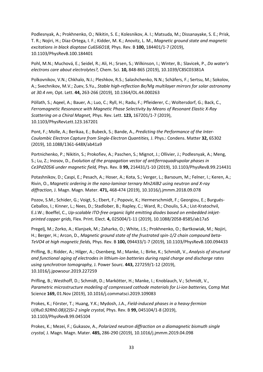Podlesnyak, A.; Prokhnenko, O.; Nikitin, S. E.; Kolesnikov, A. I.; Matsuda, M.; Dissanayake, S. E.; Prisk, T. R.; Nojiri, H.; Díaz-Ortega, I. F.; Kidder, M. K.; Anovitz, L. M., *Magnetic ground state and magnetic excitations in black dioptase Cu6Si6O18,* Phys. Rev. B **100,** 184401/1-7 (2019), 10.1103/PhysRevB.100.184401

Pohl, M.N.; Muchová, E.; Seidel, R.; Ali, H.; Srsen, S.; Wilkinson, I.; Winter, B.; Slavicek, P., *Do water's electrons care about electrolytes?,* Chem. Sci. **10,** 848-865 (2019), 10.1039/C8SC03381A

Polkovnikov, V.N.; Chkhalo, N.I.; Pleshkov, R.S.; Salashchenko, N.N.; Schäfers, F.; Sertsu, M.; Sokolov, A.; Svechnikov, M.V.; Zuev, S.Yu., *Stable high-reflection Be/Mg multilayer mirrors for solar astronomy at 30.4 nm,* Opt. Lett. **44,** 263-266 (2019), 10.1364/OL.44.000263

Pöllath, S.; Aqeel, A.; Bauer, A.; Luo, C.; Ryll, H.; Radu, F.; Pfleiderer, C.; Woltersdorf, G.; Back, C., *Ferromagnetic Resonance with Magnetic Phase Selectivity by Means of Resonant Elastic X-Ray Scattering on a Chiral Magnet,* Phys. Rev. Lett. **123,** 167201/1-7 (2019), 10.1103/PhysRevLett.123.167201

Pont, F.; Molle, A.; Berikaa, E.; Bubeck, S.; Bande, A., *Predicting the Performance of the Inter-Coulombic Electron Capture from Single-Electron Quantities,* J. Phys.: Condens. Matter **32,** 65302 (2019), 10.1088/1361-648X/ab41a9

Portnichenko, P.; Nikitin, S.; Prokofiev, A.; Paschen, S.; Mignot, J.; Ollivier, J.; Podlesnyak, A.; Meng, S.; Lu, Z.; Inosov, D., *Evolution of the propagation vector of antiferroquadrupolar phases in Ce3Pd20Si6 under magnetic field,* Phys. Rev. B **99,** 214431/1-10 (2019), 10.1103/PhysRevB.99.214431

Potashnikov, D.; Caspi, E.; Pesach, A.; Hoser, A.; Kota, S.; Verger, L.; Barsoum, M.; Felner, I.; Keren, A.; Rivin, O., *Magnetic ordering in the nano-laminar ternary Mn2AlB2 using neutron and X-ray diffraction,* J. Magn. Magn. Mater. **471,** 468-474 (2019), 10.1016/j.jmmm.2018.09.078

Pozov, S.M.; Schider, G.; Voigt, S.; Ebert, F.; Popovic, K.; Hermerschmidt, F.; Georgiou, E.; Burgués-Ceballos, I.; Kinner, L.; Nees, D.; Stadlober, B.; Rapley, C.; Ward, R.; Choulis, S.A.; List-Kratochvil, E.J.W.; Boeffel, C., *Up-scalable ITO-free organic light emitting diodes based on embedded inkjetprinted copper grids,* Flex. Print. Elect. **4,** 025004/1-11 (2019), 10.1088/2058-8585/ab17a5

Pregelj, M.; Zorko, A.; Klanjsek, M.; Zaharko, O.; White, J.S.; Prokhnenko, O.; Bartkowiak, M.; Nojiri, H.; Berger, H.; Arcon, D., *Magnetic ground state of the frustrated spin-1/2 chain compound beta-TeVO4 at high magnetic fields,* Phys. Rev. B **100,** 094433/1-7 (2019), 10.1103/PhysRevB.100.094433

Prifling, B.; Ridder, A.; Hilger, A.; Osenberg, M.; Manke, I.; Birke, K.; Schmidt, V., *Analysis of structural and functional aging of electrodes in lithium-ion batteries during rapid charge and discharge rates using synchrotron tomography,* J. Power Sourc. **443,** 227259/1-12 (2019), 10.1016/j.jpowsour.2019.227259

Prifling, B.; Westhoff, D.; Schmidt, D.; Markötter, H.; Manke, I.; Knoblauch, V.; Schmidt, V., *Parametric microstructure modeling of compressed cathode materials for Li-ion batteries,* Comp Mat Science **169,** 01.Nov (2019), 10.1016/j.commatsci.2019.109083

Prokes, K.; Förster, T.; Huang, Y.K.; Mydosh, J.A., *Field-induced phases in a heavy-fermion U(Ru0.92Rh0.08)(2)Si-2 single crystal,* Phys. Rev. B **99,** 045104/1-8 (2019), 10.1103/PhysRevB.99.045104

Prokes, K.; Mezei, F.; Gukasov, A., *Polarized neutron diffraction on a diamagnetic bismuth single crystal,* J. Magn. Magn. Mater. **485,** 286-290 (2019), 10.1016/j.jmmm.2019.04.098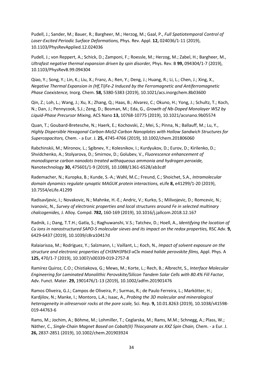Pudell, J.; Sander, M.; Bauer, R.; Bargheer, M.; Herzog, M.; Gaal, P., *Full Spatiotemporal Control of Laser-Excited Periodic Surface Deformations,* Phys. Rev. Appl. **12,** 024036/1-11 (2019), 10.1103/PhysRevApplied.12.024036

Pudell, J.; von Reppert, A.; Schick, D.; Zamponi, F.; Roessle, M.; Herzog, M.; Zabel, H.; Bargheer, M., *Ultrafast negative thermal expansion driven by spin disorder,* Phys. Rev. B **99,** 094304/1-7 (2019), 10.1103/PhysRevB.99.094304

Qiao, Y.; Song, Y.; Lin, K.; Liu, X.; Franz, A.; Ren, Y.; Deng, J.; Huang, R.; Li, L.; Chen, J.; Xing, X., *Negative Thermal Expansion in (Hf,Ti)Fe-2 Induced by the Ferromagnetic and Antiferromagnetic Phase Coexistence,* Inorg. Chem. **58,** 5380-5383 (2019), 10.1021/acs.inorgchem.8b03600

Qin, Z.; Loh, L.; Wang, J.; Xu, X.; Zhang, Q.; Haas, B.; Alvarez, C.; Okuno, H.; Yong, J.; Schultz, T.; Koch, N.; Dan, J.; Pennycook, S.J.; Zeng, D.; Bosman, M.; Eda, G., *Growth of Nb-Doped Monolayer WS2 by Liquid-Phase Precursor Mixing,* ACS Nano **13,** 10768-10775 (2019), 10.1021/acsnano.9b05574

Quan, T.; Goubard-Bretesche, N.; Haerk, E.; Kochovski, Z.; Mei, S.; Pinna, N.; Ballauff, M.; Lu, Y., *Highly Dispersible Hexagonal Carbon-MoS2-Carbon Nanoplates with Hollow Sandwich Structures for Supercapacitors,* Chem. - a Eur. J. **25,** 4745-4766 (2019), 10.1002/chem.201806060

Rabchinskii, M.; Mironov, L.; Sgibnev, Y.; Kolesnikov, I.; Kurdyukov, D.; Eurov, D.; Kirilenko, D.; Shvidchenko, A.; Stolyarova, D.; Smirnov, D.; Golubev, V., *Fluorescence enhancement of monodisperse carbon nanodots treated withaqueous ammonia and hydrogen peroxide,*  Nanotechnology **30,** 475601/1-9 (2019), 10.1088/1361-6528/ab3cdf

Rademacher, N.; Kuropka, B.; Kunde, S.-A.; Wahl, M.C.; Freund, C.; Shoichet, S.A., *Intramolecular domain dynamics regulate synaptic MAGUK protein interactions,* eLife **8,** e41299/1-20 (2019), 10.7554/eLife.41299

Radisavljevic, I.; Novakovic, N.; Mahnke, H.-E.; Andric, V.; Kurko, S.; Milivojevic, D.; Romcevic, N.; Ivanovic, N., *Survey of electronic properties and local structures around Fe in selected multinary chalcogenides,* J. Alloy. Compd. **782,** 160-169 (2019), 10.1016/j.jallcom.2018.12.167

Radnik, J.; Dang, T.T.H.; Gatla, S.; Raghuwanshi, V.S.; Tatchev, D.; Hoell, A., *Identifying the location of Cu ions in nanostructured SAPO-5 molecular sieves and its impact on the redox properties,* RSC Adv. **9,**  6429-6437 (2019), 10.1039/c8ra10417d

Ralaiarisoa, M.; Rodríguez, Y.; Salzmann, I.; Vaillant, L.; Koch, N., *Impact of solvent exposure on the structure and electronic properties of CH3NH3PbI3-xClx mixed halide perovskite films,* Appl. Phys. A **125,** 470/1-7 (2019), 10.1007/s00339-019-2757-8

Ramírez Quiroz, C.O.; Chistiakova, G.; Mews, M.; Korte, L.; Rech, B.; Albrecht, S., *Interface Molecular Engineering for Laminated Monolithic Perovskite/Silicon Tandem Solar Cells with 80.4% Fill Factor,*  Adv. Funct. Mater. **29,** 1901476/1-13 (2019), 10.1002/adfm.201901476

Ramos Oliveira, G.J.; Campos de Oliveira, P.; Surmas, R.; de Paulo Ferreira, L.; Markötter, H.; Kardjilov, N.; Manke, I.; Montoro, L.A.; Isaac, A., *Probing the 3D molecular and mineralogical heterogeneity in oilreservoir rocks at the pore scale,* Sci. Rep. **9,** 10.01.8263 (2019), 10.1038/s41598- 019-44763-6

Rams, M.; Jochim, A.; Böhme, M.; Lohmiller, T.; Ceglarska, M.; Rams, M.M.; Schnegg, A.; Plass, W.; Näther, C., Single-Chain Magnet Based on Cobalt(II) Thiocyanate as XXZ Spin Chain, Chem. - a Eur. J. **26,** 2837-2851 (2019), 10.1002/chem.201903924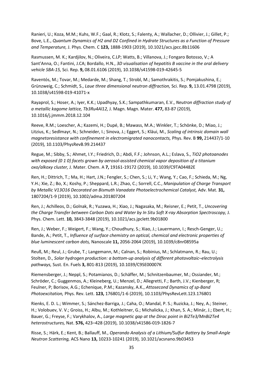Ranieri, U.; Koza, M.M.; Kuhs, W.F.; Gaal, R.; Klotz, S.; Falenty, A.; Wallacher, D.; Ollivier, J.; Gillet, P.; Bove, L.E., *Quantum Dynamics of H2 and D2 Confined in Hydrate Structures as a Function of Pressure and Temperature,* J. Phys. Chem. C **123,** 1888-1903 (2019), 10.1021/acs.jpcc.8b11606

Rasmussen, M. K.; Kardjilov, N.; Oliveira, C.LP; Watts, B.; Villanova, J.; Fongaro Botosso, V.; A Sant'Anna, O.; Fantini, J.CA; Bordallo, H.N., *3D visualisation of hepatitis B vaccine in the oral delivery vehicle SBA-15,* Sci. Rep. **9,** 08.01.6106 (2019), 10.1038/s41598-019-42645-5

Raventós, M.; Tovar, M.; Medarde, M.; Shang, T.; Strobl, M.; Samothrakitis, S.; Pomjakushina, E.; Grünzweig, C.; Schmidt, S., *Laue three dimensional neutron diffraction,* Sci. Rep. **9,** 13.01.4798 (2019), 10.1038/s41598-019-41071-x

Rayaprol, S.; Hoser, A.; Iyer, K.K.; Upadhyay, S.K.; Sampathkumaran, E.V., *Neutron diffraction study of a metallic kagome lattice, Tb3Ru4Al12,* J. Magn. Magn. Mater. **477,** 83-87 (2019), 10.1016/j.jmmm.2018.12.104

Reeve, R.M.; Loescher, A.; Kazemi, H.; Dupé, B.; Mawass, M.A.; Winkler, T.; Schönke, D.; Miao, J.; Litzius, K.; Sedlmayr, N.; Schneider, I.; Sinova, J.; Eggert, S.; Kläui, M., *Scaling of intrinsic domain wall magnetoresistance with confinement in electromigrated nanocontacts,* Phys. Rev. B **99,** 214437/1-10 (2019), 10.1103/PhysRevB.99.214437

Regue, M.; Sibby, S.; Ahmet, I.Y.; Friedrich, D.; Abdi, F.F.; Johnson, A.L.; Eslava, S., *TiO2 photoanodes with exposed {0 1 0} facets grown by aerosol-assisted chemical vapor deposition of a titanium oxo/alkoxy cluster,* J. Mater. Chem. A **7,** 19161-19172 (2019), 10.1039/C9TA04482E

Ren, H.; Dittrich, T.; Ma, H.; Hart, J.N.; Fengler, S.; Chen, S.; Li, Y.; Wang, Y.; Cao, F.; Schieda, M.; Ng, Y.H.; Xie, Z.; Bo, X.; Koshy, P.; Sheppard, L.R.; Zhao, C.; Sorrell, C.C., *Manipulation of Charge Transport by Metallic V13O16 Decorated on Bismuth Vanadate Photoelectrochemical Catalyst,* Adv. Mat. **31,**  1807204/1-9 (2019), 10.1002/adma.201807204

Ren, J.; Achilleos, D.; Golnak, R.; Yuzawa, H.; Xiao, J.; Nagasaka, M.; Reisner, E.; Petit, T., *Uncovering the Charge Transfer between Carbon Dots and Water by In Situ Soft X-ray Absorption Spectroscopy,* J. Phys. Chem. Lett. **10,** 3843-3848 (2019), 10.1021/acs.jpclett.9b01800

Ren, J.; Weber, F.; Weigert, F.; Wang, Y.; Choudhury, S.; Xiao, J.; Lauermann, I.; Resch-Genger, U.; Bande, A.; Petit, T., *Influence of surface chemistry on optical, chemical and electronic properties of blue luminescent carbon dots,* Nanoscale **11,** 2056-2064 (2019), 10.1039/c8nr08595a

Reuß, M.; Reul, J.; Grube, T.; Langemann, M.; Calnan, S.; Robinius, M.; Schlatmann, R.; Rau, U.; Stolten, D., *Solar hydrogen production: a bottom-up analysis of different photovoltaic–electrolysis pathways,* Sust. En. Fuels **3,** 801-813 (2019), 10.1039/C9SE00007K

Riemensberger, J.; Neppl, S.; Potamianos, D.; Schäffer, M.; Schnitzenbaumer, M.; Ossiander, M.; Schröder, C.; Guggenmos, A.; Kleineberg, U.; Menzel, D.; Allegretti, F.; Barth, J.V.; Kienberger, R; Feulner, P; Borisov, A.G.; Echenique, P.M.; Kazansky, A.K., *Attosecond Dynamics of sp-Band Photoexcitation,* Phys. Rev. Lett. **123,** 176801/1-6 (2019), 10.1103/PhysRevLett.123.176801

Rienks, E. D. L.; Wimmer, S.; Sánchez-Barriga, J.; Caha, O.; Mandal, P. S.; Ruzicka, J.; Ney, A.; Steiner, H.; Volobuev, V. V.; Groiss, H.; Albu, M.; Kothleitner, G.; Michalicka, J.; Khan, S. A.; Minár, J.; Ebert, H.; Bauer, G.; Freyse, F.; Varykhalov, A., *Large magnetic gap at the Dirac point in Bi2Te3/MnBi2Te4 heterostructures,* Nat. **576,** 423–428 (2019), 10.1038/s41586-019-1826-7

Risse, S.; Härk, E.; Kent, B.; Ballauff, M., *Operando Analysis of a Lithium/Sulfur Battery by Small-Angle Neutron Scattering,* ACS Nano **13,** 10233-10241 (2019), 10.1021/acsnano.9b03453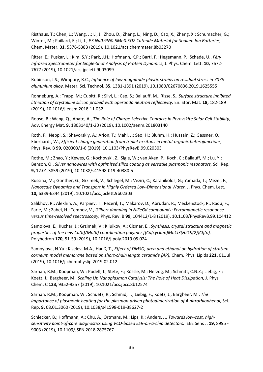Risthaus, T.; Chen, L.; Wang, J.; Li, J.; Zhou, D.; Zhang, L.; Ning, D.; Cao, X.; Zhang, X.; Schumacher, G.; Winter, M.; Paillard, E.; Li, J., *P3 Na0.9Ni0.5Mn0.5O2 Cathode Material for Sodium Ion Batteries,*  Chem. Mater. **31,** 5376-5383 (2019), 10.1021/acs.chemmater.8b03270

Ritter, E.; Puskar, L.; Kim, S.Y.; Park, J.H.; Hofmann, K.P.; Bartl, F.; Hegemann, P.; Schade, U., *Féry Infrared Spectrometer for Single-Shot Analysis of Protein Dynamics,* J. Phys. Chem. Lett. **10,** 7672- 7677 (2019), 10.1021/acs.jpclett.9b03099

Robinson, J.S.; Wimpory, R.C., *Influence of low magnitude plastic strains on residual stress in 7075 aluminium alloy,* Mater. Sci. Technol. **35,** 1381-1391 (2019), 10.1080/02670836.2019.1625555

Ronneburg, A.; Trapp, M.; Cubitt, R.; Silvi, L.; Cap, S.; Ballauff, M.; Risse, S., *Surface structure inhibited lithiation of crystalline silicon probed with operando neutron reflectivity,* En. Stor. Mat. **18,** 182-189 (2019), 10.1016/j.ensm.2018.11.032

Roose, B.; Wang, Q.; Abate, A., *The Role of Charge Selective Contacts in Perovskite Solar Cell Stability,*  Adv. Energy Mat. **9,** 1803140/1-20 (2019), 10.1002/aenm.201803140

Roth, F.; Neppl, S.; Shavorskiy, A.; Arion, T.; Mahl, J.; Seo, H.; Bluhm, H.; Hussain, Z.; Gessner, O.; Eberhardt, W., *Efficient charge generation from triplet excitons in metal-organic heterojunctions,*  Phys. Rev. B **99,** 020303/1-6 (2019), 10.1103/PhysRevB.99.020303

Rothe, M.; Zhao, Y.; Kewes, G.; Kochovski, Z.; Sigle, W.; van Aken, P.; Koch, C.; Ballauff, M.; Lu, Y.; Benson, O., *Silver nanowires with optimized silica coating as versatile plasmonic resonators,* Sci. Rep. **9,** 12.01.3859 (2019), 10.1038/s41598-019-40380-5

Russina, M.; Günther, G.; Grzimek, V.; Schlegel, M.; Veziri, C.; Karanikolos, G.; Yamada, T.; Mezei, F., *Nanoscale Dynamics and Transport in Highly Ordered Low-Dimensional Water,* J. Phys. Chem. Lett. **10,** 6339-6344 (2019), 10.1021/acs.jpclett.9b02303

Salikhov, R.; Alekhin, A.; Parpiiev, T.; Pezeril, T.; Makarov, D.; Abrudan, R.; Meckenstock, R.; Radu, F.; Farle, M.; Zabel, H.; Temnov, V., *Gilbert damping in NiFeGd compounds: Ferromagnetic resonance versus time-resolved spectroscopy,* Phys. Rev. B **99,** 104412/1-8 (2019), 10.1103/PhysRevB.99.104412

Samolova, E.; Kuchar, J.; Grzimek, V.; Kliuikov, A.; Cizmar, E., *Synthesis, crystal structure and magnetic properties of the new Cu(II)/Mn(II) coordination polymer [{Cu(cyclam)MnCl3(H2O)(2)}Cl](n),*  Polyhedron **170,** 51-59 (2019), 10.1016/j.poly.2019.05.024

Samoylova, N.Yu.; Kiselev, M.A.; Hauß, T., *Effect of DMSO, urea and ethanol on hydration of stratum corneum model membrane based on short-chain length ceramide [AP],* Chem. Phys. Lipids **221,** 01.Jul (2019), 10.1016/j.chemphyslip.2019.02.012

Sarhan, R.M.; Koopman, W.; Pudell, J.; Stete, F.; Rössle, M.; Herzog, M.; Schmitt, C.N.Z.; Liebig, F.; Koetz, J.; Bargheer, M., *Scaling Up Nanoplasmon Catalysis: The Role of Heat Dissipation,* J. Phys. Chem. C **123,** 9352-9357 (2019), 10.1021/acs.jpcc.8b12574

Sarhan, R.M.; Koopman, W.; Schuetz, R.; Schmid, T.; Liebig, F.; Koetz, J.; Bargheer, M., *The importance of plasmonic heating for the plasmon-driven photodimerization of 4-nitrothiophenol,* Sci. Rep. **9,** 08.01.3060 (2019), 10.1038/s41598-019-38627-2

Schlecker, B.; Hoffmann, A.; Chu, A.; Ortmans, M.; Lips, K.; Anders, J., *Towards low-cost, highsensitivity point-of-care diagnostics using VCO-based ESR-on-a-chip detectors,* IEEE Sens J. **19,** 8995 - 9003 (2019), 10.1109/JSEN.2018.2875767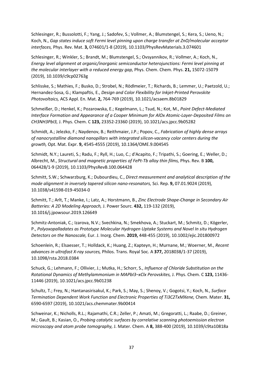Schlesinger, R.; Bussolotti, F.; Yang, J.; Sadofev, S.; Vollmer, A.; Blumstengel, S.; Kera, S.; Ueno, N.; Koch, N., *Gap states induce soft Fermi level pinning upon charge transfer at ZnO/molecular acceptor interfaces,* Phys. Rev. Mat. **3,** 074601/1-8 (2019), 10.1103/PhysRevMaterials.3.074601

Schlesinger, R.; Winkler, S.; Brandt, M.; Blumstengel, S.; Ovsyannikov, R.; Vollmer, A.; Koch, N., *Energy level alignment at organic/inorganic semiconductor heterojunctions: Fermi level pinning at the molecular interlayer with a reduced energy gap,* Phys. Chem. Chem. Phys. **21,** 15072-15079 (2019), 10.1039/c9cp02763g

Schlisske, S.; Mathies, F.; Busko, D.; Strobel, N.; Rödlmeier, T.; Richards, B.; Lemmer, U.; Paetzold, U.; Hernandez-Sosa, G.; Klampaftis, E., *Design and Color Flexibility for Inkjet-Printed Perovskite Photovoltaics,* ACS Appl. En. Mat. **2,** 764-769 (2019), 10.1021/acsaem.8b01829

Schmeißer, D.; Henkel, K.; Pozarowska, E.; Kegelmann, L.; Tsud, N.; Kot, M., *Point Defect-Mediated Interface Formation and Appearance of a Cooper Minimum for AlOx Atomic-Layer-Deposited Films on CH3NH3PbI3,* J. Phys. Chem. C **123,** 23352-23360 (2019), 10.1021/acs.jpcc.9b05282

Schmidt, A.; Jelezko, F.; Naydenov, B.; Reithmaier, J.P.; Popov, C., *Fabrication of highly dense arrays of nanocrystalline diamond nanopillars with integrated silicon-vacancy color centers during the growth,* Opt. Mat. Expr. **9,** 4545-4555 (2019), 10.1364/OME.9.004545

Schmidt, N.Y.; Laureti, S.; Radu, F.; Ryll, H.; Luo, C.; d'Acapito, F.; Tripathi, S.; Goering, E.; Weller, D.; Albrecht, M., *Structural and magnetic properties of FePt-Tb alloy thin films,* Phys. Rev. B **100,**  064428/1-9 (2019), 10.1103/PhysRevB.100.064428

Schmitt, S.W.; Schwarzburg, K.; Dubourdieu, C., *Direct measurement and analytical description of the mode alignment in inversely tapered silicon nano-resonators,* Sci. Rep. **9,** 07.01.9024 (2019), 10.1038/s41598-019-45034-0

Schmitt, T.; Arlt, T.; Manke, I.; Latz, A.; Horstmann, B., *Zinc Electrode Shape-Change in Secondary Air Batteries: A 2D Modeling Approach,* J. Power Sourc. **432,** 119-132 (2019), 10.1016/j.jpowsour.2019.126649

Schmitz-Antoniak, C.; Izarova, N.V.; Svechkina, N.; Smekhova, A.; Stuckart, M.; Schmitz, D.; Kögerler, P., *Polyoxopalladates as Prototype Molecular Hydrogen Uptake Systems and Novel In situ Hydrogen Detectors on the Nanoscale,* Eur. J. Inorg. Chem. **2019,** 448-455 (2019), 10.1002/ejic.201800972

Schoenlein, R.; Elsaesser, T.; Holldack, K.; Huang, Z.; Kapteyn, H.; Murnane, M.; Woerner, M., *Recent advances in ultrafast X-ray sources,* Philos. Trans. Royal Soc. A **377,** 2018038/1-37 (2019), 10.1098/rsta.2018.0384

Schuck, G.; Lehmann, F.; Ollivier, J.; Mutka, H.; Schorr, S., *Influence of Chloride Substitution on the Rotational Dynamics of Methylammonium in MAPbI3–xClx Perovskites,* J. Phys. Chem. C **123,** 11436- 11446 (2019), 10.1021/acs.jpcc.9b01238

Schultz, T.; Frey, N.; Hantanasirisakul, K.; Park, S.; May, S.; Shenoy, V.; Gogotsi, Y.; Koch, N., *Surface Termination Dependent Work Function and Electronic Properties of Ti3C2TxMXene,* Chem. Mater. **31,**  6590-6597 (2019), 10.1021/acs.chemmater.9b00414

Schweinar, K.; Nicholls, R.L.; Rajamathi, C.R.; Zeller, P.; Amati, M.; Gregoratti, L.; Raabe, D.; Greiner, M.; Gault, B.; Kasian, O., *Probing catalytic surfaces by correlative scanning photoemission electron microscopy and atom probe tomography,* J. Mater. Chem. A **8,** 388-400 (2019), 10.1039/c9ta10818a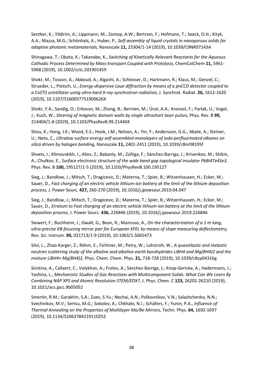Sentker, K.; Yildirim, A.; Lippmann, M.; Zantop, A.W.; Bertram, F.; Hofmann, T.; Seeck, O.H.; Kityk, A.A.; Mazza, M.G.; Schönhals, A.; Huber, P., *Self-assembly of liquid crystals in nanoporous solids for adaptive photonic metamaterials,* Nanoscale **11,** 23304/1-14 (2019), 10.1039/C9NR07143A

Shinagawa, T.; Obata, K.; Takanabe, K., *Switching of Kinetically Relevant Reactants for the Aqueous Cathodic Process Determined by Mass-transport Coupled with Protolysis,* ChemCatChem **11,** 5961- 5968 (2019), 10.1002/cctc.201901459

Shokr, M.; Tosson, A.; Abboud, A.; Algashi, A.; Schlosser, D.; Hartmann, R.; Klaus, M.; Genzel, C.; Strueder, L.; Pietsch, U., *Energy-dispersive Laue diffraction by means of a pnCCD detector coupled to a CsI(Tl) scintillator using ultra-hard X-ray synchrotron radiation,* J. Synchrot. Radiat. **26,** 1612-1620 (2019), 10.1107/S160057751900626X

Shokr, Y.A.; Sandig, O.; Erkovan, M.; Zhang, B.; Bernien, M.; Ünal, A.A.; Kronast, F.; Parlak, U.; Vogel, J.; Kuch, W., *Steering of magnetic domain walls by single ultrashort laser pulses,* Phys. Rev. B **99,**  214404/1-8 (2019), 10.1103/PhysRevB.99.214404

Shou, K.; Hong, J.K.; Wood, E.S.; Hook, J.M.; Nelson, A.; Yin, Y.; Andersson, G.G.; Abate, A.; Steiner, U.; Neto, C., *Ultralow surface energy self-assembled monolayers of iodo-perfluorinated alkanes on silica driven by halogen bonding,* Nanoscale **11,** 2401-2411 (2019), 10.1039/c8nr08195f

Shvets, I.; Klimovskikh, I.; Aliev, Z.; Babanly, M.; Zúñiga, F.; Sánchez-Barriga, J.; Krivenkov, M.; Shikin, A.; Chulkov, E., *Surface electronic structure of the wide band gap topological insulator PbBi4Te4Se3,*  Phys. Rev. B **100,** 195127/1-5 (2019), 10.1103/PhysRevB.100.195127

Sieg, J.; Bandlow, J.; Mitsch, T.; Dragicevic, D.; Materna, T.; Spier, B.; Witzenhausen, H.; Ecker, M.; Sauer, D., *Fast charging of an electric vehicle lithium-ion battery at the limit of the lithium deposition process,* J. Power Sourc. **427,** 260-270 (2019), 10.1016/j.jpowsour.2019.04.047

Sieg, J.; Bandlow, J.; Mitsch, T.; Dragicevic, D.; Materna, T.; Spier, B.; Witzenhausen, H.; Ecker, M.; Sauer, D., *Erratum to Fast charging of an electric vehicle lithium-ion battery at the limit of the lithium deposition process,* J. Power Sourc. **436,** 226846 (2019), 10.1016/j.jpowsour.2019.226846

Siewert, F.; Buchheim, J.; Gwalt, G.; Bean, R.; Mancuso, A., *On the characterization of a 1 m long, ultra-precise KB-focusing mirror pair for European XFEL by means of slope measuring deflectometry,*  Rev. Sci. Instrum. **90,** 021713/1-9 (2019), 10.1063/1.5065473

Silvi, L.; Zhao-Karger, Z.; Röhm, E.; Fichtner, M.; Petry, W.; Lohstroh, W., *A quasielastic and inelastic neutron scattering study of the alkaline and alkaline-earth borohydrides LiBH4 and Mg(BH4)2 and the mixture LiBH4+ Mg(BH4)2,* Phys. Chem. Chem. Phys. **21,** 718-728 (2019), 10.1039/c8cp04316g

Sirotina, A.; Callaert, C.; Volykhov, A.; Frolov, A.; Sánchez-Barriga, J.; Knop-Gericke, A.; Hadermann, J.; Yashina, L., *Mechanistic Studies of Gas Reactions with Multicomponent Solids: What Can We Learn By Combining NAP XPS and Atomic Resolution STEM/EDX?,* J. Phys. Chem. C **123,** 26201-26210 (2019), 10.1021/acs.jpcc.9b05052

Smertin, R.M.; Garakhin, S.A.; Zuev, S.Yu.; Nechai, A.N.; Polkovnikov, V.N.; Salashchenko, N.N.; Svechnikov, M.V.; Sertsu, M.G.; Sokolov, A.; Chkhalo, N.I.; Schäfers, F.; Yunin, P.A., *Influence of Thermal Annealing on the Properties of Multilayer Mo/Be Mirrors,* Techn. Phys. **64,** 1692-1697 (2019), 10.1134/S1063784219110252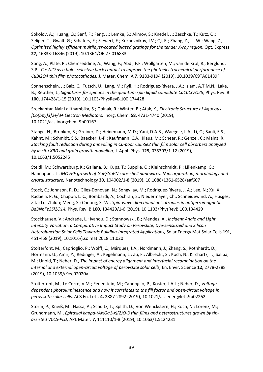Sokolov, A.; Huang, Q.; Senf, F.; Feng, J.; Lemke, S.; Alimov, S.; Knedel, J.; Zeschke, T.; Kutz, O.; Seliger, T.; Gwalt, G.; Schäfers, F.; Siewert, F.; Kozhevnikov, I.V.; Qi, R.; Zhang, Z.; Li, W.; Wang, Z., *Optimized highly efficient multilayer-coated blazed gratings for the tender X-ray region,* Opt. Express **27,** 16833-16846 (2019), 10.1364/OE.27.016833

Song, A.; Plate, P.; Chemseddine, A.; Wang, F.; Abdi, F.F.; Wollgarten, M.; van de Krol, R.; Berglund, S.P., *Cu: NiO as a hole- selective back contact to improve the photoelectrochemical performance of CuBi2O4 thin film photocathodes,* J. Mater. Chem. A **7,** 9183-9194 (2019), 10.1039/C9TA01489F

Sonnenschein, J.; Balz, C.; Tutsch, U.; Lang, M.; Ryll, H.; Rodriguez-Rivera, J.A.; Islam, A.T.M.N.; Lake, B.; Reuther, J., *Signatures for spinons in the quantum spin liquid candidate Ca10Cr7O28*, Phys. Rev. B **100,** 174428/1-15 (2019), 10.1103/PhysRevB.100.174428

Sreekantan Nair Lalithambika, S.; Golnak, R.; Winter, B.; Atak, K., *Electronic Structure of Aqueous [Co(bpy)3]2+/3+ Electron Mediators,* Inorg. Chem. **58,** 4731-4740 (2019), 10.1021/acs.inorgchem.9b00167

Stange, H.; Brunken, S.; Greiner, D.; Heinemann, M.D.; Yani, D.A.B.; Waegele, L.A.; Li, C.; Sanli, E.S.; Kahnt, M.; Schmidt, S.S.; Baecker, J.-P.; Kaufmann, C.A.; Klaus, M.; Scheer, R.; Genzel, C.; Mainz, R., *Stacking fault reduction during annealing in Cu-poor CuInSe2 thin film solar cell absorbers analyzed by in situ XRD and grain growth modeling,* J. Appl. Phys. **125,** 035303/1-12 (2019), 10.1063/1.5052245

Steidl, M.; Schwarzburg, K.; Galiana, B.; Kups, T.; Supplie, O.; Kleinschmidt, P.; Lilienkamp, G.; Hannappel, T., *MOVPE growth of GaP/GaPN core-shell nanowires: N incorporation, morphology and crystal structure,* Nanotechnology **30,** 104002/1-8 (2019), 10.1088/1361-6528/aaf607

Stock, C.; Johnson, R. D.; Giles-Donovan, N.; Songvilay, M.; Rodriguez-Rivera, J. A.; Lee, N.; Xu, X.; Radaelli, P. G.; Chapon, L. C.; Bombardi, A.; Cochran, S.; Niedermayer, Ch.; Schneidewind, A.; Husges, Zita; Lu, Zhilun; Meng, S.; Cheong, S.-W., *Spin-wave directional anisotropies in antiferromagnetic Ba3NbFe3Si2O14,* Phys. Rev. B **100,** 134429/1-6 (2019), 10.1103/PhysRevB.100.134429

Stockhausen, V.; Andrade, L.; Ivanou, D.; Stannowski, B.; Mendes, A., *Incident Angle and Light Intensity Variation: a Comparative Impact Study on Perovskite, Dye-sensitized and Silicon Heterojunction Solar Cells Towards Building-Integrated Applications,* Solar Energy Mat Solar Cells **191,**  451-458 (2019), 10.1016/j.solmat.2018.11.020

Stolterfoht, M.; Caprioglio, P.; Wolff, C.; Márquez, J.A.; Nordmann, J.; Zhang, S.; Rothhardt, D.; Hörmann, U.; Amir, Y.; Redinger, A.; Kegelmann, L.; Zu, F.; Albrecht, S.; Koch, N.; Kirchartz, T.; Saliba, M.; Unold, T.; Neher, D., *The impact of energy alignment and interfacial recombination on the internal and external open-circuit voltage of perovskite solar cells,* En. Envir. Science **12,** 2778-2788 (2019), 10.1039/c9ee02020a

Stolterfoht, M.; Le Corre, V.M.; Feuerstein, M.; Caprioglio, P.; Koster, J.A.L.; Neher, D., *Voltage dependent photoluminescence and how it correlates to the fill factor and open-circuit voltage in perovskite solar cells,* ACS En. Lett. **4,** 2887-2892 (2019), 10.1021/acsenergylett.9b02262

Storm, P.; Kneiß, M.; Hassa, A.; Schultz, T.; Splith, D.; Von Wenckstern, H.; Koch, N.; Lorenz, M.; Grundmann, M., *Epitaxial kappa-(AlxGa1-x)(2)O-3 thin films and heterostructures grown by tinassisted VCCS-PLD,* APL Mater. **7,** 111110/1-8 (2019), 10.1063/1.5124231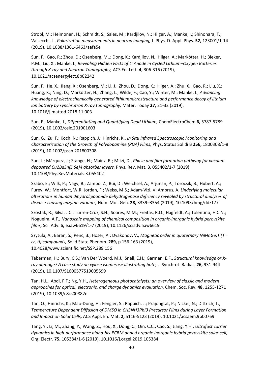Strobl, M.; Heimonen, H.; Schmidt, S.; Sales, M.; Kardjilov, N.; Hilger, A.; Manke, I.; Shinohara, T.; Valsecchi, J., *Polarization measurements in neutron imaging,* J. Phys. D. Appl. Phys. **52,** 123001/1-14 (2019), 10.1088/1361-6463/aafa5e

Sun, F.; Gao, R.; Zhou, D.; Osenberg, M..; Dong, K.; Kardjilov, N.; Hilger, A.; Markötter, H.; Bieker, P.M.; Liu, X.; Manke, I., *Revealing Hidden Facts of Li Anode in Cycled Lithium–Oxygen Batteries through X-ray and Neutron Tomography,* ACS En. Lett. **4,** 306-316 (2019), 10.1021/acsenergylett.8b02242

Sun, F.; He, X.; Jiang, X.; Osenberg, M.; Li, J.; Zhou, D.; Dong, K.; Hilger, A.; Zhu, X.; Gao, R.; Liu, X.; Huang, K.; Ning, D.; Markötter, H.; Zhang, L.; Wilde, F.; Cao, Y.; Winter, M.; Manke, I., *Advancing knowledge of electrochemically generated lithiummicrostructure and performance decay of lithium ion battery by synchrotron X-ray tomography,* Mater. Today **27,** 21-32 (2019), 10.1016/j.mattod.2018.11.003

Sun, F.; Manke, I., *Differentiating and Quantifying Dead Lithium,* ChemElectroChem **6,** 5787-5789 (2019), 10.1002/celc.201901603

Sun, G.; Zu, F.; Koch, N.; Rappich, J.; Hinrichs, K., *In Situ Infrared Spectroscopic Monitoring and Characterization of the Growth of Polydopamine (PDA) Films,* Phys. Status Solidi B **256,** 1800308/1-8 (2019), 10.1002/pssb.201800308

Sun, J.; Márquez, J.; Stange, H.; Mainz, R.; Mitzi, D., *Phase and film formation pathway for vacuumdeposited Cu2BaSn(S,Se)4 absorber layers,* Phys. Rev. Mat. **3,** 055402/1-7 (2019), 10.1103/PhysRevMaterials.3.055402

Szabo, E.; Wilk, P.; Nagy, B.; Zambo, Z.; Bui, D.; Weichsel, A.; Arjunan, P.; Torocsik, B.; Hubert, A.; Furey, W.; Montfort, W.R; Jordan, F.; Weiss, M.S.; Adam-Vizi, V; Ambrus, A, *Underlying molecular alterations in human dihydrolipoamide dehydrogenase deficiency revealed by structural analyses of disease-causing enzyme variants,* Hum. Mol. Gen. **28,** 3339–3354 (2019), 10.1093/hmg/ddz177

Szostak, R.; Silva, J.C.; Turren-Cruz, S.H.; Soares, M.M.; Freitas, R.O.; Hagfeldt, A.; Tolentino, H.C.N.; Nogueira, A.F., *Nanoscale mapping of chemical composition in organic-inorganic hybrid perovskite films,* Sci. Adv. **5,** eaaw6619/1-7 (2019), 10.1126/sciadv.aaw6619

Szytula, A.; Baran, S.; Penc, B.; Hoser, A.; Dyakonov, V., *Magnetic order in quaternary NiMnGe:T (T = cr, ti) compounds,* Solid State Phenom. **289,** p 156-163 (2019), 10.4028/www.scientific.net/SSP.289.156

Taberman, H.; Bury, C.S.; Van Der Woerd, M.J.; Snell, E.H.; Garman, E.F., *Structural knowledge or Xray damage? A case study on xylose isomerase illustrating both,* J. Synchrot. Radiat. **26,** 931-944 (2019), 10.1107/S1600577519005599

Tan, H.L.; Abdi, F.F.; Ng, Y.H., *Heterogeneous photocatalysts: an overview of classic and modern approaches for optical, electronic, and charge dynamics evaluation,* Chem. Soc. Rev. **48,** 1255-1271 (2019), 10.1039/c8cs00882e

Tan, Q.; Hinrichs, K.; Mao-Dong, H.; Fengler, S.; Rappich, J.; Prajongtat, P.; Nickel, N.; Dittrich, T., *Temperature Dependent Diffusion of DMSO in CH3NH3PbI3 Precursor Films during Layer Formation and Impact on Solar Cells,* ACS Appl. En. Mat. **2,** 5116-5123 (2019), 10.1021/acsaem.9b00769

Tang, Y.; Li, M.; Zhang, Y.; Wang, Z.; Hou, X.; Dong, C.; Qin, C.C.; Cao, S.; Jiang, Y.H., *Ultrafast carrier dynamics in high-performance alpha-bis-PCBM doped organic-inorganic hybrid perovskite solar cell,*  Org. Electr. **75,** 105384/1-6 (2019), 10.1016/j.orgel.2019.105384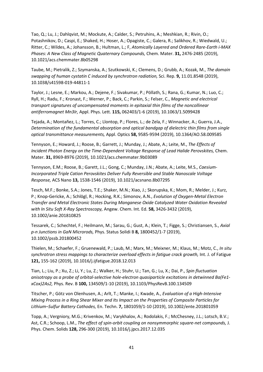Tao, Q.; Lu, J.; Dahlqvist, M.; Mockute, A.; Calder, S.; Petruhins, A.; Meshkian, R.; Rivin, O.; Potashnikov, D.; Caspi, E.; Shaked, H.; Hoser, A.; Opagiste, C.; Galera, R.; Salikhov, R.; Wiedwald, U.; Ritter, C.; Wildes, A.; Johansson, B.; Hultman, L.; F, *Atomically Layered and Ordered Rare-Earth i-MAX Phases: A New Class of Magnetic Quaternary Compounds,* Chem. Mater. **31,** 2476-2485 (2019), 10.1021/acs.chemmater.8b05298

Taube, M.; Pietralik, Z.; Szymanska, A.; Szutkowski, K.; Clemens, D.; Grubb, A.; Kozak, M., *The domain swapping of human cystatin C induced by synchrotron radiation,* Sci. Rep. **9,** 11.01.8548 (2019), 10.1038/s41598-019-44811-1

Taylor, J.; Lesne, E.; Markou, A.; Dejene, F.; Sivakumar, P.; Pöllath, S.; Rana, G.; Kumar, N.; Luo, C.; Ryll, H.; Radu, F.; Kronast, F.; Werner, P.; Back, C.; Parkin, S.; Felser, C., *Magnetic and electrical transport signatures of uncompensated moments in epitaxial thin films of the noncollinear antiferromagnet Mn3Ir,* Appl. Phys. Lett. **115,** 062403/1-6 (2019), 10.1063/1.5099428

Tejada, A.; Montañez, L.; Torres, C.; Llontop, P.; Flores, L.; de Zela, F.; Winnacker, A.; Guerra, J.A., *Determination of the fundamental absorption and optical bandgap of dielectric thin films from single optical transmittance measurements,* Appl. Optics **58,** 9585-9594 (2019), 10.1364/AO.58.009585

Tennyson, E.; Howard, J.; Roose, B.; Garrett, J.; Munday, J.; Abate, A.; Leite, M., *The Effects of Incident Photon Energy on the Time-Dependent Voltage Response of Lead Halide Perovskites, Chem.* Mater. **31,** 8969-8976 (2019), 10.1021/acs.chemmater.9b03089

Tennyson, E.M.; Roose, B.; Garett, J.L.; Gong, C.; Munday, J.N.; Abate, A.; Leite, M.S., *Caesium-Incorporated Triple Cation Perovskites Deliver Fully Reversible and Stable Nanoscale Voltage Response,* ACS Nano **13,** 1538-1546 (2019), 10.1021/acsnano.8b07295

Tesch, M.F.; Bonke, S.A.; Jones, T.E.; Shaker, M.N.; Xiao, J.; Skorupska, K.; Mom, R.; Melder, J.; Kurz, P.; Knop-Gericke, A.; Schlögl, R.; Hocking, R.K.; Simonov, A.N., *Evolution of Oxygen-Metal Electron Transfer and Metal Electronic States During Manganese Oxide Catalyzed Water Oxidation Revealed with In Situ Soft X-Ray Spectroscopy,* Angew. Chem. Int. Ed. **58,** 3426-3432 (2019), 10.1002/anie.201810825

Tessarek, C.; Schechtel, F.; Heilmann, M.; Sarau, G.; Gust, A.; Klein, T.; Figge, S.; Christiansen, S., *Axial p-n Junctions in GaN Microrods,* Phys. Status Solidi B **8,** 1800452/1-7 (2019), 10.1002/pssb.201800452

Thielen, M.; Schaefer, F.; Gruenewald, P.; Laub, M.; Marx, M.; Meixner, M.; Klaus, M.; Motz, C., *In situ synchrotron stress mappings to characterize overload effects in fatigue crack growth,* Int. J. of Fatigue **121,** 155-162 (2019), 10.1016/j.ijfatigue.2018.12.013

Tian, L.; Liu, P.; Xu, Z.; Li, Y.; Lu, Z.; Walker, H.; Stuhr, U.; Tan, G.; Lu, X.; Dai, P., *Spin fluctuation anisotropy as a probe of orbital-selective hole-electron quasiparticle excitations in detwinned Ba(Fe1 xCox)2As2,* Phys. Rev. B **100,** 134509/1-10 (2019), 10.1103/PhysRevB.100.134509

Titscher, P.; Götz von Olenhusen, A.; Arlt, T.; Manke, I.; Kwade, A., *Evaluation of a High-Intensive Mixing Process in a Ring Shear Mixer and Its Impact on the Properties of Composite Particles for Lithium–Sulfur Battery Cathodes,* En. Techn. **7,** 1801059/1-10 (2019), 10.1002/ente.201801059

Topp, A.; Vergniory, M.G.; Krivenkov, M.; Varykhalov, A.; Rodolakis, F.; McChesney, J.L.; Lotsch, B.V.; Ast, C.R.; Schoop, L.M., *The effect of spin-orbit coupling on nonsymmorphic square-net compounds,* J. Phys. Chem. Solids **128,** 296-300 (2019), 10.1016/j.jpcs.2017.12.035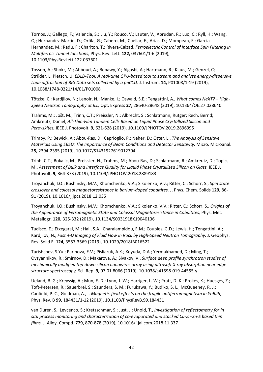Tornos, J.; Gallego, F.; Valencia, S.; Liu, Y.; Rouco, V.; Lauter, V.; Abrudan, R.; Luo, C.; Ryll, H.; Wang, Q.; Hernandez-Martin, D.; Orfila, G.; Cabero, M.; Cuellar, F.; Arias, D.; Mompean, F.; Garcia-Hernandez, M.; Radu, F.; Charlton, T.; Rivera-Calzad, *Ferroelectric Control of Interface Spin Filtering in Multiferroic Tunnel Junctions,* Phys. Rev. Lett. **122,** 037601/1-6 (2019), 10.1103/PhysRevLett.122.037601

Tosson, A.; Shokr, M.; Abboud, A.; Bebawy, Y.; Algashi, A.; Hartmann, R.; Klaus, M.; Genzel, C; Strüder, L; Pietsch, U, *EDLD-Tool: A real-time GPU-based tool to stream and analyze energy-dispersive Laue diffraction of BIG Data sets collected by a pnCCD,* J. Instrum. **14,** P01008/1-19 (2019), 10.1088/1748-0221/14/01/P01008

Tötzke, C.; Kardjilov, N.; Lenoir, N.; Manke, I.; Oswald, S.E.; Tengattini, A., *What comes NeXT? – High-Speed Neutron Tomography at ILL,* Opt. Express **27,** 28640-28648 (2019), 10.1364/OE.27.028640

Trahms, M.; Jošt, M.; Trinh, C.T.; Preissler, N.; Albrecht, S.; Schlatmann, Rutger; Rech, Bernd; Amkreutz, Daniel, *All-Thin-Film Tandem Cells Based on Liquid Phase Crystallized Silicon and Perovskites,* IEEE J. Photovolt, **9,** 621-628 (2019), 10.1109/JPHOTOV.2019.2896995

Trimby, P.; Bewick, A.; Abou-Ras, D.; Caprioglio, P.; Neher, D.; Otter, L., *The Analysis of Sensitive Materials Using EBSD: The Importance of Beam Conditions and Detector Sensitivity,* Micro. Microanal. **25,** 2394-2395 (2019), 10.1017/S1431927619012704

Trinh, C.T.; Bokalic, M.; Preissler, N.; Trahms, M.; Abou-Ras, D.; Schlatmann, R.; Amkreutz, D.; Topic, M., *Assessment of Bulk and Interface Quality for Liquid Phase Crystallized Silicon on Glass,* IEEE J. Photovolt, **9,** 364-373 (2019), 10.1109/JPHOTOV.2018.2889183

Troyanchuk, I.O.; Bushinsky, M.V.; Khomchenko, V.A.; Sikolenko, V.v.; Ritter, C.; Schorr, S., *Spin state crossover and colossal magnetoresistance in barium-doped cobaltites,* J. Phys. Chem. Solids **129,** 86- 91 (2019), 10.1016/j.jpcs.2018.12.035

Troyanchuk, I.O.; Bushinsky, M.V.; Khomchenko, V.A.; Sikolenko, V.V.; Ritter, C.; Schorr, S., *Origins of the Appearance of Ferromagnetic State and Colossal Magnetoresistance in Cobaltites,* Phys. Met. Metallogr. **120,** 325-332 (2019), 10.1134/S0031918X19040136

Tudisco, E.; Etxegarai, M.; Hall, S.A.; Charalampidou, E.M.; Couples, G.D.; Lewis, H.; Tengattini, A.; Kardjilov, N., *Fast 4-D Imaging of Fluid Flow in Rock by High-Speed Neutron Tomography,* J. Geophys. Res. Solid E. **124,** 3557-3569 (2019), 10.1029/2018JB016522

Turishchev, S.Yu.; Parinova, E.V.; Pisliaruk, A.K.; Koyuda, D.A.; Yermukhamed, D.; Ming, T.; Ovsyannikov, R.; Smirnov, D.; Makarova, A.; Sivakov, V., *Surface deep profile synchrotron studies of mechanically modified top-down silicon nanowires array using ultrasoft X-ray absorption near edge structure spectroscopy,* Sci. Rep. **9,** 07.01.8066 (2019), 10.1038/s41598-019-44555-y

Ueland, B. G.; Kreyssig, A.; Mun, E. D.; Lynn, J. W.; Harriger, L. W.; Pratt, D. K.; Prokes, K.; Huesges, Z.; Toft-Petersen, R.; Sauerbrei, S.; Saunders, S. M.; Furukawa, Y.; Bud'ko, S. L.; McQueeney, R. J.; Canfield, P. C.; Goldman, A., I, *Magnetic-field effects on the fragile antiferromagnetism in YbBiPt,*  Phys. Rev. B **99,** 184431/1-12 (2019), 10.1103/PhysRevB.99.184431

van Duren, S.; Levcenco, S.; Kretzschmar, S.; Just, J.; Unold, T., *Investigation of reflectometry for in situ process monitoring and characterization of co-evaporated and stacked Cu-Zn-Sn-S based thin films,* J. Alloy. Compd. **779,** 870-878 (2019), 10.1016/j.jallcom.2018.11.337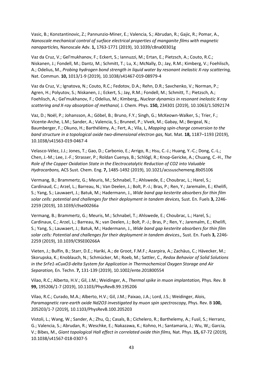Vasic, B.; Konstantinovic, Z.; Pannunzio-Miner, E.; Valencia, S.; Abrudan, R.; Gajic, R.; Pomar, A., *Nanoscale mechanical control of surface electrical properties of manganite films with magnetic nanoparticles,* Nanoscale Adv. **1,** 1763-1771 (2019), 10.1039/c8na00301g

Vaz da Cruz, V.; Gel'mukhanov, F.; Eckert, S.; Iannuzzi, M.; Ertan, E.; Pietzsch, A.; Couto, R.C.; Niskanen, J.; Fondell, M.; Dantz, M.; Schmitt, T.; Lu, X.; McNally, D.; Jay, R.M.; Kimberg, V.; Foehlisch, A.; Odelius, M., *Probing hydrogen bond strength in liquid water by resonant inelastic X-ray scattering,*  Nat. Commun. **10,** 1013/1-9 (2019), 10.1038/s41467-019-08979-4

Vaz da Cruz, V.; Ignatova, N.; Couto, R.C.; Fedotov, D.A.; Rehn, D.R.; Savchenko, V.; Norman, P.; Agren, H.; Polyutov, S.; Niskanen, J.; Eckert, S.; Jay, R.M.; Fondell, M.; Schmitt, T.; Pietzsch, A.; Foehlisch, A.; Gel'mukhanov, F.; Odelius, M.; Kimberg,, *Nuclear dynamics in resonant inelastic X-ray scattering and X-ray absorption of methanol,* J. Chem. Phys. **150,** 234301 (2019), 10.1063/1.5092174

Vaz, D.; Noël, P.; Johansson, A.; Göbel, B.; Bruno, F.Y.; Singh, G.; McKeown-Walker, S.; Trier, F.; Vicente-Arche, L.M.; Sander, A.; Valencia, S.; Bruneel, P.; Vivek, M.; Gabay, M.; Bergeal, N.; Baumberger, F.; Okuno, H.; Barthélémy, A.; Fert, A.; Vila, L, *Mapping spin-charge conversion to the band structure in a topological oxide two-dimensional electron gas,* Nat. Mat. **18,** 1187–1193 (2019), 10.1038/s41563-019-0467-4

Velasco-Vélez, J.J.; Jones, T.; Gao, D.; Carbonio, E.; Arrigo, R.; Hsu, C.-J.; Huang, Y.-C.; Dong, C.-L.; Chen, J.-M.; Lee, J.-F.; Strasser, P.; Roldan Cuenya, B.; Schlögl, R.; Knop-Gericke, A.; Chuang, C.-H., *The Role of the Copper Oxidation State in the Electrocatalytic Reduction of CO2 into Valuable Hydrocarbons,* ACS Sust. Chem. Eng. **7,** 1485-1492 (2019), 10.1021/acssuschemeng.8b05106

Vermang, B.; Brammertz, G.; Meuris, M.; Schnabel, T.; Ahlswede, E.; Choubrac, L.; Harel, S.; Cardinaud, C.; Arzel, L.; Barreau, N.; Van Deelen, J.; Bolt, P.-J.; Bras, P.; Ren, Y.; Jaremalm, E.; Khelifi, S.; Yang, S.; Lauwaert, J.; Batuk, M.; Hadermann, J., *Wide band gap kesterite absorbers for thin film solar cells: potential and challenges for their deployment in tandem devices,* Sust. En. Fuels **3,** 2246- 2259 (2019), 10.1039/c9se00266a

Vermang, B.; Brammertz, G.; Meuris, M.; Schnabel, T.; Ahlswede, E.; Choubrac, L.; Harel, S.; Cardinaux, C.; Arzel, L.; Barreau, N.; van Deelen, J.; Bolt, P.-J.; Bras, P.; Ren, Y.; Jaremalm, E.; Khelifi, S.; Yang, S.; Lauwaert, J.; Batuk, M.; Hadermann, J., *Wide band gap kesterite absorbers for thin film solar cells: Potential and challenges for their deployment in tandem devices.,* Sust. En. Fuels **3,** 2246- 2259 (2019), 10.1039/C9SE00266A

Vieten, J.; Bulfin, B.; Starr, D.E.; Hariki, A.; de Groot, F.M.F.; Azarpira, A.; Zachäus, C.; Hävecker, M.; Skorupska, K.; Knoblauch, N.; Schmücker, M.; Roeb, M.; Sattler, C., *Redox Behavior of Solid Solutions in the SrFe1-xCuxO3-delta System for Application in Thermochemical Oxygen Storage and Air Separation,* En. Techn. **7,** 131-139 (2019), 10.1002/ente.201800554

Vilao, R.C.; Alberto, H.V.; Gil, J.M.; Weidinger, A., *Thermal spike in muon implantation,* Phys. Rev. B **99,** 195206/1-7 (2019), 10.1103/PhysRevB.99.195206

Vilao, R.C.; Curado, M.A.; Alberto, H.V.; Gil, J.M.; Paixao, J.A.; Lord, J.S.; Weidinger, Alois, *Paramagnetic rare-earth oxide Nd2O3 investigated by muon spin spectroscopy, Phys. Rev. B* 100, 205203/1-7 (2019), 10.1103/PhysRevB.100.205203

Vistoli, L.; Wang, W.; Sander, A.; Zhu, Q.; Casals, B.; Cichelero, R.; Barthelemy, A.; Fusil, S.; Herranz, G.; Valencia, S.; Abrudan, R.; Weschke, E.; Nakazawa, K.; Kohno, H.; Santamaria, J.; Wu, W,; Garcia, V.; Bibes, M., *Giant topological Hall effect in correlated oxide thin films,* Nat. Phys. **15,** 67-72 (2019), 10.1038/s41567-018-0307-5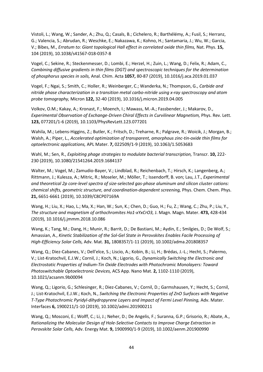Vistoli, L.; Wang, W.; Sander, A.; Zhu, Q.; Casals, B.; Cichelero, R.; Barthélémy, A.; Fusil, S.; Herranz, G.; Valencia, S.; Abrudan, R.; Weschke, E.; Nakazawa, K.; Kohno, H.; Santamaria, J.; Wu, W.; Garcia, V.; Bibes, M., *Erratum to: Giant topological Hall effect in correlated oxide thin films,* Nat. Phys. **15,**  104 (2019), 10.1038/s41567-018-0357-8

Vogel, C.; Sekine, R.; Steckenmesser, D.; Lombi, E.; Herzel, H.; Zuin, L.; Wang, D.; Felix, R.; Adam, C., *Combining diffusive gradients in thin films (DGT) and spectroscopic techniques for the determination of phosphorus species in soils,* Anal. Chim. Acta **1057,** 80-87 (2019), 10.1016/j.aca.2019.01.037

Vogel, F.; Ngai, S.; Smith, C.; Holler, R.; Weinberger, C.; Wanderka, N.; Thompson, G., *Carbide and nitride phase characterization in a transition metal carbo-nitride using x-ray spectroscopy and atom probe tomography,* Micron **122,** 32-40 (2019), 10.1016/j.micron.2019.04.005

Volkov, O.M.; Kakay, A.; Kronast, F.; Moench, I.; Mawass, M.-A.; Fassbender, J.; Makarov, D., *Experimental Observation of Exchange-Driven Chiral Effects in Curvilinear Magnetism,* Phys. Rev. Lett. **123,** 077201/1-6 (2019), 10.1103/PhysRevLett.123.077201

Wahila, M.; Lebens-Higgins, Z.; Butler, K.; Fritsch, D.; Treharne, R.; Palgrave, R.; Woicik, J.; Morgan, B.; Walsh, A.; Piper, L., *Accelerated optimization of transparent, amorphous zinc-tin-oxide thin films for optoelectronic applications,* APL Mater. **7,** 022509/1-9 (2019), 10.1063/1.5053683

Wahl, M.; Sen, R., *Exploiting phage strategies to modulate bacterial transcription*, Transcr. **10,** 222-230 (2019), 10.1080/21541264.2019.1684137

Walter, M.; Vogel, M.; Zamudio-Bayer, V.; Lindblad, R.; Reichenbach, T.; Hirsch, K.; Langenberg, A.; Rittmann, J.; Kulesza, A.; Mitric, R.; Moseler, M.; Möller, T.; Issendorff, B. von; Lau, J.T., *Experimental and theoretical 2p core-level spectra of size-selected gas-phase aluminum and silicon cluster cations: chemical shifts, geometric structure, and coordination-dependent screening,* Phys. Chem. Chem. Phys. **21,** 6651-6661 (2019), 10.1039/C8CP07169A

Wang, H.; Liu, X.; Hao, L.; Ma, X.; Han, W.; Sun, K.; Chen, D.; Guo, H.; Fu, Z.; Wang, C.; Zhu, P.; Liu, Y., *The structure and magnetism of orthochromites Ho1-xYxCrO3,* J. Magn. Magn. Mater. **473,** 428-434 (2019), 10.1016/j.jmmm.2018.10.086

Wang, K.; Tang, M.; Dang, H.; Munir, R.; Barrit, D.; De Bastiani, M.; Aydin, E.; Smilgies, D.; De Wolf, S.; Amassian, A., *Kinetic Stabilization of the Sol-Gel State in Perovskites Enables Facile Processing of High-Efficiency Solar Cells,* Adv. Mat. **31,** 1808357/1-11 (2019), 10.1002/adma.201808357

Wang, Q.; Diez-Cabanes, V.; Dell'elce, S.; Liscio, A.; Kobin, B.; Li, H.; Brédas, J.-L.; Hecht, S.; Palermo, V.; List-Kratochvil, E.J.W.; Cornil, J.; Koch, N.; Ligorio, G., *Dynamically Switching the Electronic and Electrostatic Properties of Indium-Tin Oxide Electrodes with Photochromic Monolayers: Toward Photoswitchable Optoelectronic Devices,* ACS App. Nano Mat. **2,** 1102-1110 (2019), 10.1021/acsanm.9b00094

Wang, Q.; Ligorio, G.; Schlesinger, R.; Diez-Cabanes, V.; Cornil, D.; Garmshausen, Y.; Hecht, S.; Cornil, J.; List-Kratochvil, E.J.W.; Koch, N., *Switching the Electronic Properties of ZnO Surfaces with Negative T-Type Photochromic Pyridyl-dihydropyrene Layers and Impact of Fermi Level Pinning,* Adv. Mater. Interfaces **6,** 1900211/1-10 (2019), 10.1002/admi.201900211

Wang, Q.; Mosconi, E.; Wolff, C.; Li, J.; Neher, D.; De Angelis, F.; Suranna, G.P.; Grisorio, R.; Abate, A., *Rationalizing the Molecular Design of Hole-Selective Contacts to Improve Charge Extraction in Perovskite Solar Cells,* Adv. Energy Mat. **9,** 1900990/1-9 (2019), 10.1002/aenm.201900990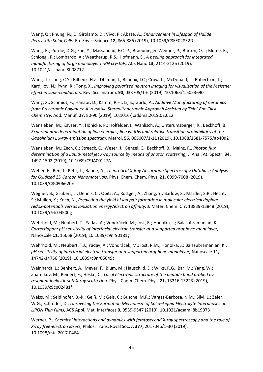Wang, Q.; Phung, N.; Di Girolamo, D.; Vivo, P.; Abate, A., *Enhancement in Lifespan of Halide Perovskite Solar Cells,* En. Envir. Science **12,** 865-886 (2019), 10.1039/C8EE02852D

Wang, R.; Purdie, D.G.; Fan, Y.; Massabuau, F.C.-P.; Braeuninger-Weimer, P.; Burton, O.J.; Blume, R.; Schloegl, R.; Lombardo, A.; Weatherup, R.S.; Hofmann, S., *A peeling approach for integrated manufacturing of large monolayer h-BN crystals,* ACS Nano **13,** 2114-2126 (2019), 10.1021/acsnano.8b08712

Wang, T.; Jiang, C.Y.; Bilheux, H.Z.; Dhiman, I.; Bilheux, J.C.; Crow, L.; McDonald, L.; Robertson, L.; Kardjilov, N.; Pynn, R.; Tong, X., *Improving polarized neutron imaging for visualization of the Meissner effect in superconductors,* Rev. Sci. Instrum. **90,** 033705/1-6 (2019), 10.1063/1.5053690

Wang, X.; Schmidt, F.; Hanaor, D.; Kamm, P.H.; Li, S.; Gurlo, A., *Additive Manufacturing of Ceramics from Preceramic Polymers: A Versatile Stereolithographic Approach Assisted by Thiol-Ene Click Chemistry,* Add. Manuf. **27,** 80-90 (2019), 10.1016/j.addma.2019.02.012

Wansleben, M.; Kayser, Y.; Hönicke, P.; Holfelder, I.; Wählisch, A.; Unterumsberger, R.; Beckhoff, B., *Experimental determination of line energies, line widths and relative transition probabilities of the Gadolinium L x-ray emission spectrum,* Metrol. **56,** 065007/1-11 (2019), 10.1088/1681-7575/ab40d2

Wansleben, M.; Zech, C.; Streeck, C.; Weser, J.; Genzel, C.; Beckhoff, B.; Mainz, R., *Photon flux determination of a liquid-metal jet X-ray source by means of photon scattering,* J. Anal. At. Spectr. **34,**  1497-1502 (2019), 10.1039/C9JA00127A

Weber, F.; Ren, J.; Petit, T.; Bande, A., *Theoretical X-Ray Absorption Spectroscopy Database Analysis for Oxidized 2D Carbon Nanomaterials,* Phys. Chem. Chem. Phys. **21,** 6999-7008 (2019), 10.1039/C8CP06620E

Wegner, B.; Grubert, L.; Dennis, C.; Opitz, A.; Röttger, A.; Zhang, Y.; Barlow, S.; Marder, S.R.; Hecht, S.; Müllen, K.; Koch, N., *Predicting the yield of ion pair formation in molecular electrical doping: redox-potentials versus ionization energy/electron affinity,* J. Mater. Chem. C **7,** 13839-13848 (2019), 10.1039/c9tc04500g

Wehrhold, M.; Neubert, T.; Yadav, A.; Vondrácek, M.; Iost, R.; Honolka, J.; Balasubramanian, K., *Correctiopon: pH sensitivity of interfacial electron transfer at a supported graphene monolayer,*  Nanoscale **11,** 15668 (2019), 10.1039/c9nr90181g

Wehrhold, M.; Neubert, T.J.; Yadav, A.; Vondrácek, M.; Iost, R.M.; Honolka, J.; Balasubramanian, K., *pH sensitivity of interfacial electron transfer at a supported graphene monolayer,* Nanoscale **11,**  14742-14756 (2019), 10.1039/c9nr05049c

Weinhardt, L.; Benkert, A.; Meyer, F.; Blum, M.; Hauschild, D.; Wilks, R.G.; Bär, M.; Yang, W.; Zharnikov, M.; Reinert, F.; Heske, C., *Local electronic structure of the peptide bond probed by resonant inelastic soft X-ray scattering,* Phys. Chem. Chem. Phys. **21,** 13216-13223 (2019), 10.1039/c9cp02481f

Weiss, M.; Seidlhofer, B.-K.; Geiß, M.; Geis, C.; Busche, M.R.; Vargas-Barbosa, N.M.; Silvi, L.; Zeier, W.G.; Schröder, D., *Unraveling the Formation Mechanism of Solid–Liquid Electrolyte Interphases on LiPON Thin Films,* ACS Appl. Mat. Interfaces **0,** 9539-9547 (2019), 10.1021/acsami.8b19973

Wernet, P., *Chemical interactions and dynamics with femtosecond X-ray spectroscopy and the role of X-ray free-electron lasers,* Philos. Trans. Royal Soc. A **377,** 2017046/1-30 (2019), 10.1098/rsta.2017.0464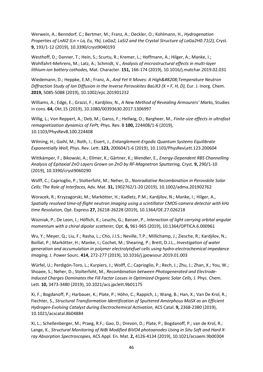Werwein, A.; Benndorf, C.; Bertmer, M.; Franz, A.; Oeckler, O.; Kohlmann, H., *Hydrogenation Properties of LnAl2 (Ln = La, Eu, Yb), LaGa2, LaSi2 and the Crystal Structure of LaGa2H0.71(2),* Cryst. **9,** 193/1-12 (2019), 10.3390/cryst9040193

Westhoff, D.; Danner, T.; Hein, S.; Scurtu, R.; Kremer, L.; Hoffmann, A.; Hilger, A.; Manke, I.; Wohlfahrt-Mehrens, M.; Latz, A.; Schmidt, V., *Analysis of microstructural effects in multi-layer lithium-ion battery cathodes,* Mat. Character. **151,** 166-174 (2019), 10.1016/j.matchar.2019.02.031

Wiedemann, D.; Heppke, E.M.; Franz, A., *And Yet It Moves: A High‐Temperature Neutron Diffraction Study of Ion Diffusion in the Inverse Perovskites BaLiX3 (X = F, H, D), Eur. J. Inorg. Chem.* **2019,** 5085-5088 (2019), 10.1002/ejic.201901232

Williams, A.; Edge, E.; Grazzi, F.; Kardjilov, N., *A New Method of Revealing Armourers' Marks,* Studies in cons. **64,** Okt.15 (2019), 10.1080/00393630.2017.1306997

Willig, L.; Von Reppert, A.; Deb, M.; Ganss, F.; Hellwig, O.; Bargheer, M., *Finite-size effects in ultrafast remagnetization dynamics of FePt,* Phys. Rev. B **100,** 224408/1-6 (2019), 10.1103/PhysRevB.100.224408

Wilming, H.; Goihl, M.; Roth, I.; Eisert, J., *Entanglement-Ergodic Quantum Systems Equilibrate Exponentially Well,* Phys. Rev. Lett. **123,** 200604/1-6 (2019), 10.1103/PhysRevLett.123.200604

Wittkämper, F.; Bikowski, A.; Ellmer, K.; Gärtner, K.; Wendler, E., *Energy-Dependent RBS Channelling Analysis of Epitaxial ZnO Layers Grown on ZnO by RF-Magnetron Sputtering,* Cryst. **9,** 290/1-10 (2019), 10.3390/cryst9060290

Wolff, C.; Caprioglio, P.; Stolterfoht, M.; Neher, D., *Nonradiative Recombination in Perovskite Solar Cells: The Role of Interfaces,* Adv. Mat. **31,** 1902762/1-20 (2019), 10.1002/adma.201902762

Woracek, R.; Krzyzagorski, M.; Markötter, H.; Kadletz, P.M.; Kardjilov, N.; Manke, I.; Hilger, A., *Spatially resolved time-of-flight neutron imaging using a scintillator CMOS-camera detector with kHz time Resolution,* Opt. Express **27,** 26218-26228 (2019), 10.1364/OE.27.026218

Wozniak, P.; De Leon, I.; Höflich, K.; Leuchs, G.; Banzer, P., *Interaction of light carrying orbital angular momentum with a chiral dipolar scatterer,* Opt. **6,** 961-965 (2019), 10.1364/OPTICA.6.000961

Wu, Y.; Meyer, Q.; Liu, F.; Rasha, L.; Cho, J.I.S.; Neville, T.P.; Millichamp, J.; Ziesche, R.; Kardjilov, N.; Boillat, P.; Markötter, H.; Manke, I.; Cochet, M.; Shearing, P.; Brett, D.J.L., *Investigation of water generation and accumulation in polymer electrolytefuel cells using hydro-electrochemical impedance Imaging,* J. Power Sourc. **414,** 272-277 (2019), 10.1016/j.jpowsour.2019.01.003

Würfel, U.; Perdigón-Toro, L.; Kurpiers, J.; Wolff, C.; Caprioglio, P.; Rech, J.; Zhu, J.; Zhan, X.; You, W.; Shoaee, S.; Neher, D.; Stolterfoht, M., *Recombination between Photogenerated and Electrode-Induced Charges Dominates the Fill Factor Losses in Optimized Organic Solar Cells, J. Phys. Chem.* Lett. **10,** 3473-3480 (2019), 10.1021/acs.jpclett.9b01175

Xi, F.; Bogdanoff, P.; Harbauer, K.; Plate, P.; Höhn, C.; Rappich, J.; Wang, B.; Han, X.; Van De Krol, R.; Fiechter, S., *Structural Transformation Identification of Sputtered Amorphous MoSX as an Efficient Hydrogen-Evolving Catalyst during Electrochemical Activation,* ACS Catal. **9,** 2368-2380 (2019), 10.1021/acscatal.8b04884

Xi, L.; Schellenberger, M.; Praeg, R.F.; Gao, D.; Drevon, D.; Plate, P.; Bogdanoff, P.; van de Krol, R.; Lange, K., Structural Monitoring of NiBi Modified BiVO4 photoanodes Using in Situ Soft and Hard X*ray Absorption Spectroscopies,* ACS Appl. En. Mat. **2,** 4126-4134 (2019), 10.1021/acsaem.9b00304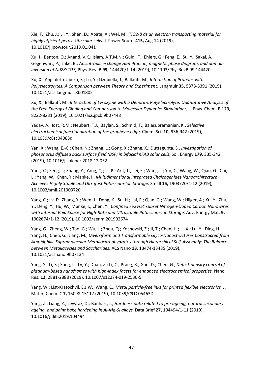Xie, F.; Zhu, J.; Li, Y.; Shen, D.; Abate, A.; Wei, M., *TiO2-B as an electron transporting material for highly efficient perovskite solar cells,* J. Power Sourc. **415,** Aug.14 (2019), 10.1016/j.jpowsour.2019.01.041

Xu, J.; Benton, O.; Anand, V.K.; Islam, A.T.M.N.; Guidi, T.; Ehlers, G.; Feng, E.; Su, Y.; Sakai, A.; Gegenwart, P.; Lake, B., *Anisotropic exchange Hamiltonian, magnetic phase diagram, and domain inversion of Nd2Zr2O7,* Phys. Rev. B **99,** 144420/1-14 (2019), 10.1103/PhysRevB.99.144420

Xu, X.; Angioletti-Uberti, S.; Lu, Y.; Dzubiella, J.; Ballauff, M., *Interaction of Proteins with Polyelectrolytes: A Comparison between Theory and Experiment,* Langmuir **35,** 5373-5391 (2019), 10.1021/acs.langmuir.8b01802

Xu, X.; Ballauff, M., *Interaction of Lysozyme with a Dendritic Polyelectrolyte: Quantitative Analysis of the Free Energy of Binding and Comparison to Molecular Dynamics Simulations,* J. Phys. Chem. B **123,**  8222-8231 (2019), 10.1021/acs.jpcb.9b07448

Yadav, A.; Iost, R.M.; Neubert, T.J.; Baylan, S.; Schmid, T.; Balasubramanian, K., *Selective electrochemical functionalization of the graphene edge,* Chem. Sci. **10,** 936-942 (2019), 10.1039/c8sc04083d

Yan, X.; Wang, E.-C.; Chen, N.; Zhang, L.; Gong, X.; Zhang, X.; Duttagupta, S., *Investigation of phosphorus diffused back surface field (BSF) in bifacial nFAB solar cells,* Sol. Energy **179,** 335-342 (2019), 10.1016/j.solener.2018.12.052

Yang, C.; Feng, J.; Zhang, Y.; Yang, Q.; Li, P.; Arlt, T.; Lei, F.; Wang, J.; Yin, C.; Wang, W.; Qian, G.; Cui, L.; Yang, W.; Chen, Y.; Manke, I., *Multidimensional Integrated Chalcogenides Nanoarchitecture Achieves Highly Stable and Ultrafast Potassium-Ion Storage,* Small **15,** 1903720/1-12 (2019), 10.1002/smll.201903720

Yang, C.; Lv, F:; Zhang, Y.; Wen, J.; Dong, K.; Su, H.; Lai, F.; Qian, G.; Wang, W.; Hilger, A.; Xu, Y.; Zhu, Y.; Deng, Y.; Hu, W.; Manke, I.; Chen, Y., *Confined Fe2VO4 subset Nitrogen-Doped Carbon Nanowires*  with Internal Void Space for High-Rate and Ultrastable Potassium-Ion Storage, Adv. Energy Mat. 9, 1902674/1-12 (2019), 10.1002/aenm.201902674

Yang, G.; Zheng, W.; Tao, G.; Wu, L.; Zhou, Q.; Kochovski, Z.; Ji, T.; Chen, H.; Li, X.; Lu, Y.; Ding, H.; Yang, H.; Chen, G.; Jiang, M., *Diversiform and Transformable Glyco-Nanostructures Constructed from Amphiphilic Supramolecular Metallocarbohydrates through Hierarchical Self-Assembly: The Balance between Metallacycles and Saccharides,* ACS Nano **13,** 13474-13485 (2019), 10.1021/acsnano.9b07134

Yang, S.; Li, S.; Song, L.; Lv, Y.; Duan, Z.; Li, C.; Praeg, R.; Gao, D.; Chen, G., *Defect-density control of platinum-based nanoframes with high-index facets for enhanced electrochemical properties,* Nano Res. **12,** 2881-2888 (2019), 10.1007/s12274-019-2530-5

Yang, W.; List-Kratochvil, E.J.W.; Wang, C., *Metal particle-free inks for printed flexible electronics,* J. Mater. Chem. C **7,** 15098-15117 (2019), 10.1039/C9TC05463D

Yang, Z.; Liang, Z.; Leyvraz, D.; Banhart, J., *Hardness data related to pre-ageing, natural secondary ageing, and paint bake hardening in Al-Mg-Si alloys,* Data Brief **27,** 104494/1-11 (2019), 10.1016/j.dib.2019.104494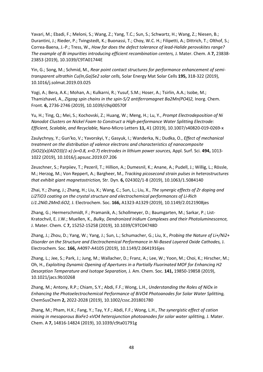Yavari, M.; Ebadi, F.; Meloni, S.; Wang, Z.; Yang, T.C.; Sun, S.; Schwartz, H.; Wang, Z.; Niesen, B.; Durantini, J.; Rieder, P.; Tvingstedt, K.; Buonassi, T.; Choy, W.C. H.; Filipetti, A.; Dittrich, T.; Olthof, S.; Correa-Baena, J.-P.; Tress, W., *How far does the defect tolerance of lead-Halide perovskites range? The example of Bi impurities introducing efficient recombination centers,* J. Mater. Chem. A **7,** 23838- 23853 (2019), 10.1039/C9TA01744E

Yin, G.; Song, M.; Schmid, M., *Rear point contact structures for performance enhancement of semitransparent ultrathin Cu(In,Ga)Se2 solar cells,* Solar Energy Mat Solar Cells **195,** 318-322 (2019), 10.1016/j.solmat.2019.03.025

Yogi, A.; Bera, A.K.; Mohan, A.; Kulkarni, R.; Yusuf, S.M.; Hoser, A.; Tsirlin, A.A.; Isobe, M.; Thamizhavel, A., *Zigzag spin chains in the spin-5/2 antiferromagnet Ba2Mn(PO4)2,* Inorg. Chem. Front. **6,** 2736-2746 (2019), 10.1039/c9qi00570f

Yu, H.; Ting, Q.; Mei, S.; Kochovski, Z.; Huang, W.; Meng, H.; Lu, Y., *Prompt Electrodeposition of Ni Nanodot Clusters on Nickel Foam to Construct a High-performance Water Splitting Electrode: Efficient, Scalable, and Recyclable,* Nano-Micro Letters **11,** 41 (2019), 10.1007/s40820-019-0269-x

Zaulychnyy, Y.; Gun'ko, V.; Yavorskyi, Y.; Gasyuk, I.; Wanderka, N.; Dudka, O., *Effect of mechanical treatment on the distribution of valence electrons and characteristics of nanocomposite (SiO2)(x)(Al2O3)(1-x) (x=0.8, x=0.7) electrodes in lithium power sources,* Appl. Surf. Sci. **494,** 1013- 1022 (2019), 10.1016/j.apsusc.2019.07.206

Zeuschner, S.; Parpiiev, T.; Pezeril, T.; Hillion, A.; Dumesnil, K.; Anane, A.; Pudell, J.; Willig, L.; Rössle, M.; Herzog, M.; Von Reppert, A.; Bargheer, M., *Tracking picosecond strain pulses in heterostructures that exhibit giant magnetostriction,* Str. Dyn. **6,** 024302/1-8 (2019), 10.1063/1.5084140

Zhai, Y.; Zhang, J.; Zhang, H.; Liu, X.; Wang, C.; Sun, L.; Liu, X., *The synergic effects of Zr doping and Li2TiO3 coating on the crystal structure and electrochemical performances of Li-Rich Li1.2Ni0.2Mn0.6O2,* J. Electrochem. Soc. **166,** A1323-A1329 (2019), 10.1149/2.0121908jes

Zhang, G.; Hermerschmidt, F.; Pramanik, A.; Schollmeyer, D.; Baumgarten, M.; Sarkar, P.; List-Kratochvil, E. J.W.; Muellen, K., *Bulky, Dendronized Iridium Complexes and their Photoluminescence,*  J. Mater. Chem. C **7,** 15252-15258 (2019), 10.1039/C9TC04748D

Zhang, J.; Zhou, D.; Yang, W.; Yang, J.; Sun, L.; Schumacher, G.; Liu, X., *Probing the Nature of Li+/Ni2+ Disorder on the Structure and Electrochemical Performance in Ni-Based Layered Oxide Cathodes,* J. Electrochem. Soc. **166,** A4097-A4105 (2019), 10.1149/2.0641916jes

Zhang, L.; Jee, S.; Park, J.; Jung, M.; Wallacher, D.; Franz, A.; Lee, W.; Yoon, M.; Choi, K.; Hirscher, M.; Oh, H., *Exploiting Dynamic Opening of Apertures in a Partially Fluorinated MOF for Enhancing H2 Desorption Temperature and Isotope Separation,* J. Am. Chem. Soc. **141,** 19850-19858 (2019), 10.1021/jacs.9b10268

Zhang, M.; Antony, R.P.; Chiam, S.Y.; Abdi, F.F.; Wong, L.H., *Understanding the Roles of NiOx in Enhancing the Photoelectrochemical Performance of BiVO4 Photoanodes for Solar Water Splitting,*  ChemSusChem **2,** 2022-2028 (2019), 10.1002/cssc.201801780

Zhang, M.; Pham, H.K.; Fang, Y.; Tay, Y.F.; Abdi, F.F.; Wong, L.H., *The synergistic effect of cation mixing in mesoporous BixFe1-xVO4 heterojunction photoanodes for solar water splitting,* J. Mater. Chem. A **7,** 14816-14824 (2019), 10.1039/c9ta01791g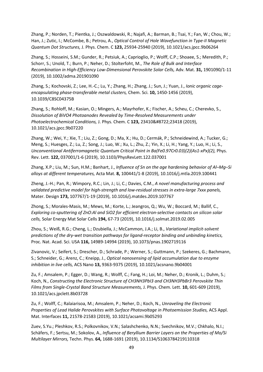Zhang, P.; Norden, T.; Pientka, J.; Oszwaldowski, R.; Najafi, A.; Barman, B.; Tsai, Y.; Fan, W.; Chou, W.; Han, J.; Zutic, I.; McCombe, B.; Petrou, A., *Optical Control of Hole Wavefunction in Type-II Magnetic Quantum Dot Structures,* J. Phys. Chem. C **123,** 25934-25940 (2019), 10.1021/acs.jpcc.9b06264

Zhang, S.; Hosseini, S.M.; Gunder, R.; Petsiuk, A.; Caprioglio, P.; Wolff, C.P.; Shoaee, S.; Meredith, P.; Schorr, S.; Unold, T.; Burn, P.; Neher, D.; Stolterfoht, M., *The Role of Bulk and Interface Recombination in High-Efficiency Low-Dimensional Perovskite Solar Cells,* Adv. Mat. **31,** 1901090/1-11 (2019), 10.1002/adma.201901090

Zhang, S.; Kochovski, Z.; Lee, H.-C.; Lu, Y.; Zhang, H.; Zhang, J.; Sun, J.; Yuan, J., *Ionic organic cageencapsulating phase-transferable metal clusters,* Chem. Sci. **10,** 1450-1456 (2019), 10.1039/C8SC04375B

Zhang, S.; Rohloff, M.; Kasian, O.; Mingers, A.; Mayrhofer, K.; Fischer, A.; Scheu, C.; Cherevko, S., *Dissolution of BiVO4 Photoanodes Revealed by Time-Resolved Measurements under Photoelectrochemical Conditions, J. Phys. Chem. C 123, 23410−23418 (2019),* 10.1021/acs.jpcc.9b07220

Zhang, W.; Wei, Y.; Xie, T.; Liu, Z.; Gong, D.; Ma, X.; Hu, D.; Cermák, P.; Schneidewind, A.; Tucker, G.; Meng, S.; Huesges, Z.; Lu, Z.; Song, J.; Luo, W.; Xu, L.; Zhu, Z.; Yin, X.; Li, H.; Yang, Y.; Luo, H.; Li, S., *Unconventional Antiferromagnetic Quantum Critical Point in Ba(Fe0.97Cr0.03)(2)(As1-xPx)(2),* Phys. Rev. Lett. **122,** 037001/1-6 (2019), 10.1103/PhysRevLett.122.037001

Zhang, X.P.; Liu, M.; Sun, H.M.; Banhart, J., *Influence of Sn on the age hardening behavior of Al–Mg–Si alloys at different temperatures,* Acta Mat. **8,** 100441/1-8 (2019), 10.1016/j.mtla.2019.100441

Zheng, J.-H.; Pan, R.; Wimpory, R.C.; Lin, J.; Li, C.; Davies, C.M., *A novel manufacturing process and validated predictive model for high-strength and low-residual stresses in extra-large 7xxx panels,*  Mater. Design **173,** 107767/1-19 (2019), 10.1016/j.matdes.2019.107767

Zhong, S.; Morales-Masis, M.; Mews, M.; Korte, L.; Jeangros, Q.; Wu, W.; Boccard, M.; Ballif, C., *Exploring co-sputtering of ZnO:Al and SiO2 for efficient electron-selective contacts on silicon solar cells,* Solar Energy Mat Solar Cells **194,** 67-73 (2019), 10.1016/j.solmat.2019.02.005

Zhou, S.; Weiß, R.G.; Cheng, L.; Dzubiella, J.; McCammon, J.A.; Li, B., *Variational implicit-solvent predictions of the dry-wet transition pathways for ligand-receptor binding and unbinding kinetics,*  Proc. Nat. Acad. Sci. USA **116,** 14989-14994 (2019), 10.1073/pnas.1902719116

Zivanovic, V.; Seifert, S.; Drescher, D.; Schrade, P.; Werner, S.; Guttmann, P.; Szekeres, G.; Bachmann, S.; Schneider, G.; Arenz, C.; Kneipp, J., *Optical nanosensing of lipid accumulation due to enzyme inhibition in live cells,* ACS Nano **13,** 9363-9375 (2019), 10.1021/acsnano.9b04001

Zu, F.; Amsalem, P.; Egger, D.; Wang, R.; Wolff, C.; Fang, H.; Loi, M.; Neher, D.; Kronik, L.; Duhm, S.; Koch, N., *Constructing the Electronic Structure of CH3NH3PbI3 and CH3NH3PbBr3 Perovskite Thin Films from Single-Crystal Band Structure Measurements,* J. Phys. Chem. Lett. **10,** 601-609 (2019), 10.1021/acs.jpclett.8b03728

Zu, F.; Wolff, C.; Ralaiarisoa, M.; Amsalem, P.; Neher, D.; Koch, N., *Unraveling the Electronic Properties of Lead Halide Perovskites with Surface Photovoltage in Photoemission Studies,* ACS Appl. Mat. Interfaces **11,** 21578-21583 (2019), 10.1021/acsami.9b05293

Zuev, S.Yu.; Pleshkov, R.S.; Polkovnikov, V.N.; Salashchenko, N.N.; Svechnikov, M.V.; Chkhalo, N.I.; Schäfers, F.; Sertsu, M.; Sokolov, A., *Influence of Beryllium Barrier Layers on the Properties of Mo/Si Multilayer Mirrors,* Techn. Phys. **64,** 1688-1691 (2019), 10.1134/S1063784219110318